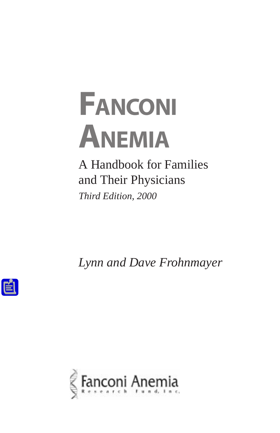# **FANCONI ANEMIA**

A Handbook for Families and Their Physicians *Third Edition, 2000*

*Lynn and Dave Frohnmayer*

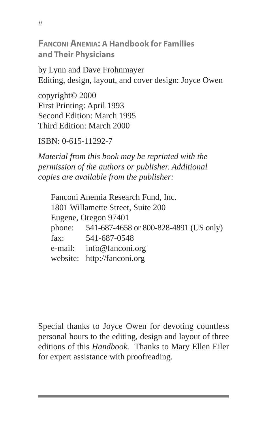**FANCONI ANEMIA: A Handbook for Families and Their Physicians**

by Lynn and Dave Frohnmayer Editing, design, layout, and cover design: Joyce Owen

copyright© 2000 First Printing: April 1993 Second Edition: March 1995 Third Edition: March 2000

```
ISBN: 0-615-11292-7
```
*Material from this book may be reprinted with the permission of the authors or publisher. Additional copies are available from the publisher:*

Fanconi Anemia Research Fund, Inc. 1801 Willamette Street, Suite 200 Eugene, Oregon 97401 phone: 541-687-4658 or 800-828-4891 (US only) fax: 541-687-0548 e-mail: info@fanconi.org website: http://fanconi.org

Special thanks to Joyce Owen for devoting countless personal hours to the editing, design and layout of three editions of this *Handbook.* Thanks to Mary Ellen Eiler for expert assistance with proofreading.

*ii*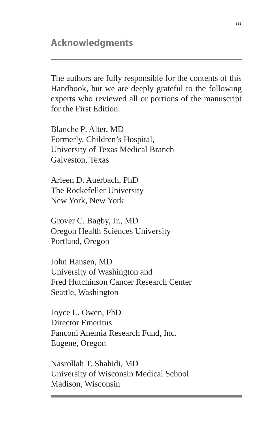The authors are fully responsible for the contents of this Handbook, but we are deeply grateful to the following experts who reviewed all or portions of the manuscript for the First Edition.

Blanche P. Alter, MD Formerly, Children's Hospital, University of Texas Medical Branch Galveston, Texas

Arleen D. Auerbach, PhD The Rockefeller University New York, New York

Grover C. Bagby, Jr., MD Oregon Health Sciences University Portland, Oregon

John Hansen, MD University of Washington and Fred Hutchinson Cancer Research Center Seattle, Washington

Joyce L. Owen, PhD Director Emeritus Fanconi Anemia Research Fund, Inc. Eugene, Oregon

Nasrollah T. Shahidi, MD University of Wisconsin Medical School Madison, Wisconsin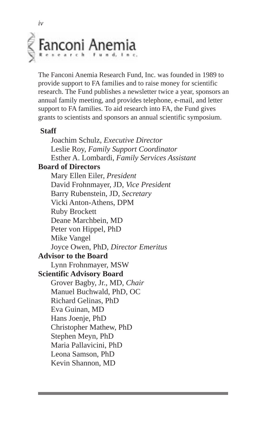# *iv* Fanconi Anemia

The Fanconi Anemia Research Fund, Inc. was founded in 1989 to provide support to FA families and to raise money for scientific research. The Fund publishes a newsletter twice a year, sponsors an annual family meeting, and provides telephone, e-mail, and letter support to FA families. To aid research into FA, the Fund gives grants to scientists and sponsors an annual scientific symposium.

#### **Staff**

Joachim Schulz, *Executive Director* Leslie Roy, *Family Support Coordinator* Esther A. Lombardi, *Family Services Assistant* **Board of Directors** Mary Ellen Eiler, *President* David Frohnmayer, JD, *Vice President* Barry Rubenstein, JD, *Secretary* Vicki Anton-Athens, DPM Ruby Brockett Deane Marchbein, MD Peter von Hippel, PhD Mike Vangel Joyce Owen, PhD, *Director Emeritus* **Advisor to the Board** Lynn Frohnmayer, MSW **Scientific Advisory Board** Grover Bagby, Jr., MD, *Chair* Manuel Buchwald, PhD, OC Richard Gelinas, PhD Eva Guinan, MD Hans Joenje, PhD Christopher Mathew, PhD Stephen Meyn, PhD Maria Pallavicini, PhD Leona Samson, PhD Kevin Shannon, MD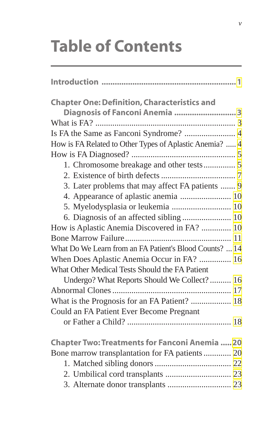### **Table of Contents**

| <b>Chapter One: Definition, Characteristics and</b>     |
|---------------------------------------------------------|
| Diagnosis of Fanconi Anemia  3                          |
|                                                         |
| Is FA the Same as Fanconi Syndrome?  4                  |
| How is FA Related to Other Types of Aplastic Anemia?  4 |
|                                                         |
| 1. Chromosome breakage and other tests 5                |
|                                                         |
| 3. Later problems that may affect FA patients  9        |
| 4. Appearance of aplastic anemia  10                    |
| 5. Myelodysplasia or leukemia  10                       |
|                                                         |
| How is Aplastic Anemia Discovered in FA?  10            |
|                                                         |
| What Do We Learn from an FA Patient's Blood Counts?  14 |
| When Does Aplastic Anemia Occur in FA?  16              |
| What Other Medical Tests Should the FA Patient          |
| Undergo? What Reports Should We Collect? 16             |
|                                                         |
|                                                         |
| Could an FA Patient Ever Become Pregnant                |
|                                                         |
| <b>Chapter Two: Treatments for Fanconi Anemia  20</b>   |
| Bone marrow transplantation for FA patients  20         |
|                                                         |
|                                                         |
|                                                         |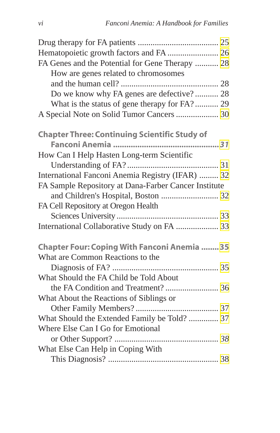| FA Genes and the Potential for Gene Therapy  28      |  |
|------------------------------------------------------|--|
| How are genes related to chromosomes                 |  |
|                                                      |  |
| Do we know why FA genes are defective? 28            |  |
| What is the status of gene therapy for FA? 29        |  |
| A Special Note on Solid Tumor Cancers  30            |  |
| <b>Chapter Three: Continuing Scientific Study of</b> |  |
|                                                      |  |
| How Can I Help Hasten Long-term Scientific           |  |
|                                                      |  |
| International Fanconi Anemia Registry (IFAR)  32     |  |
| FA Sample Repository at Dana-Farber Cancer Institute |  |
|                                                      |  |
| FA Cell Repository at Oregon Health                  |  |
|                                                      |  |
|                                                      |  |
| <b>Chapter Four: Coping With Fanconi Anemia 35</b>   |  |
| What are Common Reactions to the                     |  |
|                                                      |  |
| What Should the FA Child be Told About               |  |
|                                                      |  |
| What About the Reactions of Siblings or              |  |
|                                                      |  |
| What Should the Extended Family be Told?  37         |  |
| Where Else Can I Go for Emotional                    |  |
|                                                      |  |
| What Else Can Help in Coping With                    |  |
|                                                      |  |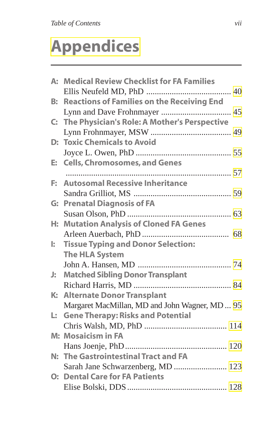## **[Appendices](#page-47-0)**

|              | A: Medical Review Checklist for FA Families       |
|--------------|---------------------------------------------------|
|              |                                                   |
| B:           | <b>Reactions of Families on the Receiving End</b> |
| $\mathsf{C}$ | The Physician's Role: A Mother's Perspective      |
|              |                                                   |
| D:           | <b>Toxic Chemicals to Avoid</b>                   |
|              |                                                   |
| E:           | <b>Cells, Chromosomes, and Genes</b>              |
|              |                                                   |
| F:           | <b>Autosomal Recessive Inheritance</b>            |
|              |                                                   |
| G:           | <b>Prenatal Diagnosis of FA</b>                   |
|              |                                                   |
| H:           | <b>Mutation Analysis of Cloned FA Genes</b>       |
|              |                                                   |
| Ŀ            | <b>Tissue Typing and Donor Selection:</b>         |
|              | <b>The HLA System</b>                             |
|              |                                                   |
|              | <b>Matched Sibling Donor Transplant</b>           |
| J:           |                                                   |
|              |                                                   |
| K:           | <b>Alternate Donor Transplant</b>                 |
|              | Margaret MacMillan, MD and John Wagner, MD  95    |
| Ŀ.           | <b>Gene Therapy: Risks and Potential</b>          |
|              |                                                   |
|              | <b>M: Mosaicism in FA</b>                         |
|              |                                                   |
| N:           | The Gastrointestinal Tract and FA                 |
|              | Sarah Jane Schwarzenberg, MD  123                 |
| O:           | <b>Dental Care for FA Patients</b>                |
|              |                                                   |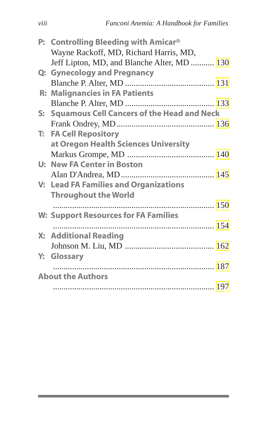|                          | <b>P: Controlling Bleeding with Amicar<sup>®</sup></b> |  |  |  |
|--------------------------|--------------------------------------------------------|--|--|--|
|                          | Wayne Rackoff, MD, Richard Harris, MD,                 |  |  |  |
|                          | Jeff Lipton, MD, and Blanche Alter, MD  130            |  |  |  |
|                          | Q: Gynecology and Pregnancy                            |  |  |  |
|                          |                                                        |  |  |  |
|                          | <b>R: Malignancies in FA Patients</b>                  |  |  |  |
|                          |                                                        |  |  |  |
|                          | S: Squamous Cell Cancers of the Head and Neck          |  |  |  |
|                          |                                                        |  |  |  |
|                          | <b>T: FA Cell Repository</b>                           |  |  |  |
|                          | at Oregon Health Sciences University                   |  |  |  |
|                          |                                                        |  |  |  |
|                          | <b>U: New FA Center in Boston</b>                      |  |  |  |
|                          |                                                        |  |  |  |
|                          | V: Lead FA Families and Organizations                  |  |  |  |
|                          | <b>Throughout the World</b>                            |  |  |  |
|                          |                                                        |  |  |  |
|                          | <b>W: Support Resources for FA Families</b>            |  |  |  |
|                          |                                                        |  |  |  |
|                          | <b>X: Additional Reading</b>                           |  |  |  |
|                          |                                                        |  |  |  |
|                          | Y: Glossary                                            |  |  |  |
|                          |                                                        |  |  |  |
| <b>About the Authors</b> |                                                        |  |  |  |
|                          |                                                        |  |  |  |

a sa mga bangay na mga bangay na mga bangay ng mga bangay ng mga bangay ng mga bangay ng mga bangay ng mga ban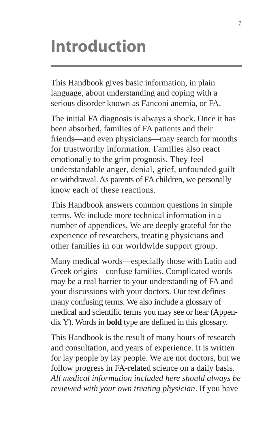### <span id="page-8-0"></span>**Introduction**

This Handbook gives basic information, in plain language, about understanding and coping with a serious disorder known as Fanconi anemia, or FA.

The initial FA diagnosis is always a shock. Once it has been absorbed, families of FA patients and their friends—and even physicians—may search for months for trustworthy information. Families also react emotionally to the grim prognosis. They feel understandable anger, denial, grief, unfounded guilt or withdrawal. As parents of FA children, we personally know each of these reactions.

This Handbook answers common questions in simple terms. We include more technical information in a number of appendices. We are deeply grateful for the experience of researchers, treating physicians and other families in our worldwide support group.

Many medical words—especially those with Latin and Greek origins—confuse families. Complicated words may be a real barrier to your understanding of FA and your discussions with your doctors. Our text defines many confusing terms. We also include a glossary of medical and scientific terms you may see or hear (Appendix Y). Words in **bold** type are defined in this glossary.

This Handbook is the result of many hours of research and consultation, and years of experience. It is written for lay people by lay people. We are not doctors, but we follow progress in FA-related science on a daily basis. *All medical information included here should always be reviewed with your own treating physician*. If you have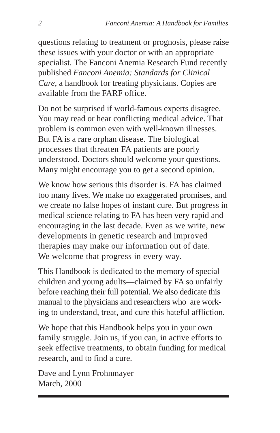questions relating to treatment or prognosis, please raise these issues with your doctor or with an appropriate specialist. The Fanconi Anemia Research Fund recently published *Fanconi Anemia: Standards for Clinical Care*, a handbook for treating physicians. Copies are available from the FARF office.

Do not be surprised if world-famous experts disagree. You may read or hear conflicting medical advice. That problem is common even with well-known illnesses. But FA is a rare orphan disease. The biological processes that threaten FA patients are poorly understood. Doctors should welcome your questions. Many might encourage you to get a second opinion.

We know how serious this disorder is. FA has claimed too many lives. We make no exaggerated promises, and we create no false hopes of instant cure. But progress in medical science relating to FA has been very rapid and encouraging in the last decade. Even as we write, new developments in genetic research and improved therapies may make our information out of date. We welcome that progress in every way.

This Handbook is dedicated to the memory of special children and young adults—claimed by FA so unfairly before reaching their full potential. We also dedicate this manual to the physicians and researchers who are working to understand, treat, and cure this hateful affliction.

We hope that this Handbook helps you in your own family struggle. Join us, if you can, in active efforts to seek effective treatments, to obtain funding for medical research, and to find a cure.

Dave and Lynn Frohnmayer March, 2000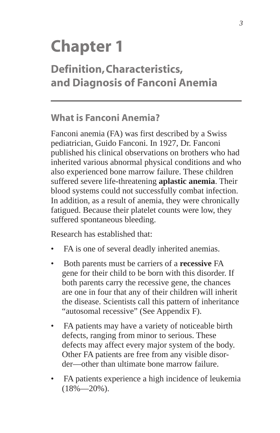### <span id="page-10-0"></span>**Chapter 1**

#### **Definition, Characteristics, and Diagnosis of Fanconi Anemia**

#### **What is Fanconi Anemia?**

Fanconi anemia (FA) was first described by a Swiss pediatrician, Guido Fanconi. In 1927, Dr. Fanconi published his clinical observations on brothers who had inherited various abnormal physical conditions and who also experienced bone marrow failure. These children suffered severe life-threatening **aplastic anemia**. Their blood systems could not successfully combat infection. In addition, as a result of anemia, they were chronically fatigued. Because their platelet counts were low, they suffered spontaneous bleeding.

Research has established that:

- FA is one of several deadly inherited anemias.
- Both parents must be carriers of a **recessive** FA gene for their child to be born with this disorder. If both parents carry the recessive gene, the chances are one in four that any of their children will inherit the disease. Scientists call this pattern of inheritance "autosomal recessive" (See Appendix F).
- FA patients may have a variety of noticeable birth defects, ranging from minor to serious. These defects may affect every major system of the body. Other FA patients are free from any visible disorder—other than ultimate bone marrow failure.
- FA patients experience a high incidence of leukemia  $(18\% - 20\%)$ .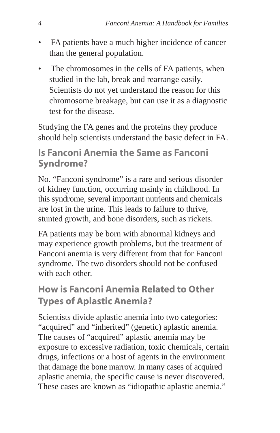- <span id="page-11-0"></span>• FA patients have a much higher incidence of cancer than the general population.
- The chromosomes in the cells of FA patients, when studied in the lab, break and rearrange easily. Scientists do not yet understand the reason for this chromosome breakage, but can use it as a diagnostic test for the disease.

Studying the FA genes and the proteins they produce should help scientists understand the basic defect in FA.

#### **Is Fanconi Anemia the Same as Fanconi Syndrome?**

No. "Fanconi syndrome" is a rare and serious disorder of kidney function, occurring mainly in childhood. In this syndrome, several important nutrients and chemicals are lost in the urine. This leads to failure to thrive, stunted growth, and bone disorders, such as rickets.

FA patients may be born with abnormal kidneys and may experience growth problems, but the treatment of Fanconi anemia is very different from that for Fanconi syndrome. The two disorders should not be confused with each other.

#### **How is Fanconi Anemia Related to Other Types of Aplastic Anemia?**

Scientists divide aplastic anemia into two categories: "acquired" and "inherited" (genetic) aplastic anemia. The causes of "acquired" aplastic anemia may be exposure to excessive radiation, toxic chemicals, certain drugs, infections or a host of agents in the environment that damage the bone marrow. In many cases of acquired aplastic anemia, the specific cause is never discovered. These cases are known as "idiopathic aplastic anemia."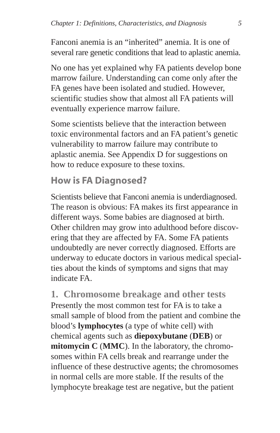<span id="page-12-0"></span>Fanconi anemia is an "inherited" anemia. It is one of several rare genetic conditions that lead to aplastic anemia.

No one has yet explained why FA patients develop bone marrow failure. Understanding can come only after the FA genes have been isolated and studied. However, scientific studies show that almost all FA patients will eventually experience marrow failure.

Some scientists believe that the interaction between toxic environmental factors and an FA patient's genetic vulnerability to marrow failure may contribute to aplastic anemia. See Appendix D for suggestions on how to reduce exposure to these toxins.

#### **How is FA Diagnosed?**

Scientists believe that Fanconi anemia is underdiagnosed. The reason is obvious: FA makes its first appearance in different ways. Some babies are diagnosed at birth. Other children may grow into adulthood before discovering that they are affected by FA. Some FA patients undoubtedly are never correctly diagnosed. Efforts are underway to educate doctors in various medical specialties about the kinds of symptoms and signs that may indicate FA.

**1. Chromosome breakage and other tests** Presently the most common test for FA is to take a small sample of blood from the patient and combine the blood's **lymphocytes** (a type of white cell) with chemical agents such as **diepoxybutane** (**DEB**) or **mitomycin C** (**MMC**). In the laboratory, the chromosomes within FA cells break and rearrange under the influence of these destructive agents; the chromosomes in normal cells are more stable. If the results of the lymphocyte breakage test are negative, but the patient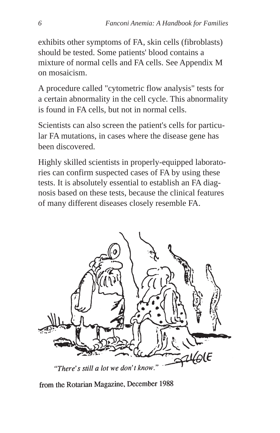exhibits other symptoms of FA, skin cells (fibroblasts) should be tested. Some patients' blood contains a mixture of normal cells and FA cells. See Appendix M on mosaicism.

A procedure called "cytometric flow analysis" tests for a certain abnormality in the cell cycle. This abnormality is found in FA cells, but not in normal cells.

Scientists can also screen the patient's cells for particular FA mutations, in cases where the disease gene has been discovered.

Highly skilled scientists in properly-equipped laboratories can confirm suspected cases of FA by using these tests. It is absolutely essential to establish an FA diagnosis based on these tests, because the clinical features of many different diseases closely resemble FA.



from the Rotarian Magazine, December 1988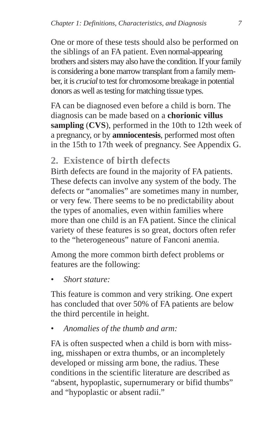<span id="page-14-0"></span>One or more of these tests should also be performed on the siblings of an FA patient. Even normal-appearing brothers and sisters may also have the condition. If your family is considering a bone marrow transplant from a family member, it is *crucial* to test for chromosome breakage in potential donors as well as testing for matching tissue types.

FA can be diagnosed even before a child is born. The diagnosis can be made based on a **chorionic villus sampling** (**CVS**), performed in the 10th to 12th week of a pregnancy, or by **amniocentesis**, performed most often in the 15th to 17th week of pregnancy. See Appendix G.

#### **2. Existence of birth defects**

Birth defects are found in the majority of FA patients. These defects can involve any system of the body. The defects or "anomalies" are sometimes many in number, or very few. There seems to be no predictability about the types of anomalies, even within families where more than one child is an FA patient. Since the clinical variety of these features is so great, doctors often refer to the "heterogeneous" nature of Fanconi anemia.

Among the more common birth defect problems or features are the following:

• *Short stature:*

This feature is common and very striking. One expert has concluded that over 50% of FA patients are below the third percentile in height.

• *Anomalies of the thumb and arm:*

FA is often suspected when a child is born with missing, misshapen or extra thumbs, or an incompletely developed or missing arm bone, the radius. These conditions in the scientific literature are described as "absent, hypoplastic, supernumerary or bifid thumbs" and "hypoplastic or absent radii."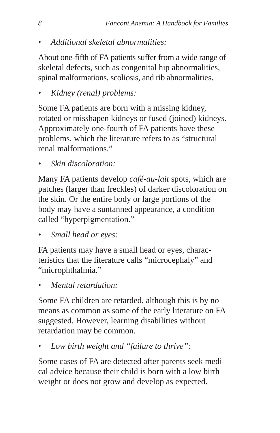#### • *Additional skeletal abnormalities:*

About one-fifth of FA patients suffer from a wide range of skeletal defects, such as congenital hip abnormalities, spinal malformations, scoliosis, and rib abnormalities.

• *Kidney (renal) problems:*

Some FA patients are born with a missing kidney, rotated or misshapen kidneys or fused (joined) kidneys. Approximately one-fourth of FA patients have these problems, which the literature refers to as "structural renal malformations."

• *Skin discoloration:*

Many FA patients develop *café-au-lait* spots, which are patches (larger than freckles) of darker discoloration on the skin. Or the entire body or large portions of the body may have a suntanned appearance, a condition called "hyperpigmentation."

• *Small head or eyes:*

FA patients may have a small head or eyes, characteristics that the literature calls "microcephaly" and "microphthalmia."

• *Mental retardation:*

Some FA children are retarded, although this is by no means as common as some of the early literature on FA suggested. However, learning disabilities without retardation may be common.

• *Low birth weight and "failure to thrive":*

Some cases of FA are detected after parents seek medical advice because their child is born with a low birth weight or does not grow and develop as expected.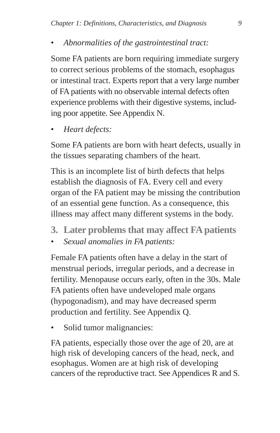#### <span id="page-16-0"></span>• *Abnormalities of the gastrointestinal tract:*

Some FA patients are born requiring immediate surgery to correct serious problems of the stomach, esophagus or intestinal tract. Experts report that a very large number of FA patients with no observable internal defects often experience problems with their digestive systems, including poor appetite. See Appendix N.

• *Heart defects:*

Some FA patients are born with heart defects, usually in the tissues separating chambers of the heart.

This is an incomplete list of birth defects that helps establish the diagnosis of FA. Every cell and every organ of the FA patient may be missing the contribution of an essential gene function. As a consequence, this illness may affect many different systems in the body.

- **3. Later problems that may affect FA patients**
- *Sexual anomalies in FA patients:*

Female FA patients often have a delay in the start of menstrual periods, irregular periods, and a decrease in fertility. Menopause occurs early, often in the 30s. Male FA patients often have undeveloped male organs (hypogonadism), and may have decreased sperm production and fertility. See Appendix Q.

Solid tumor malignancies:

FA patients, especially those over the age of 20, are at high risk of developing cancers of the head, neck, and esophagus. Women are at high risk of developing cancers of the reproductive tract. See Appendices R and S.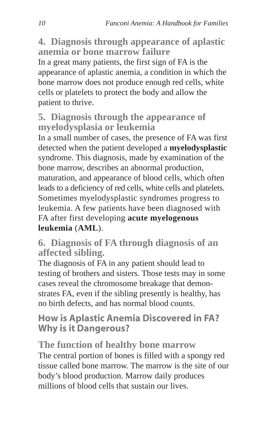<span id="page-17-0"></span>**4. Diagnosis through appearance of aplastic anemia or bone marrow failure** In a great many patients, the first sign of FA is the appearance of aplastic anemia, a condition in which the bone marrow does not produce enough red cells, white cells or platelets to protect the body and allow the patient to thrive.

#### **5. Diagnosis through the appearance of myelodysplasia or leukemia**

In a small number of cases, the presence of FA was first detected when the patient developed a **myelodysplastic** syndrome. This diagnosis, made by examination of the bone marrow, describes an abnormal production, maturation, and appearance of blood cells, which often leads to a deficiency of red cells, white cells and platelets. Sometimes myelodysplastic syndromes progress to leukemia. A few patients have been diagnosed with FA after first developing **acute myelogenous leukemia** (**AML**).

#### **6. Diagnosis of FA through diagnosis of an affected sibling.**

The diagnosis of FA in any patient should lead to testing of brothers and sisters. Those tests may in some cases reveal the chromosome breakage that demonstrates FA, even if the sibling presently is healthy, has no birth defects, and has normal blood counts.

#### **How is Aplastic Anemia Discovered in FA? Why is it Dangerous?**

**The function of healthy bone marrow** The central portion of bones is filled with a spongy red tissue called bone marrow. The marrow is the site of our body's blood production. Marrow daily produces millions of blood cells that sustain our lives.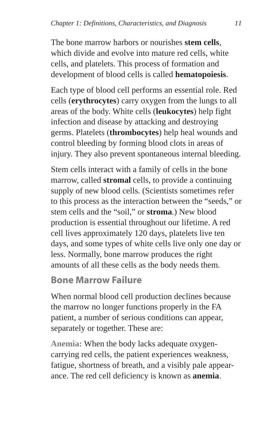<span id="page-18-0"></span>The bone marrow harbors or nourishes **stem cells**, which divide and evolve into mature red cells, white cells, and platelets. This process of formation and development of blood cells is called **hematopoiesis**.

Each type of blood cell performs an essential role. Red cells (**erythrocytes**) carry oxygen from the lungs to all areas of the body. White cells (**leukocytes**) help fight infection and disease by attacking and destroying germs. Platelets (**thrombocytes**) help heal wounds and control bleeding by forming blood clots in areas of injury. They also prevent spontaneous internal bleeding.

Stem cells interact with a family of cells in the bone marrow, called **stromal** cells, to provide a continuing supply of new blood cells. (Scientists sometimes refer to this process as the interaction between the "seeds," or stem cells and the "soil," or **stroma**.) New blood production is essential throughout our lifetime. A red cell lives approximately 120 days, platelets live ten days, and some types of white cells live only one day or less. Normally, bone marrow produces the right amounts of all these cells as the body needs them.

#### **Bone Marrow Failure**

When normal blood cell production declines because the marrow no longer functions properly in the FA patient, a number of serious conditions can appear, separately or together. These are:

**Anemia:** When the body lacks adequate oxygencarrying red cells, the patient experiences weakness, fatigue, shortness of breath, and a visibly pale appearance. The red cell deficiency is known as **anemia**.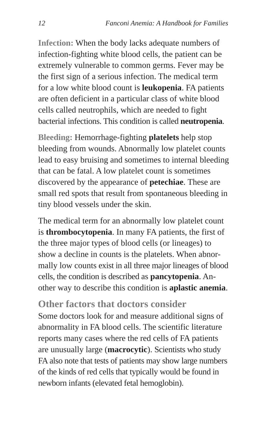**Infection:** When the body lacks adequate numbers of infection-fighting white blood cells, the patient can be extremely vulnerable to common germs. Fever may be the first sign of a serious infection. The medical term for a low white blood count is **leukopenia**. FA patients are often deficient in a particular class of white blood cells called neutrophils, which are needed to fight bacterial infections. This condition is called **neutropenia**.

**Bleeding:** Hemorrhage-fighting **platelets** help stop bleeding from wounds. Abnormally low platelet counts lead to easy bruising and sometimes to internal bleeding that can be fatal. A low platelet count is sometimes discovered by the appearance of **petechiae**. These are small red spots that result from spontaneous bleeding in tiny blood vessels under the skin.

The medical term for an abnormally low platelet count is **thrombocytopenia**. In many FA patients, the first of the three major types of blood cells (or lineages) to show a decline in counts is the platelets. When abnormally low counts exist in all three major lineages of blood cells, the condition is described as **pancytopenia**. Another way to describe this condition is **aplastic anemia**.

**Other factors that doctors consider** Some doctors look for and measure additional signs of abnormality in FA blood cells. The scientific literature reports many cases where the red cells of FA patients are unusually large (**macrocytic**). Scientists who study FA also note that tests of patients may show large numbers of the kinds of red cells that typically would be found in newborn infants (elevated fetal hemoglobin).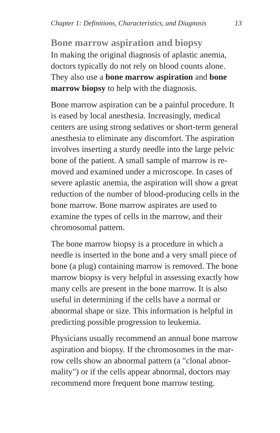**Bone marrow aspiration and biopsy** In making the original diagnosis of aplastic anemia, doctors typically do not rely on blood counts alone. They also use a **bone marrow aspiration** and **bone marrow biopsy** to help with the diagnosis.

Bone marrow aspiration can be a painful procedure. It is eased by local anesthesia. Increasingly, medical centers are using strong sedatives or short-term general anesthesia to eliminate any discomfort. The aspiration involves inserting a sturdy needle into the large pelvic bone of the patient. A small sample of marrow is removed and examined under a microscope. In cases of severe aplastic anemia, the aspiration will show a great reduction of the number of blood-producing cells in the bone marrow. Bone marrow aspirates are used to examine the types of cells in the marrow, and their chromosomal pattern.

The bone marrow biopsy is a procedure in which a needle is inserted in the bone and a very small piece of bone (a plug) containing marrow is removed. The bone marrow biopsy is very helpful in assessing exactly how many cells are present in the bone marrow. It is also useful in determining if the cells have a normal or abnormal shape or size. This information is helpful in predicting possible progression to leukemia.

Physicians usually recommend an annual bone marrow aspiration and biopsy. If the chromosomes in the marrow cells show an abnormal pattern (a "clonal abnormality") or if the cells appear abnormal, doctors may recommend more frequent bone marrow testing.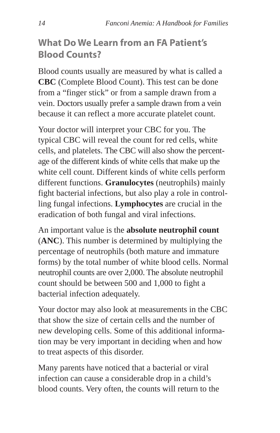#### <span id="page-21-0"></span>**What Do We Learn from an FA Patient's Blood Counts?**

Blood counts usually are measured by what is called a **CBC** (Complete Blood Count). This test can be done from a "finger stick" or from a sample drawn from a vein. Doctors usually prefer a sample drawn from a vein because it can reflect a more accurate platelet count.

Your doctor will interpret your CBC for you. The typical CBC will reveal the count for red cells, white cells, and platelets. The CBC will also show the percentage of the different kinds of white cells that make up the white cell count. Different kinds of white cells perform different functions. **Granulocytes** (neutrophils) mainly fight bacterial infections, but also play a role in controlling fungal infections. **Lymphocytes** are crucial in the eradication of both fungal and viral infections.

An important value is the **absolute neutrophil count** (**ANC**). This number is determined by multiplying the percentage of neutrophils (both mature and immature forms) by the total number of white blood cells. Normal neutrophil counts are over 2,000. The absolute neutrophil count should be between 500 and 1,000 to fight a bacterial infection adequately.

Your doctor may also look at measurements in the CBC that show the size of certain cells and the number of new developing cells. Some of this additional information may be very important in deciding when and how to treat aspects of this disorder.

Many parents have noticed that a bacterial or viral infection can cause a considerable drop in a child's blood counts. Very often, the counts will return to the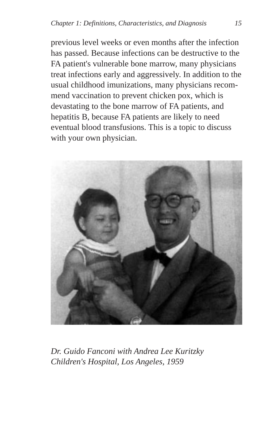previous level weeks or even months after the infection has passed. Because infections can be destructive to the FA patient's vulnerable bone marrow, many physicians treat infections early and aggressively. In addition to the usual childhood imunizations, many physicians recommend vaccination to prevent chicken pox, which is devastating to the bone marrow of FA patients, and hepatitis B, because FA patients are likely to need eventual blood transfusions. This is a topic to discuss with your own physician.



*Dr. Guido Fanconi with Andrea Lee Kuritzky Children's Hospital, Los Angeles, 1959*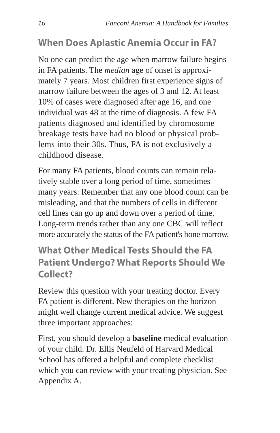#### <span id="page-23-0"></span>**When Does Aplastic Anemia Occur in FA?**

No one can predict the age when marrow failure begins in FA patients. The *median* age of onset is approximately 7 years. Most children first experience signs of marrow failure between the ages of 3 and 12. At least 10% of cases were diagnosed after age 16, and one individual was 48 at the time of diagnosis. A few FA patients diagnosed and identified by chromosome breakage tests have had no blood or physical problems into their 30s. Thus, FA is not exclusively a childhood disease.

For many FA patients, blood counts can remain relatively stable over a long period of time, sometimes many years. Remember that any one blood count can be misleading, and that the numbers of cells in different cell lines can go up and down over a period of time. Long-term trends rather than any one CBC will reflect more accurately the status of the FA patient's bone marrow.

#### **What Other Medical Tests Should the FA Patient Undergo? What Reports Should We Collect?**

Review this question with your treating doctor. Every FA patient is different. New therapies on the horizon might well change current medical advice. We suggest three important approaches:

First, you should develop a **baseline** medical evaluation of your child. Dr. Ellis Neufeld of Harvard Medical School has offered a helpful and complete checklist which you can review with your treating physician. See Appendix A.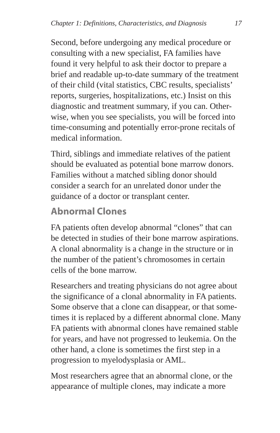<span id="page-24-0"></span>Second, before undergoing any medical procedure or consulting with a new specialist, FA families have found it very helpful to ask their doctor to prepare a brief and readable up-to-date summary of the treatment of their child (vital statistics, CBC results, specialists' reports, surgeries, hospitalizations, etc.) Insist on this diagnostic and treatment summary, if you can. Otherwise, when you see specialists, you will be forced into time-consuming and potentially error-prone recitals of medical information.

Third, siblings and immediate relatives of the patient should be evaluated as potential bone marrow donors. Families without a matched sibling donor should consider a search for an unrelated donor under the guidance of a doctor or transplant center.

#### **Abnormal Clones**

FA patients often develop abnormal "clones" that can be detected in studies of their bone marrow aspirations. A clonal abnormality is a change in the structure or in the number of the patient's chromosomes in certain cells of the bone marrow.

Researchers and treating physicians do not agree about the significance of a clonal abnormality in FA patients. Some observe that a clone can disappear, or that sometimes it is replaced by a different abnormal clone. Many FA patients with abnormal clones have remained stable for years, and have not progressed to leukemia. On the other hand, a clone is sometimes the first step in a progression to myelodysplasia or AML.

Most researchers agree that an abnormal clone, or the appearance of multiple clones, may indicate a more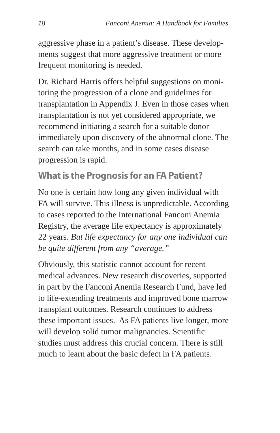<span id="page-25-0"></span>aggressive phase in a patient's disease. These developments suggest that more aggressive treatment or more frequent monitoring is needed.

Dr. Richard Harris offers helpful suggestions on monitoring the progression of a clone and guidelines for transplantation in Appendix J. Even in those cases when transplantation is not yet considered appropriate, we recommend initiating a search for a suitable donor immediately upon discovery of the abnormal clone. The search can take months, and in some cases disease progression is rapid.

#### **What is the Prognosis for an FA Patient?**

No one is certain how long any given individual with FA will survive. This illness is unpredictable. According to cases reported to the International Fanconi Anemia Registry, the average life expectancy is approximately 22 years. *But life expectancy for any one individual can be quite different from any "average."*

Obviously, this statistic cannot account for recent medical advances. New research discoveries, supported in part by the Fanconi Anemia Research Fund, have led to life-extending treatments and improved bone marrow transplant outcomes. Research continues to address these important issues. As FA patients live longer, more will develop solid tumor malignancies. Scientific studies must address this crucial concern. There is still much to learn about the basic defect in FA patients.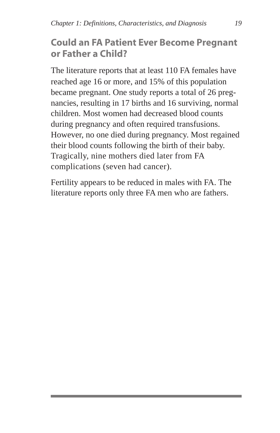#### <span id="page-26-0"></span>**Could an FA Patient Ever Become Pregnant or Father a Child?**

The literature reports that at least 110 FA females have reached age 16 or more, and 15% of this population became pregnant. One study reports a total of 26 pregnancies, resulting in 17 births and 16 surviving, normal children. Most women had decreased blood counts during pregnancy and often required transfusions. However, no one died during pregnancy. Most regained their blood counts following the birth of their baby. Tragically, nine mothers died later from FA complications (seven had cancer).

Fertility appears to be reduced in males with FA. The literature reports only three FA men who are fathers.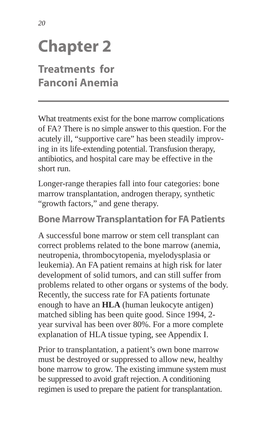# <span id="page-27-0"></span>**Chapter 2**

**Treatments for Fanconi Anemia**

What treatments exist for the bone marrow complications of FA? There is no simple answer to this question. For the acutely ill, "supportive care" has been steadily improving in its life-extending potential. Transfusion therapy, antibiotics, and hospital care may be effective in the short run.

Longer-range therapies fall into four categories: bone marrow transplantation, androgen therapy, synthetic "growth factors," and gene therapy.

**Bone Marrow Transplantation for FA Patients**

A successful bone marrow or stem cell transplant can correct problems related to the bone marrow (anemia, neutropenia, thrombocytopenia, myelodysplasia or leukemia). An FA patient remains at high risk for later development of solid tumors, and can still suffer from problems related to other organs or systems of the body. Recently, the success rate for FA patients fortunate enough to have an **HLA** (human leukocyte antigen) matched sibling has been quite good. Since 1994, 2 year survival has been over 80%. For a more complete explanation of HLA tissue typing, see Appendix I.

Prior to transplantation, a patient's own bone marrow must be destroyed or suppressed to allow new, healthy bone marrow to grow. The existing immune system must be suppressed to avoid graft rejection. A conditioning regimen is used to prepare the patient for transplantation.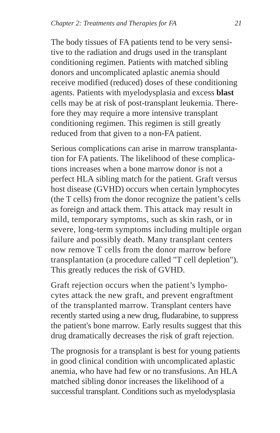The body tissues of FA patients tend to be very sensitive to the radiation and drugs used in the transplant conditioning regimen. Patients with matched sibling donors and uncomplicated aplastic anemia should receive modified (reduced) doses of these conditioning agents. Patients with myelodysplasia and excess **blast** cells may be at risk of post-transplant leukemia. Therefore they may require a more intensive transplant conditioning regimen. This regimen is still greatly reduced from that given to a non-FA patient.

Serious complications can arise in marrow transplantation for FA patients. The likelihood of these complications increases when a bone marrow donor is not a perfect HLA sibling match for the patient. Graft versus host disease (GVHD) occurs when certain lymphocytes (the T cells) from the donor recognize the patient's cells as foreign and attack them. This attack may result in mild, temporary symptoms, such as skin rash, or in severe, long-term symptoms including multiple organ failure and possibly death. Many transplant centers now remove T cells from the donor marrow before transplantation (a procedure called "T cell depletion"). This greatly reduces the risk of GVHD.

Graft rejection occurs when the patient's lymphocytes attack the new graft, and prevent engraftment of the transplanted marrow. Transplant centers have recently started using a new drug, fludarabine, to suppress the patient's bone marrow. Early results suggest that this drug dramatically decreases the risk of graft rejection.

The prognosis for a transplant is best for young patients in good clinical condition with uncomplicated aplastic anemia, who have had few or no transfusions. An HLA matched sibling donor increases the likelihood of a successful transplant. Conditions such as myelodysplasia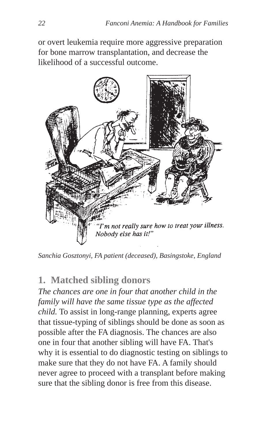<span id="page-29-0"></span>or overt leukemia require more aggressive preparation for bone marrow transplantation, and decrease the likelihood of a successful outcome.



*Sanchia Gosztonyi, FA patient (deceased), Basingstoke, England*

#### **1. Matched sibling donors**

*The chances are one in four that another child in the family will have the same tissue type as the affected child.* To assist in long-range planning, experts agree that tissue-typing of siblings should be done as soon as possible after the FA diagnosis. The chances are also one in four that another sibling will have FA. That's why it is essential to do diagnostic testing on siblings to make sure that they do not have FA. A family should never agree to proceed with a transplant before making sure that the sibling donor is free from this disease.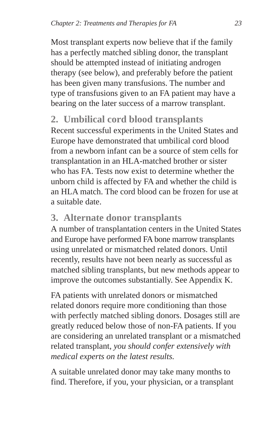<span id="page-30-0"></span>Most transplant experts now believe that if the family has a perfectly matched sibling donor, the transplant should be attempted instead of initiating androgen therapy (see below), and preferably before the patient has been given many transfusions. The number and type of transfusions given to an FA patient may have a bearing on the later success of a marrow transplant.

#### **2. Umbilical cord blood transplants**

Recent successful experiments in the United States and Europe have demonstrated that umbilical cord blood from a newborn infant can be a source of stem cells for transplantation in an HLA-matched brother or sister who has FA. Tests now exist to determine whether the unborn child is affected by FA and whether the child is an HLA match. The cord blood can be frozen for use at a suitable date.

#### **3. Alternate donor transplants**

A number of transplantation centers in the United States and Europe have performed FA bone marrow transplants using unrelated or mismatched related donors. Until recently, results have not been nearly as successful as matched sibling transplants, but new methods appear to improve the outcomes substantially. See Appendix K.

FA patients with unrelated donors or mismatched related donors require more conditioning than those with perfectly matched sibling donors. Dosages still are greatly reduced below those of non-FA patients. If you are considering an unrelated transplant or a mismatched related transplant, *you should confer extensively with medical experts on the latest results.*

A suitable unrelated donor may take many months to find. Therefore, if you, your physician, or a transplant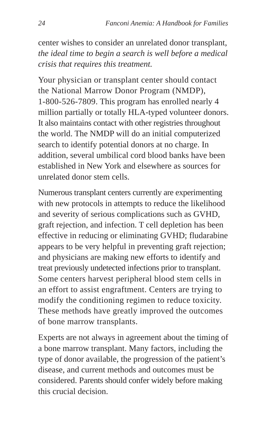center wishes to consider an unrelated donor transplant, *the ideal time to begin a search is well before a medical crisis that requires this treatment.*

Your physician or transplant center should contact the National Marrow Donor Program (NMDP), 1-800-526-7809. This program has enrolled nearly 4 million partially or totally HLA-typed volunteer donors. It also maintains contact with other registries throughout the world. The NMDP will do an initial computerized search to identify potential donors at no charge. In addition, several umbilical cord blood banks have been established in New York and elsewhere as sources for unrelated donor stem cells.

Numerous transplant centers currently are experimenting with new protocols in attempts to reduce the likelihood and severity of serious complications such as GVHD, graft rejection, and infection. T cell depletion has been effective in reducing or eliminating GVHD; fludarabine appears to be very helpful in preventing graft rejection; and physicians are making new efforts to identify and treat previously undetected infections prior to transplant. Some centers harvest peripheral blood stem cells in an effort to assist engraftment. Centers are trying to modify the conditioning regimen to reduce toxicity. These methods have greatly improved the outcomes of bone marrow transplants.

Experts are not always in agreement about the timing of a bone marrow transplant. Many factors, including the type of donor available, the progression of the patient's disease, and current methods and outcomes must be considered. Parents should confer widely before making this crucial decision.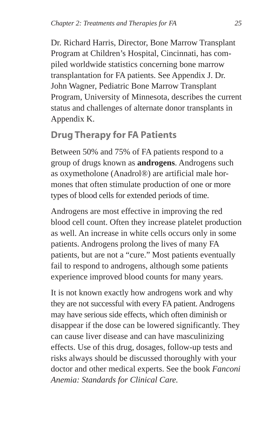<span id="page-32-0"></span>Dr. Richard Harris, Director, Bone Marrow Transplant Program at Children's Hospital, Cincinnati, has compiled worldwide statistics concerning bone marrow transplantation for FA patients. See Appendix J. Dr. John Wagner, Pediatric Bone Marrow Transplant Program, University of Minnesota, describes the current status and challenges of alternate donor transplants in Appendix K.

#### **Drug Therapy for FA Patients**

Between 50% and 75% of FA patients respond to a group of drugs known as **androgens**. Androgens such as oxymetholone (Anadrol®) are artificial male hormones that often stimulate production of one or more types of blood cells for extended periods of time.

Androgens are most effective in improving the red blood cell count. Often they increase platelet production as well. An increase in white cells occurs only in some patients. Androgens prolong the lives of many FA patients, but are not a "cure." Most patients eventually fail to respond to androgens, although some patients experience improved blood counts for many years.

It is not known exactly how androgens work and why they are not successful with every FA patient. Androgens may have serious side effects, which often diminish or disappear if the dose can be lowered significantly. They can cause liver disease and can have masculinizing effects. Use of this drug, dosages, follow-up tests and risks always should be discussed thoroughly with your doctor and other medical experts. See the book *Fanconi Anemia: Standards for Clinical Care.*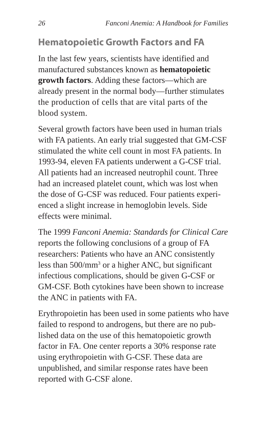#### <span id="page-33-0"></span>**Hematopoietic Growth Factors and FA**

In the last few years, scientists have identified and manufactured substances known as **hematopoietic growth factors**. Adding these factors—which are already present in the normal body—further stimulates the production of cells that are vital parts of the blood system.

Several growth factors have been used in human trials with FA patients. An early trial suggested that GM-CSF stimulated the white cell count in most FA patients. In 1993-94, eleven FA patients underwent a G-CSF trial. All patients had an increased neutrophil count. Three had an increased platelet count, which was lost when the dose of G-CSF was reduced. Four patients experienced a slight increase in hemoglobin levels. Side effects were minimal.

The 1999 *Fanconi Anemia: Standards for Clinical Care* reports the following conclusions of a group of FA researchers: Patients who have an ANC consistently less than 500/mm<sup>3</sup> or a higher ANC, but significant infectious complications, should be given G-CSF or GM-CSF. Both cytokines have been shown to increase the ANC in patients with FA.

Erythropoietin has been used in some patients who have failed to respond to androgens, but there are no published data on the use of this hematopoietic growth factor in FA. One center reports a 30% response rate using erythropoietin with G-CSF. These data are unpublished, and similar response rates have been reported with G-CSF alone.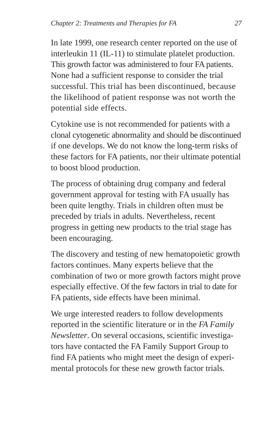In late 1999, one research center reported on the use of interleukin 11 (IL-11) to stimulate platelet production. This growth factor was administered to four FA patients. None had a sufficient response to consider the trial successful. This trial has been discontinued, because the likelihood of patient response was not worth the potential side effects.

Cytokine use is not recommended for patients with a clonal cytogenetic abnormality and should be discontinued if one develops. We do not know the long-term risks of these factors for FA patients, nor their ultimate potential to boost blood production.

The process of obtaining drug company and federal government approval for testing with FA usually has been quite lengthy. Trials in children often must be preceded by trials in adults. Nevertheless, recent progress in getting new products to the trial stage has been encouraging.

The discovery and testing of new hematopoietic growth factors continues. Many experts believe that the combination of two or more growth factors might prove especially effective. Of the few factors in trial to date for FA patients, side effects have been minimal.

We urge interested readers to follow developments reported in the scientific literature or in the *FA Family Newsletter*. On several occasions, scientific investigators have contacted the FA Family Support Group to find FA patients who might meet the design of experimental protocols for these new growth factor trials.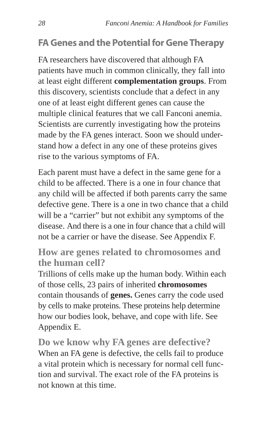#### <span id="page-35-0"></span>**FA Genes and the Potential for Gene Therapy**

FA researchers have discovered that although FA patients have much in common clinically, they fall into at least eight different **complementation groups**. From this discovery, scientists conclude that a defect in any one of at least eight different genes can cause the multiple clinical features that we call Fanconi anemia. Scientists are currently investigating how the proteins made by the FA genes interact. Soon we should understand how a defect in any one of these proteins gives rise to the various symptoms of FA.

Each parent must have a defect in the same gene for a child to be affected. There is a one in four chance that any child will be affected if both parents carry the same defective gene. There is a one in two chance that a child will be a "carrier" but not exhibit any symptoms of the disease. And there is a one in four chance that a child will not be a carrier or have the disease. See Appendix F.

#### **How are genes related to chromosomes and the human cell?**

Trillions of cells make up the human body. Within each of those cells, 23 pairs of inherited **chromosomes** contain thousands of **genes.** Genes carry the code used by cells to make proteins. These proteins help determine how our bodies look, behave, and cope with life. See Appendix E.

**Do we know why FA genes are defective?** When an FA gene is defective, the cells fail to produce a vital protein which is necessary for normal cell function and survival. The exact role of the FA proteins is not known at this time.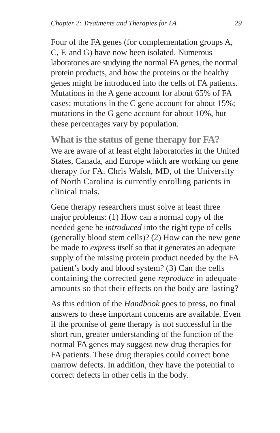Four of the FA genes (for complementation groups A, C, F, and G) have now been isolated. Numerous laboratories are studying the normal FA genes, the normal protein products, and how the proteins or the healthy genes might be introduced into the cells of FA patients. Mutations in the A gene account for about 65% of FA cases; mutations in the C gene account for about 15%; mutations in the G gene account for about 10%, but these percentages vary by population.

**What is the status of gene therapy for FA?** We are aware of at least eight laboratories in the United States, Canada, and Europe which are working on gene therapy for FA. Chris Walsh, MD, of the University of North Carolina is currently enrolling patients in clinical trials.

Gene therapy researchers must solve at least three major problems: (1) How can a normal copy of the needed gene be *introduced* into the right type of cells (generally blood stem cells)? (2) How can the new gene be made to *express* itself so that it generates an adequate supply of the missing protein product needed by the FA patient's body and blood system? (3) Can the cells containing the corrected gene *reproduce* in adequate amounts so that their effects on the body are lasting?

As this edition of the *Handbook* goes to press, no final answers to these important concerns are available. Even if the promise of gene therapy is not successful in the short run, greater understanding of the function of the normal FA genes may suggest new drug therapies for FA patients. These drug therapies could correct bone marrow defects. In addition, they have the potential to correct defects in other cells in the body.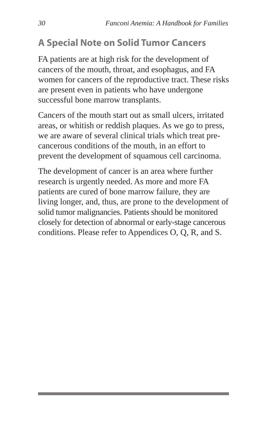### **A Special Note on Solid Tumor Cancers**

FA patients are at high risk for the development of cancers of the mouth, throat, and esophagus, and FA women for cancers of the reproductive tract. These risks are present even in patients who have undergone successful bone marrow transplants.

Cancers of the mouth start out as small ulcers, irritated areas, or whitish or reddish plaques. As we go to press, we are aware of several clinical trials which treat precancerous conditions of the mouth, in an effort to prevent the development of squamous cell carcinoma.

The development of cancer is an area where further research is urgently needed. As more and more FA patients are cured of bone marrow failure, they are living longer, and, thus, are prone to the development of solid tumor malignancies. Patients should be monitored closely for detection of abnormal or early-stage cancerous conditions. Please refer to Appendices O, Q, R, and S.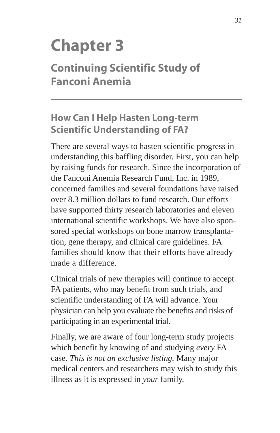# **Chapter 3**

# **Continuing Scientific Study of Fanconi Anemia**

### **How Can I Help Hasten Long-term Scientific Understanding of FA?**

There are several ways to hasten scientific progress in understanding this baffling disorder. First, you can help by raising funds for research. Since the incorporation of the Fanconi Anemia Research Fund, Inc. in 1989, concerned families and several foundations have raised over 8.3 million dollars to fund research. Our efforts have supported thirty research laboratories and eleven international scientific workshops. We have also sponsored special workshops on bone marrow transplantation, gene therapy, and clinical care guidelines. FA families should know that their efforts have already made a difference.

Clinical trials of new therapies will continue to accept FA patients, who may benefit from such trials, and scientific understanding of FA will advance. Your physician can help you evaluate the benefits and risks of participating in an experimental trial.

Finally, we are aware of four long-term study projects which benefit by knowing of and studying *every* FA case. *This is not an exclusive listing.* Many major medical centers and researchers may wish to study this illness as it is expressed in *your* family.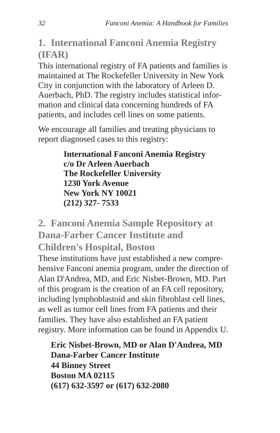### **1. International Fanconi Anemia Registry (IFAR)**

This international registry of FA patients and families is maintained at The Rockefeller University in New York City in conjunction with the laboratory of Arleen D. Auerbach, PhD. The registry includes statistical information and clinical data concerning hundreds of FA patients, and includes cell lines on some patients.

We encourage all families and treating physicians to report diagnosed cases to this registry:

> **International Fanconi Anemia Registry c/o Dr Arleen Auerbach The Rockefeller University 1230 York Avenue New York NY 10021 (212) 327- 7533**

**2. Fanconi Anemia Sample Repository at Dana-Farber Cancer Institute and Children's Hospital, Boston**

These institutions have just established a new comprehensive Fanconi anemia program, under the direction of Alan D'Andrea, MD, and Eric Nisbet-Brown, MD. Part of this program is the creation of an FA cell repository, including lymphoblastoid and skin fibroblast cell lines, as well as tumor cell lines from FA patients and their families. They have also established an FA patient registry. More information can be found in Appendix U.

**Eric Nisbet-Brown, MD or Alan D'Andrea, MD Dana-Farber Cancer Institute 44 Binney Street Boston MA 02115 (617) 632-3597 or (617) 632-2080**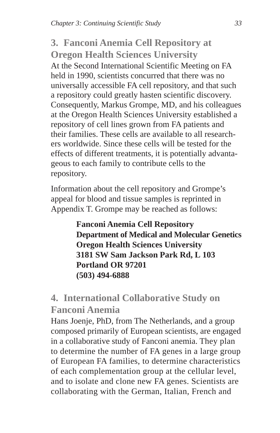**3. Fanconi Anemia Cell Repository at Oregon Health Sciences University** At the Second International Scientific Meeting on FA held in 1990, scientists concurred that there was no universally accessible FA cell repository, and that such a repository could greatly hasten scientific discovery. Consequently, Markus Grompe, MD, and his colleagues at the Oregon Health Sciences University established a repository of cell lines grown from FA patients and their families. These cells are available to all researchers worldwide. Since these cells will be tested for the effects of different treatments, it is potentially advantageous to each family to contribute cells to the repository.

Information about the cell repository and Grompe's appeal for blood and tissue samples is reprinted in Appendix T. Grompe may be reached as follows:

> **Fanconi Anemia Cell Repository Department of Medical and Molecular Genetics Oregon Health Sciences University 3181 SW Sam Jackson Park Rd, L 103 Portland OR 97201 (503) 494-6888**

#### **4. International Collaborative Study on Fanconi Anemia**

Hans Joenje, PhD, from The Netherlands, and a group composed primarily of European scientists, are engaged in a collaborative study of Fanconi anemia. They plan to determine the number of FA genes in a large group of European FA families, to determine characteristics of each complementation group at the cellular level, and to isolate and clone new FA genes. Scientists are collaborating with the German, Italian, French and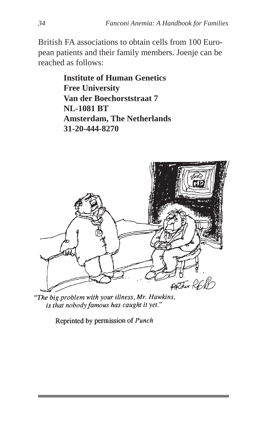British FA associations to obtain cells from 100 European patients and their family members. Joenje can be reached as follows:

> **Institute of Human Genetics Free University Van der Boechorststraat 7 NL-1081 BT Amsterdam, The Netherlands 31-20-444-8270**



"The big problem with your illness, Mr. Hawkins, is that nobody famous has caught it yet."

Reprinted by permission of *Punch*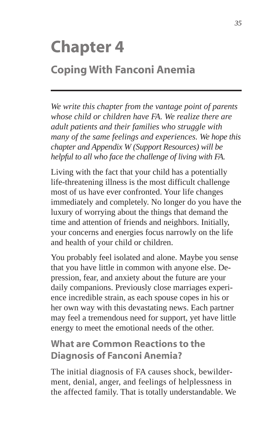# **Chapter 4 Coping With Fanconi Anemia**

*We write this chapter from the vantage point of parents whose child or children have FA. We realize there are adult patients and their families who struggle with many of the same feelings and experiences. We hope this chapter and Appendix W (Support Resources) will be helpful to all who face the challenge of living with FA.*

Living with the fact that your child has a potentially life-threatening illness is the most difficult challenge most of us have ever confronted. Your life changes immediately and completely. No longer do you have the luxury of worrying about the things that demand the time and attention of friends and neighbors. Initially, your concerns and energies focus narrowly on the life and health of your child or children.

You probably feel isolated and alone. Maybe you sense that you have little in common with anyone else. Depression, fear, and anxiety about the future are your daily companions. Previously close marriages experience incredible strain, as each spouse copes in his or her own way with this devastating news. Each partner may feel a tremendous need for support, yet have little energy to meet the emotional needs of the other.

#### **What are Common Reactions to the Diagnosis of Fanconi Anemia?**

The initial diagnosis of FA causes shock, bewilderment, denial, anger, and feelings of helplessness in the affected family. That is totally understandable. We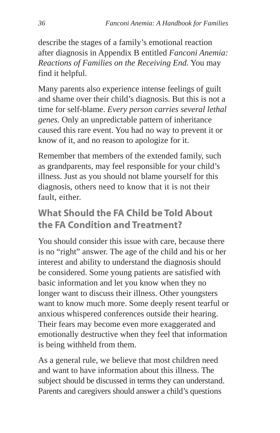describe the stages of a family's emotional reaction after diagnosis in Appendix B entitled *Fanconi Anemia: Reactions of Families on the Receiving End.* You may find it helpful.

Many parents also experience intense feelings of guilt and shame over their child's diagnosis. But this is not a time for self-blame. *Every person carries several lethal genes.* Only an unpredictable pattern of inheritance caused this rare event. You had no way to prevent it or know of it, and no reason to apologize for it.

Remember that members of the extended family, such as grandparents, may feel responsible for your child's illness. Just as you should not blame yourself for this diagnosis, others need to know that it is not their fault, either.

### **What Should the FA Child be Told About the FA Condition and Treatment?**

You should consider this issue with care, because there is no "right" answer. The age of the child and his or her interest and ability to understand the diagnosis should be considered. Some young patients are satisfied with basic information and let you know when they no longer want to discuss their illness. Other youngsters want to know much more. Some deeply resent tearful or anxious whispered conferences outside their hearing. Their fears may become even more exaggerated and emotionally destructive when they feel that information is being withheld from them.

As a general rule, we believe that most children need and want to have information about this illness. The subject should be discussed in terms they can understand. Parents and caregivers should answer a child's questions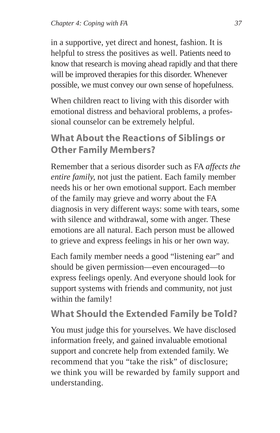in a supportive, yet direct and honest, fashion. It is helpful to stress the positives as well. Patients need to know that research is moving ahead rapidly and that there will be improved therapies for this disorder. Whenever possible, we must convey our own sense of hopefulness.

When children react to living with this disorder with emotional distress and behavioral problems, a professional counselor can be extremely helpful.

### **What About the Reactions of Siblings or Other Family Members?**

Remember that a serious disorder such as FA *affects the entire family,* not just the patient. Each family member needs his or her own emotional support. Each member of the family may grieve and worry about the FA diagnosis in very different ways: some with tears, some with silence and withdrawal, some with anger. These emotions are all natural. Each person must be allowed to grieve and express feelings in his or her own way.

Each family member needs a good "listening ear" and should be given permission—even encouraged—to express feelings openly. And everyone should look for support systems with friends and community, not just within the family!

#### **What Should the Extended Family be Told?**

You must judge this for yourselves. We have disclosed information freely, and gained invaluable emotional support and concrete help from extended family. We recommend that you "take the risk" of disclosure; we think you will be rewarded by family support and understanding.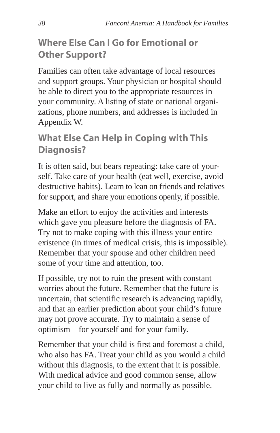### **Where Else Can I Go for Emotional or Other Support?**

Families can often take advantage of local resources and support groups. Your physician or hospital should be able to direct you to the appropriate resources in your community. A listing of state or national organizations, phone numbers, and addresses is included in Appendix W.

### **What Else Can Help in Coping with This Diagnosis?**

It is often said, but bears repeating: take care of yourself. Take care of your health (eat well, exercise, avoid destructive habits). Learn to lean on friends and relatives for support, and share your emotions openly, if possible.

Make an effort to enjoy the activities and interests which gave you pleasure before the diagnosis of FA. Try not to make coping with this illness your entire existence (in times of medical crisis, this is impossible). Remember that your spouse and other children need some of your time and attention, too.

If possible, try not to ruin the present with constant worries about the future. Remember that the future is uncertain, that scientific research is advancing rapidly, and that an earlier prediction about your child's future may not prove accurate. Try to maintain a sense of optimism—for yourself and for your family.

Remember that your child is first and foremost a child, who also has FA. Treat your child as you would a child without this diagnosis, to the extent that it is possible. With medical advice and good common sense, allow your child to live as fully and normally as possible.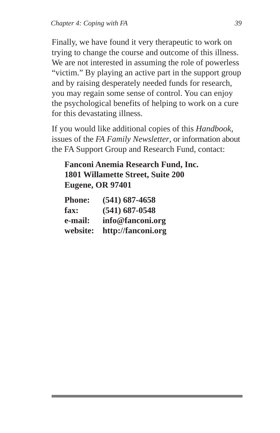Finally, we have found it very therapeutic to work on trying to change the course and outcome of this illness. We are not interested in assuming the role of powerless "victim." By playing an active part in the support group and by raising desperately needed funds for research, you may regain some sense of control. You can enjoy the psychological benefits of helping to work on a cure for this devastating illness.

If you would like additional copies of this *Handbook*, issues of the *FA Family Newsletter*, or information about the FA Support Group and Research Fund, contact:

**Fanconi Anemia Research Fund, Inc. 1801 Willamette Street, Suite 200 Eugene, OR 97401**

| <b>Phone:</b> | $(541)$ 687-4658   |
|---------------|--------------------|
| fax:          | $(541)$ 687-0548   |
| e-mail:       | info@fanconi.org   |
| website:      | http://fanconi.org |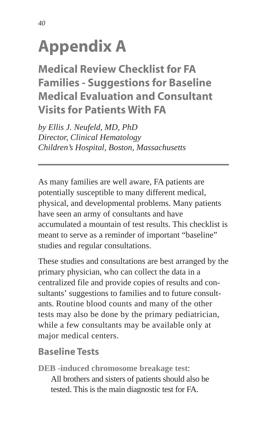# **Appendix A**

**Medical Review Checklist for FA Families - Suggestions for Baseline Medical Evaluation and Consultant Visits for Patients With FA**

*by Ellis J. Neufeld, MD, PhD Director, Clinical Hematology Children's Hospital, Boston, Massachusetts*

As many families are well aware, FA patients are potentially susceptible to many different medical, physical, and developmental problems. Many patients have seen an army of consultants and have accumulated a mountain of test results. This checklist is meant to serve as a reminder of important "baseline" studies and regular consultations.

These studies and consultations are best arranged by the primary physician, who can collect the data in a centralized file and provide copies of results and consultants' suggestions to families and to future consultants. Routine blood counts and many of the other tests may also be done by the primary pediatrician, while a few consultants may be available only at major medical centers.

### **Baseline Tests**

**DEB -induced chromosome breakage test**: All brothers and sisters of patients should also be tested. This is the main diagnostic test for FA.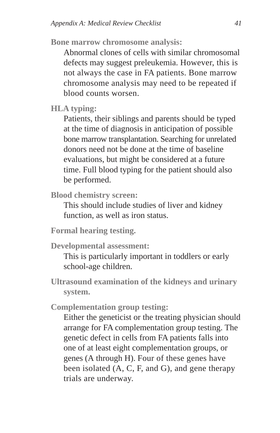**Bone marrow chromosome analysis:**

Abnormal clones of cells with similar chromosomal defects may suggest preleukemia. However, this is not always the case in FA patients. Bone marrow chromosome analysis may need to be repeated if blood counts worsen.

**HLA typing:**

Patients, their siblings and parents should be typed at the time of diagnosis in anticipation of possible bone marrow transplantation. Searching for unrelated donors need not be done at the time of baseline evaluations, but might be considered at a future time. Full blood typing for the patient should also be performed.

**Blood chemistry screen:**

This should include studies of liver and kidney function, as well as iron status.

**Formal hearing testing.**

**Developmental assessment:**

This is particularly important in toddlers or early school-age children.

**Ultrasound examination of the kidneys and urinary system.**

**Complementation group testing:**

Either the geneticist or the treating physician should arrange for FA complementation group testing. The genetic defect in cells from FA patients falls into one of at least eight complementation groups, or genes (A through H). Four of these genes have been isolated (A, C, F, and G), and gene therapy trials are underway.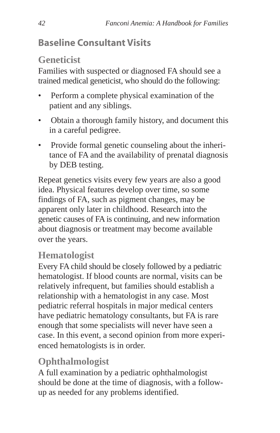## **Baseline Consultant Visits**

### **Geneticist**

Families with suspected or diagnosed FA should see a trained medical geneticist, who should do the following:

- Perform a complete physical examination of the patient and any siblings.
- Obtain a thorough family history, and document this in a careful pedigree.
- Provide formal genetic counseling about the inheritance of FA and the availability of prenatal diagnosis by DEB testing.

Repeat genetics visits every few years are also a good idea. Physical features develop over time, so some findings of FA, such as pigment changes, may be apparent only later in childhood. Research into the genetic causes of FA is continuing, and new information about diagnosis or treatment may become available over the years.

### **Hematologist**

Every FA child should be closely followed by a pediatric hematologist. If blood counts are normal, visits can be relatively infrequent, but families should establish a relationship with a hematologist in any case. Most pediatric referral hospitals in major medical centers have pediatric hematology consultants, but FA is rare enough that some specialists will never have seen a case. In this event, a second opinion from more experienced hematologists is in order.

### **Ophthalmologist**

A full examination by a pediatric ophthalmologist should be done at the time of diagnosis, with a followup as needed for any problems identified.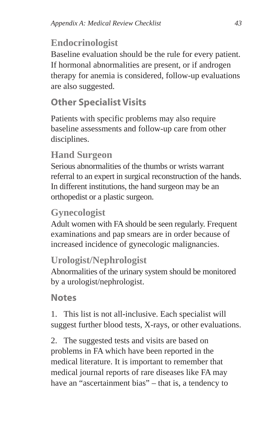#### **Endocrinologist**

Baseline evaluation should be the rule for every patient. If hormonal abnormalities are present, or if androgen therapy for anemia is considered, follow-up evaluations are also suggested.

#### **Other Specialist Visits**

Patients with specific problems may also require baseline assessments and follow-up care from other disciplines.

#### **Hand Surgeon**

Serious abnormalities of the thumbs or wrists warrant referral to an expert in surgical reconstruction of the hands. In different institutions, the hand surgeon may be an orthopedist or a plastic surgeon.

#### **Gynecologist**

Adult women with FA should be seen regularly. Frequent examinations and pap smears are in order because of increased incidence of gynecologic malignancies.

#### **Urologist/Nephrologist**

Abnormalities of the urinary system should be monitored by a urologist/nephrologist.

#### **Notes**

1. This list is not all-inclusive. Each specialist will suggest further blood tests, X-rays, or other evaluations.

2. The suggested tests and visits are based on problems in FA which have been reported in the medical literature. It is important to remember that medical journal reports of rare diseases like FA may have an "ascertainment bias" – that is, a tendency to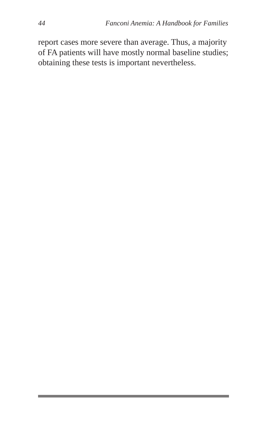report cases more severe than average. Thus, a majority of FA patients will have mostly normal baseline studies; obtaining these tests is important nevertheless.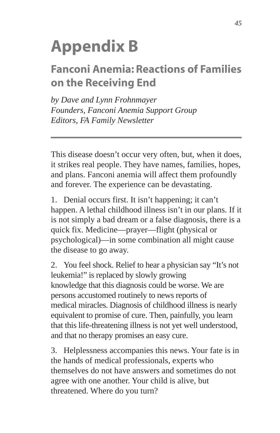# **Appendix B**

# **Fanconi Anemia: Reactions of Families on the Receiving End**

*by Dave and Lynn Frohnmayer Founders, Fanconi Anemia Support Group Editors, FA Family Newsletter*

This disease doesn't occur very often, but, when it does, it strikes real people. They have names, families, hopes, and plans. Fanconi anemia will affect them profoundly and forever. The experience can be devastating.

1. Denial occurs first. It isn't happening; it can't happen. A lethal childhood illness isn't in our plans. If it is not simply a bad dream or a false diagnosis, there is a quick fix. Medicine—prayer—flight (physical or psychological)—in some combination all might cause the disease to go away.

2. You feel shock. Relief to hear a physician say "It's not leukemia!" is replaced by slowly growing knowledge that this diagnosis could be worse. We are persons accustomed routinely to news reports of medical miracles. Diagnosis of childhood illness is nearly equivalent to promise of cure. Then, painfully, you learn that this life-threatening illness is not yet well understood, and that no therapy promises an easy cure.

3. Helplessness accompanies this news. Your fate is in the hands of medical professionals, experts who themselves do not have answers and sometimes do not agree with one another. Your child is alive, but threatened. Where do you turn?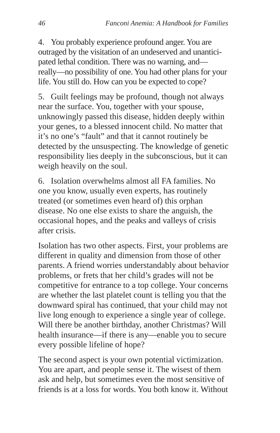4. You probably experience profound anger. You are outraged by the visitation of an undeserved and unanticipated lethal condition. There was no warning, and really—no possibility of one. You had other plans for your life. You still do. How can you be expected to cope?

5. Guilt feelings may be profound, though not always near the surface. You, together with your spouse, unknowingly passed this disease, hidden deeply within your genes, to a blessed innocent child. No matter that it's no one's "fault" and that it cannot routinely be detected by the unsuspecting. The knowledge of genetic responsibility lies deeply in the subconscious, but it can weigh heavily on the soul.

6. Isolation overwhelms almost all FA families. No one you know, usually even experts, has routinely treated (or sometimes even heard of) this orphan disease. No one else exists to share the anguish, the occasional hopes, and the peaks and valleys of crisis after crisis.

Isolation has two other aspects. First, your problems are different in quality and dimension from those of other parents. A friend worries understandably about behavior problems, or frets that her child's grades will not be competitive for entrance to a top college. Your concerns are whether the last platelet count is telling you that the downward spiral has continued, that your child may not live long enough to experience a single year of college. Will there be another birthday, another Christmas? Will health insurance—if there is any—enable you to secure every possible lifeline of hope?

The second aspect is your own potential victimization. You are apart, and people sense it. The wisest of them ask and help, but sometimes even the most sensitive of friends is at a loss for words. You both know it. Without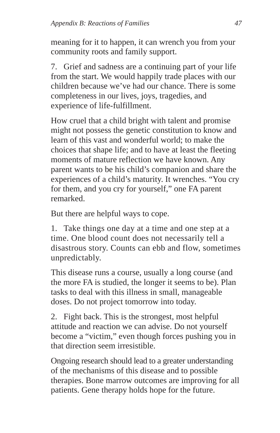meaning for it to happen, it can wrench you from your community roots and family support.

7. Grief and sadness are a continuing part of your life from the start. We would happily trade places with our children because we've had our chance. There is some completeness in our lives, joys, tragedies, and experience of life-fulfillment.

How cruel that a child bright with talent and promise might not possess the genetic constitution to know and learn of this vast and wonderful world; to make the choices that shape life; and to have at least the fleeting moments of mature reflection we have known. Any parent wants to be his child's companion and share the experiences of a child's maturity. It wrenches. "You cry for them, and you cry for yourself," one FA parent remarked.

But there are helpful ways to cope.

1. Take things one day at a time and one step at a time. One blood count does not necessarily tell a disastrous story. Counts can ebb and flow, sometimes unpredictably.

This disease runs a course, usually a long course (and the more FA is studied, the longer it seems to be). Plan tasks to deal with this illness in small, manageable doses. Do not project tomorrow into today.

2. Fight back. This is the strongest, most helpful attitude and reaction we can advise. Do not yourself become a "victim," even though forces pushing you in that direction seem irresistible.

Ongoing research should lead to a greater understanding of the mechanisms of this disease and to possible therapies. Bone marrow outcomes are improving for all patients. Gene therapy holds hope for the future.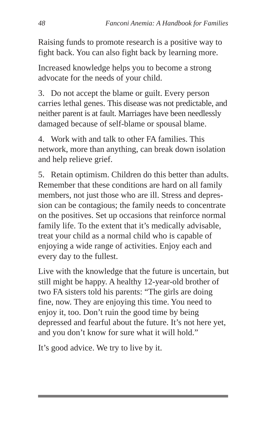Raising funds to promote research is a positive way to fight back. You can also fight back by learning more.

Increased knowledge helps you to become a strong advocate for the needs of your child.

3. Do not accept the blame or guilt. Every person carries lethal genes. This disease was not predictable, and neither parent is at fault. Marriages have been needlessly damaged because of self-blame or spousal blame.

4. Work with and talk to other FA families. This network, more than anything, can break down isolation and help relieve grief.

5. Retain optimism. Children do this better than adults. Remember that these conditions are hard on all family members, not just those who are ill. Stress and depression can be contagious; the family needs to concentrate on the positives. Set up occasions that reinforce normal family life. To the extent that it's medically advisable, treat your child as a normal child who is capable of enjoying a wide range of activities. Enjoy each and every day to the fullest.

Live with the knowledge that the future is uncertain, but still might be happy. A healthy 12-year-old brother of two FA sisters told his parents: "The girls are doing fine, now. They are enjoying this time. You need to enjoy it, too. Don't ruin the good time by being depressed and fearful about the future. It's not here yet, and you don't know for sure what it will hold."

It's good advice. We try to live by it.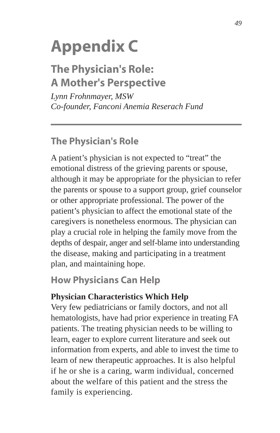# **Appendix C**

## **The Physician's Role: A Mother's Perspective**

*Lynn Frohnmayer, MSW Co-founder, Fanconi Anemia Reserach Fund*

## **The Physician's Role**

A patient's physician is not expected to "treat" the emotional distress of the grieving parents or spouse, although it may be appropriate for the physician to refer the parents or spouse to a support group, grief counselor or other appropriate professional. The power of the patient's physician to affect the emotional state of the caregivers is nonetheless enormous. The physician can play a crucial role in helping the family move from the depths of despair, anger and self-blame into understanding the disease, making and participating in a treatment plan, and maintaining hope.

#### **How Physicians Can Help**

#### **Physician Characteristics Which Help**

Very few pediatricians or family doctors, and not all hematologists, have had prior experience in treating FA patients. The treating physician needs to be willing to learn, eager to explore current literature and seek out information from experts, and able to invest the time to learn of new therapeutic approaches. It is also helpful if he or she is a caring, warm individual, concerned about the welfare of this patient and the stress the family is experiencing.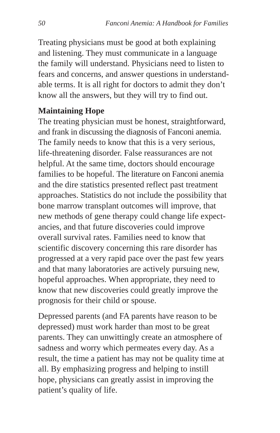Treating physicians must be good at both explaining and listening. They must communicate in a language the family will understand. Physicians need to listen to fears and concerns, and answer questions in understandable terms. It is all right for doctors to admit they don't know all the answers, but they will try to find out.

#### **Maintaining Hope**

The treating physician must be honest, straightforward, and frank in discussing the diagnosis of Fanconi anemia. The family needs to know that this is a very serious, life-threatening disorder. False reassurances are not helpful. At the same time, doctors should encourage families to be hopeful. The literature on Fanconi anemia and the dire statistics presented reflect past treatment approaches. Statistics do not include the possibility that bone marrow transplant outcomes will improve, that new methods of gene therapy could change life expectancies, and that future discoveries could improve overall survival rates. Families need to know that scientific discovery concerning this rare disorder has progressed at a very rapid pace over the past few years and that many laboratories are actively pursuing new, hopeful approaches. When appropriate, they need to know that new discoveries could greatly improve the prognosis for their child or spouse.

Depressed parents (and FA parents have reason to be depressed) must work harder than most to be great parents. They can unwittingly create an atmosphere of sadness and worry which permeates every day. As a result, the time a patient has may not be quality time at all. By emphasizing progress and helping to instill hope, physicians can greatly assist in improving the patient's quality of life.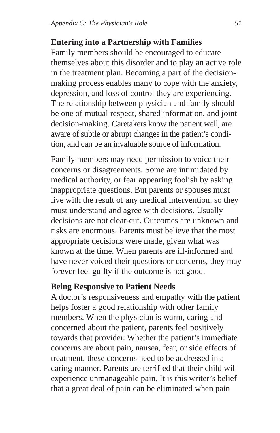#### **Entering into a Partnership with Families**

Family members should be encouraged to educate themselves about this disorder and to play an active role in the treatment plan. Becoming a part of the decisionmaking process enables many to cope with the anxiety, depression, and loss of control they are experiencing. The relationship between physician and family should be one of mutual respect, shared information, and joint decision-making. Caretakers know the patient well, are aware of subtle or abrupt changes in the patient's condition, and can be an invaluable source of information.

Family members may need permission to voice their concerns or disagreements. Some are intimidated by medical authority, or fear appearing foolish by asking inappropriate questions. But parents or spouses must live with the result of any medical intervention, so they must understand and agree with decisions. Usually decisions are not clear-cut. Outcomes are unknown and risks are enormous. Parents must believe that the most appropriate decisions were made, given what was known at the time. When parents are ill-informed and have never voiced their questions or concerns, they may forever feel guilty if the outcome is not good.

#### **Being Responsive to Patient Needs**

A doctor's responsiveness and empathy with the patient helps foster a good relationship with other family members. When the physician is warm, caring and concerned about the patient, parents feel positively towards that provider. Whether the patient's immediate concerns are about pain, nausea, fear, or side effects of treatment, these concerns need to be addressed in a caring manner. Parents are terrified that their child will experience unmanageable pain. It is this writer's belief that a great deal of pain can be eliminated when pain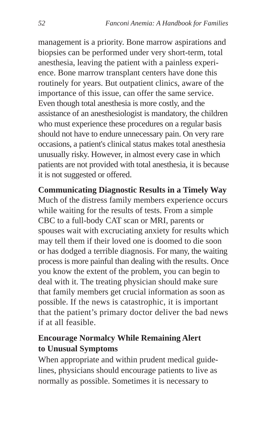management is a priority. Bone marrow aspirations and biopsies can be performed under very short-term, total anesthesia, leaving the patient with a painless experience. Bone marrow transplant centers have done this routinely for years. But outpatient clinics, aware of the importance of this issue, can offer the same service. Even though total anesthesia is more costly, and the assistance of an anesthesiologist is mandatory, the children who must experience these procedures on a regular basis should not have to endure unnecessary pain. On very rare occasions, a patient's clinical status makes total anesthesia unusually risky. However, in almost every case in which patients are not provided with total anesthesia, it is because it is not suggested or offered.

**Communicating Diagnostic Results in a Timely Way** Much of the distress family members experience occurs while waiting for the results of tests. From a simple CBC to a full-body CAT scan or MRI, parents or spouses wait with excruciating anxiety for results which may tell them if their loved one is doomed to die soon or has dodged a terrible diagnosis. For many, the waiting process is more painful than dealing with the results. Once you know the extent of the problem, you can begin to deal with it. The treating physician should make sure that family members get crucial information as soon as possible. If the news is catastrophic, it is important that the patient's primary doctor deliver the bad news if at all feasible.

#### **Encourage Normalcy While Remaining Alert to Unusual Symptoms**

When appropriate and within prudent medical guidelines, physicians should encourage patients to live as normally as possible. Sometimes it is necessary to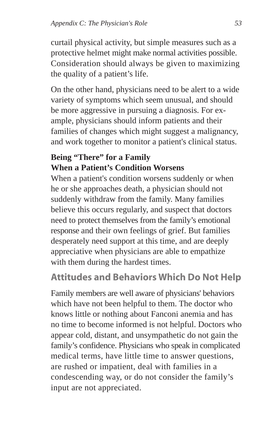curtail physical activity, but simple measures such as a protective helmet might make normal activities possible. Consideration should always be given to maximizing the quality of a patient's life.

On the other hand, physicians need to be alert to a wide variety of symptoms which seem unusual, and should be more aggressive in pursuing a diagnosis. For example, physicians should inform patients and their families of changes which might suggest a malignancy, and work together to monitor a patient's clinical status.

#### **Being "There" for a Family When a Patient's Condition Worsens**

When a patient's condition worsens suddenly or when he or she approaches death, a physician should not suddenly withdraw from the family. Many families believe this occurs regularly, and suspect that doctors need to protect themselves from the family's emotional response and their own feelings of grief. But families desperately need support at this time, and are deeply appreciative when physicians are able to empathize with them during the hardest times.

#### **Attitudes and Behaviors Which Do Not Help**

Family members are well aware of physicians' behaviors which have not been helpful to them. The doctor who knows little or nothing about Fanconi anemia and has no time to become informed is not helpful. Doctors who appear cold, distant, and unsympathetic do not gain the family's confidence. Physicians who speak in complicated medical terms, have little time to answer questions, are rushed or impatient, deal with families in a condescending way, or do not consider the family's input are not appreciated.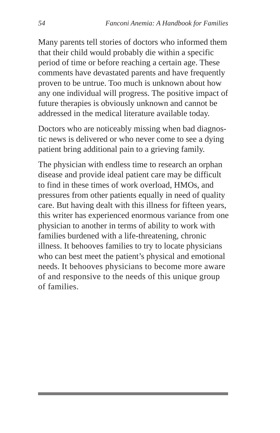Many parents tell stories of doctors who informed them that their child would probably die within a specific period of time or before reaching a certain age. These comments have devastated parents and have frequently proven to be untrue. Too much is unknown about how any one individual will progress. The positive impact of future therapies is obviously unknown and cannot be addressed in the medical literature available today.

Doctors who are noticeably missing when bad diagnostic news is delivered or who never come to see a dying patient bring additional pain to a grieving family.

The physician with endless time to research an orphan disease and provide ideal patient care may be difficult to find in these times of work overload, HMOs, and pressures from other patients equally in need of quality care. But having dealt with this illness for fifteen years, this writer has experienced enormous variance from one physician to another in terms of ability to work with families burdened with a life-threatening, chronic illness. It behooves families to try to locate physicians who can best meet the patient's physical and emotional needs. It behooves physicians to become more aware of and responsive to the needs of this unique group of families.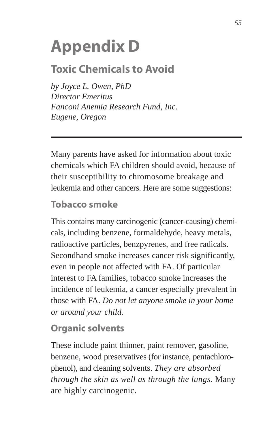# **Appendix D**

## **Toxic Chemicals to Avoid**

*by Joyce L. Owen, PhD Director Emeritus Fanconi Anemia Research Fund, Inc. Eugene, Oregon*

Many parents have asked for information about toxic chemicals which FA children should avoid, because of their susceptibility to chromosome breakage and leukemia and other cancers. Here are some suggestions:

#### **Tobacco smoke**

This contains many carcinogenic (cancer-causing) chemicals, including benzene, formaldehyde, heavy metals, radioactive particles, benzpyrenes, and free radicals. Secondhand smoke increases cancer risk significantly, even in people not affected with FA. Of particular interest to FA families, tobacco smoke increases the incidence of leukemia, a cancer especially prevalent in those with FA. *Do not let anyone smoke in your home or around your child.*

#### **Organic solvents**

These include paint thinner, paint remover, gasoline, benzene, wood preservatives (for instance, pentachlorophenol), and cleaning solvents. *They are absorbed through the skin as well as through the lungs.* Many are highly carcinogenic.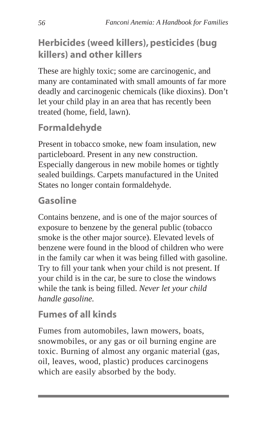## **Herbicides (weed killers), pesticides (bug killers) and other killers**

These are highly toxic; some are carcinogenic, and many are contaminated with small amounts of far more deadly and carcinogenic chemicals (like dioxins). Don't let your child play in an area that has recently been treated (home, field, lawn).

## **Formaldehyde**

Present in tobacco smoke, new foam insulation, new particleboard. Present in any new construction. Especially dangerous in new mobile homes or tightly sealed buildings. Carpets manufactured in the United States no longer contain formaldehyde.

## **Gasoline**

Contains benzene, and is one of the major sources of exposure to benzene by the general public (tobacco smoke is the other major source). Elevated levels of benzene were found in the blood of children who were in the family car when it was being filled with gasoline. Try to fill your tank when your child is not present. If your child is in the car, be sure to close the windows while the tank is being filled. *Never let your child handle gasoline.*

### **Fumes of all kinds**

Fumes from automobiles, lawn mowers, boats, snowmobiles, or any gas or oil burning engine are toxic. Burning of almost any organic material (gas, oil, leaves, wood, plastic) produces carcinogens which are easily absorbed by the body.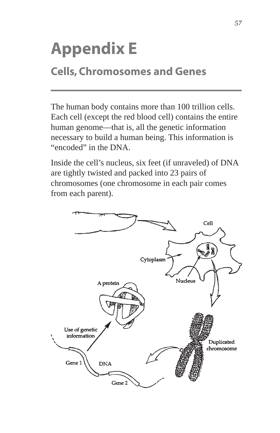# **Appendix E**

## **Cells, Chromosomes and Genes**

The human body contains more than 100 trillion cells. Each cell (except the red blood cell) contains the entire human genome—that is, all the genetic information necessary to build a human being. This information is "encoded" in the DNA.

Inside the cell's nucleus, six feet (if unraveled) of DNA are tightly twisted and packed into 23 pairs of chromosomes (one chromosome in each pair comes from each parent).

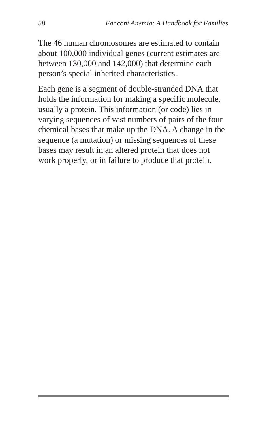The 46 human chromosomes are estimated to contain about 100,000 individual genes (current estimates are between 130,000 and 142,000) that determine each person's special inherited characteristics.

Each gene is a segment of double-stranded DNA that holds the information for making a specific molecule, usually a protein. This information (or code) lies in varying sequences of vast numbers of pairs of the four chemical bases that make up the DNA. A change in the sequence (a mutation) or missing sequences of these bases may result in an altered protein that does not work properly, or in failure to produce that protein.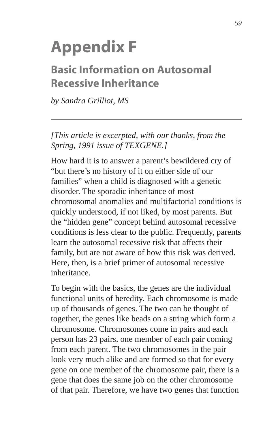# **Appendix F**

# **Basic Information on Autosomal Recessive Inheritance**

*by Sandra Grilliot, MS*

#### *[This article is excerpted, with our thanks, from the Spring, 1991 issue of TEXGENE.]*

How hard it is to answer a parent's bewildered cry of "but there's no history of it on either side of our families" when a child is diagnosed with a genetic disorder. The sporadic inheritance of most chromosomal anomalies and multifactorial conditions is quickly understood, if not liked, by most parents. But the "hidden gene" concept behind autosomal recessive conditions is less clear to the public. Frequently, parents learn the autosomal recessive risk that affects their family, but are not aware of how this risk was derived. Here, then, is a brief primer of autosomal recessive inheritance.

To begin with the basics, the genes are the individual functional units of heredity. Each chromosome is made up of thousands of genes. The two can be thought of together, the genes like beads on a string which form a chromosome. Chromosomes come in pairs and each person has 23 pairs, one member of each pair coming from each parent. The two chromosomes in the pair look very much alike and are formed so that for every gene on one member of the chromosome pair, there is a gene that does the same job on the other chromosome of that pair. Therefore, we have two genes that function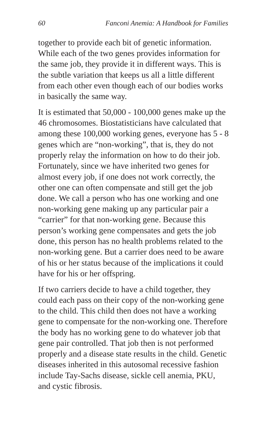together to provide each bit of genetic information. While each of the two genes provides information for the same job, they provide it in different ways. This is the subtle variation that keeps us all a little different from each other even though each of our bodies works in basically the same way.

It is estimated that 50,000 - 100,000 genes make up the 46 chromosomes. Biostatisticians have calculated that among these 100,000 working genes, everyone has 5 - 8 genes which are "non-working", that is, they do not properly relay the information on how to do their job. Fortunately, since we have inherited two genes for almost every job, if one does not work correctly, the other one can often compensate and still get the job done. We call a person who has one working and one non-working gene making up any particular pair a "carrier" for that non-working gene. Because this person's working gene compensates and gets the job done, this person has no health problems related to the non-working gene. But a carrier does need to be aware of his or her status because of the implications it could have for his or her offspring.

If two carriers decide to have a child together, they could each pass on their copy of the non-working gene to the child. This child then does not have a working gene to compensate for the non-working one. Therefore the body has no working gene to do whatever job that gene pair controlled. That job then is not performed properly and a disease state results in the child. Genetic diseases inherited in this autosomal recessive fashion include Tay-Sachs disease, sickle cell anemia, PKU, and cystic fibrosis.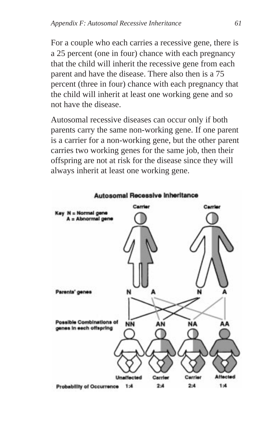For a couple who each carries a recessive gene, there is a 25 percent (one in four) chance with each pregnancy that the child will inherit the recessive gene from each parent and have the disease. There also then is a 75 percent (three in four) chance with each pregnancy that the child will inherit at least one working gene and so not have the disease.

Autosomal recessive diseases can occur only if both parents carry the same non-working gene. If one parent is a carrier for a non-working gene, but the other parent carries two working genes for the same job, then their offspring are not at risk for the disease since they will always inherit at least one working gene.

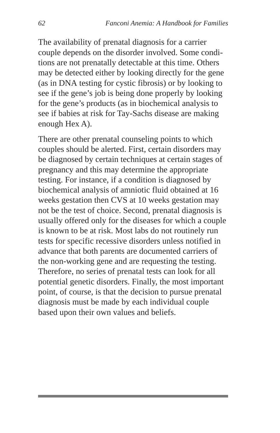The availability of prenatal diagnosis for a carrier couple depends on the disorder involved. Some conditions are not prenatally detectable at this time. Others may be detected either by looking directly for the gene (as in DNA testing for cystic fibrosis) or by looking to see if the gene's job is being done properly by looking for the gene's products (as in biochemical analysis to see if babies at risk for Tay-Sachs disease are making enough Hex A).

There are other prenatal counseling points to which couples should be alerted. First, certain disorders may be diagnosed by certain techniques at certain stages of pregnancy and this may determine the appropriate testing. For instance, if a condition is diagnosed by biochemical analysis of amniotic fluid obtained at 16 weeks gestation then CVS at 10 weeks gestation may not be the test of choice. Second, prenatal diagnosis is usually offered only for the diseases for which a couple is known to be at risk. Most labs do not routinely run tests for specific recessive disorders unless notified in advance that both parents are documented carriers of the non-working gene and are requesting the testing. Therefore, no series of prenatal tests can look for all potential genetic disorders. Finally, the most important point, of course, is that the decision to pursue prenatal diagnosis must be made by each individual couple based upon their own values and beliefs.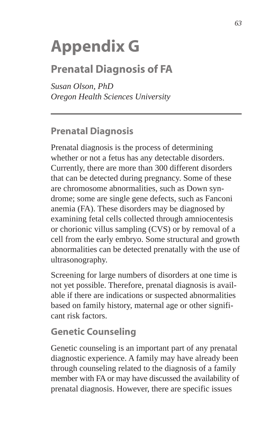# **Appendix G**

## **Prenatal Diagnosis of FA**

*Susan Olson, PhD Oregon Health Sciences University*

#### **Prenatal Diagnosis**

Prenatal diagnosis is the process of determining whether or not a fetus has any detectable disorders. Currently, there are more than 300 different disorders that can be detected during pregnancy. Some of these are chromosome abnormalities, such as Down syndrome; some are single gene defects, such as Fanconi anemia (FA). These disorders may be diagnosed by examining fetal cells collected through amniocentesis or chorionic villus sampling (CVS) or by removal of a cell from the early embryo. Some structural and growth abnormalities can be detected prenatally with the use of ultrasonography.

Screening for large numbers of disorders at one time is not yet possible. Therefore, prenatal diagnosis is available if there are indications or suspected abnormalities based on family history, maternal age or other significant risk factors.

#### **Genetic Counseling**

Genetic counseling is an important part of any prenatal diagnostic experience. A family may have already been through counseling related to the diagnosis of a family member with FA or may have discussed the availability of prenatal diagnosis. However, there are specific issues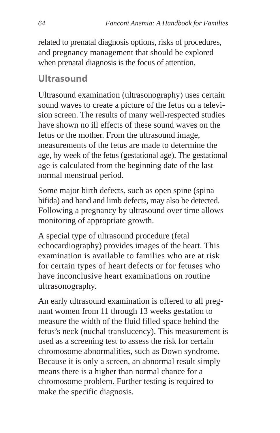related to prenatal diagnosis options, risks of procedures, and pregnancy management that should be explored when prenatal diagnosis is the focus of attention.

#### **Ultrasound**

Ultrasound examination (ultrasonography) uses certain sound waves to create a picture of the fetus on a television screen. The results of many well-respected studies have shown no ill effects of these sound waves on the fetus or the mother. From the ultrasound image, measurements of the fetus are made to determine the age, by week of the fetus (gestational age). The gestational age is calculated from the beginning date of the last normal menstrual period.

Some major birth defects, such as open spine (spina bifida) and hand and limb defects, may also be detected. Following a pregnancy by ultrasound over time allows monitoring of appropriate growth.

A special type of ultrasound procedure (fetal echocardiography) provides images of the heart. This examination is available to families who are at risk for certain types of heart defects or for fetuses who have inconclusive heart examinations on routine ultrasonography.

An early ultrasound examination is offered to all pregnant women from 11 through 13 weeks gestation to measure the width of the fluid filled space behind the fetus's neck (nuchal translucency). This measurement is used as a screening test to assess the risk for certain chromosome abnormalities, such as Down syndrome. Because it is only a screen, an abnormal result simply means there is a higher than normal chance for a chromosome problem. Further testing is required to make the specific diagnosis.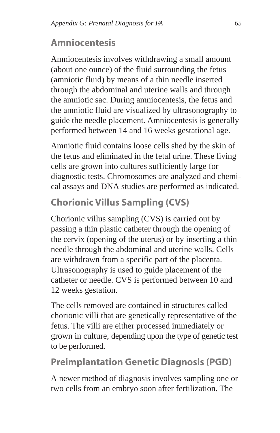# **Amniocentesis**

Amniocentesis involves withdrawing a small amount (about one ounce) of the fluid surrounding the fetus (amniotic fluid) by means of a thin needle inserted through the abdominal and uterine walls and through the amniotic sac. During amniocentesis, the fetus and the amniotic fluid are visualized by ultrasonography to guide the needle placement. Amniocentesis is generally performed between 14 and 16 weeks gestational age.

Amniotic fluid contains loose cells shed by the skin of the fetus and eliminated in the fetal urine. These living cells are grown into cultures sufficiently large for diagnostic tests. Chromosomes are analyzed and chemical assays and DNA studies are performed as indicated.

# **Chorionic Villus Sampling (CVS)**

Chorionic villus sampling (CVS) is carried out by passing a thin plastic catheter through the opening of the cervix (opening of the uterus) or by inserting a thin needle through the abdominal and uterine walls. Cells are withdrawn from a specific part of the placenta. Ultrasonography is used to guide placement of the catheter or needle. CVS is performed between 10 and 12 weeks gestation.

The cells removed are contained in structures called chorionic villi that are genetically representative of the fetus. The villi are either processed immediately or grown in culture, depending upon the type of genetic test to be performed.

# **Preimplantation Genetic Diagnosis (PGD)**

A newer method of diagnosis involves sampling one or two cells from an embryo soon after fertilization. The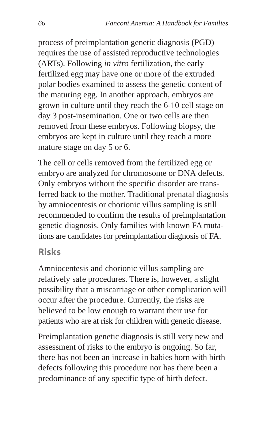process of preimplantation genetic diagnosis (PGD) requires the use of assisted reproductive technologies (ARTs). Following *in vitro* fertilization, the early fertilized egg may have one or more of the extruded polar bodies examined to assess the genetic content of the maturing egg. In another approach, embryos are grown in culture until they reach the 6-10 cell stage on day 3 post-insemination. One or two cells are then removed from these embryos. Following biopsy, the embryos are kept in culture until they reach a more mature stage on day 5 or 6.

The cell or cells removed from the fertilized egg or embryo are analyzed for chromosome or DNA defects. Only embryos without the specific disorder are transferred back to the mother. Traditional prenatal diagnosis by amniocentesis or chorionic villus sampling is still recommended to confirm the results of preimplantation genetic diagnosis. Only families with known FA mutations are candidates for preimplantation diagnosis of FA.

## **Risks**

Amniocentesis and chorionic villus sampling are relatively safe procedures. There is, however, a slight possibility that a miscarriage or other complication will occur after the procedure. Currently, the risks are believed to be low enough to warrant their use for patients who are at risk for children with genetic disease.

Preimplantation genetic diagnosis is still very new and assessment of risks to the embryo is ongoing. So far, there has not been an increase in babies born with birth defects following this procedure nor has there been a predominance of any specific type of birth defect.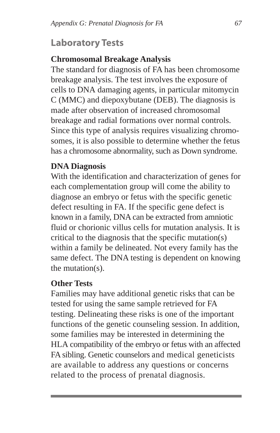# **Laboratory Tests**

## **Chromosomal Breakage Analysis**

The standard for diagnosis of FA has been chromosome breakage analysis. The test involves the exposure of cells to DNA damaging agents, in particular mitomycin C (MMC) and diepoxybutane (DEB). The diagnosis is made after observation of increased chromosomal breakage and radial formations over normal controls. Since this type of analysis requires visualizing chromosomes, it is also possible to determine whether the fetus has a chromosome abnormality, such as Down syndrome.

## **DNA Diagnosis**

With the identification and characterization of genes for each complementation group will come the ability to diagnose an embryo or fetus with the specific genetic defect resulting in FA. If the specific gene defect is known in a family, DNA can be extracted from amniotic fluid or chorionic villus cells for mutation analysis. It is critical to the diagnosis that the specific mutation(s) within a family be delineated. Not every family has the same defect. The DNA testing is dependent on knowing the mutation(s).

#### **Other Tests**

Families may have additional genetic risks that can be tested for using the same sample retrieved for FA testing. Delineating these risks is one of the important functions of the genetic counseling session. In addition, some families may be interested in determining the HLA compatibility of the embryo or fetus with an affected FA sibling. Genetic counselors and medical geneticists are available to address any questions or concerns related to the process of prenatal diagnosis.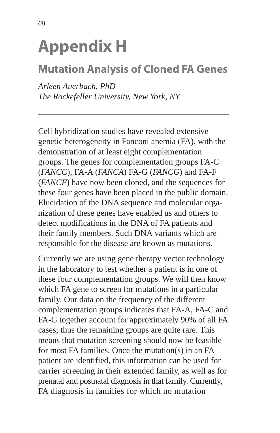# **Appendix H**

# **Mutation Analysis of Cloned FA Genes**

*Arleen Auerbach, PhD The Rockefeller University, New York, NY*

Cell hybridization studies have revealed extensive genetic heterogeneity in Fanconi anemia (FA), with the demonstration of at least eight complementation groups. The genes for complementation groups FA-C (*FANCC*), FA-A (*FANCA*) FA-G (*FANCG*) and FA-F (*FANCF*) have now been cloned, and the sequences for these four genes have been placed in the public domain. Elucidation of the DNA sequence and molecular organization of these genes have enabled us and others to detect modifications in the DNA of FA patients and their family members. Such DNA variants which are responsible for the disease are known as mutations.

Currently we are using gene therapy vector technology in the laboratory to test whether a patient is in one of these four complementation groups. We will then know which FA gene to screen for mutations in a particular family. Our data on the frequency of the different complementation groups indicates that FA-A, FA-C and FA-G together account for approximately 90% of all FA cases; thus the remaining groups are quite rare. This means that mutation screening should now be feasible for most FA families. Once the mutation(s) in an FA patient are identified, this information can be used for carrier screening in their extended family, as well as for prenatal and postnatal diagnosis in that family. Currently, FA diagnosis in families for which no mutation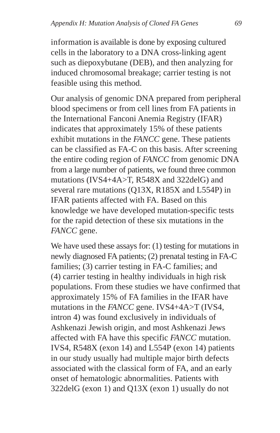information is available is done by exposing cultured cells in the laboratory to a DNA cross-linking agent such as diepoxybutane (DEB), and then analyzing for induced chromosomal breakage; carrier testing is not feasible using this method.

Our analysis of genomic DNA prepared from peripheral blood specimens or from cell lines from FA patients in the International Fanconi Anemia Registry (IFAR) indicates that approximately 15% of these patients exhibit mutations in the *FANCC* gene. These patients can be classified as FA-C on this basis. After screening the entire coding region of *FANCC* from genomic DNA from a large number of patients, we found three common mutations (IVS4+4A>T, R548X and 322delG) and several rare mutations (Q13X, R185X and L554P) in IFAR patients affected with FA. Based on this knowledge we have developed mutation-specific tests for the rapid detection of these six mutations in the *FANCC* gene.

We have used these assays for: (1) testing for mutations in newly diagnosed FA patients; (2) prenatal testing in FA-C families; (3) carrier testing in FA-C families; and (4) carrier testing in healthy individuals in high risk populations. From these studies we have confirmed that approximately 15% of FA families in the IFAR have mutations in the *FANCC* gene. IVS4+4A>T (IVS4, intron 4) was found exclusively in individuals of Ashkenazi Jewish origin, and most Ashkenazi Jews affected with FA have this specific *FANCC* mutation. IVS4, R548X (exon 14) and L554P (exon 14) patients in our study usually had multiple major birth defects associated with the classical form of FA, and an early onset of hematologic abnormalities. Patients with 322delG (exon 1) and Q13X (exon 1) usually do not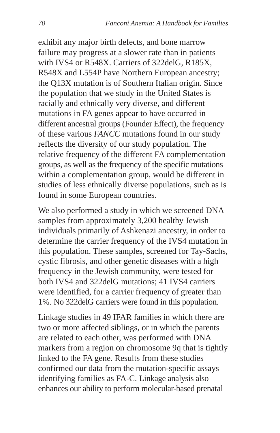exhibit any major birth defects, and bone marrow failure may progress at a slower rate than in patients with IVS4 or R548X. Carriers of 322delG, R185X, R548X and L554P have Northern European ancestry; the Q13X mutation is of Southern Italian origin. Since the population that we study in the United States is racially and ethnically very diverse, and different mutations in FA genes appear to have occurred in different ancestral groups (Founder Effect), the frequency of these various *FANCC* mutations found in our study reflects the diversity of our study population. The relative frequency of the different FA complementation groups, as well as the frequency of the specific mutations within a complementation group, would be different in studies of less ethnically diverse populations, such as is found in some European countries.

We also performed a study in which we screened DNA samples from approximately 3,200 healthy Jewish individuals primarily of Ashkenazi ancestry, in order to determine the carrier frequency of the IVS4 mutation in this population. These samples, screened for Tay-Sachs, cystic fibrosis, and other genetic diseases with a high frequency in the Jewish community, were tested for both IVS4 and 322delG mutations; 41 IVS4 carriers were identified, for a carrier frequency of greater than 1%. No 322delG carriers were found in this population.

Linkage studies in 49 IFAR families in which there are two or more affected siblings, or in which the parents are related to each other, was performed with DNA markers from a region on chromosome 9q that is tightly linked to the FA gene. Results from these studies confirmed our data from the mutation-specific assays identifying families as FA-C. Linkage analysis also enhances our ability to perform molecular-based prenatal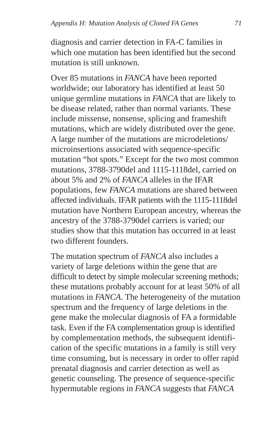diagnosis and carrier detection in FA-C families in which one mutation has been identified but the second mutation is still unknown.

Over 85 mutations in *FANCA* have been reported worldwide; our laboratory has identified at least 50 unique germline mutations in *FANCA* that are likely to be disease related, rather than normal variants. These include missense, nonsense, splicing and frameshift mutations, which are widely distributed over the gene. A large number of the mutations are microdeletions/ microinsertions associated with sequence-specific mutation "hot spots." Except for the two most common mutations, 3788-3790del and 1115-1118del, carried on about 5% and 2% of *FANCA* alleles in the IFAR populations, few *FANCA* mutations are shared between affected individuals. IFAR patients with the 1115-1118del mutation have Northern European ancestry, whereas the ancestry of the 3788-3790del carriers is varied; our studies show that this mutation has occurred in at least two different founders.

The mutation spectrum of *FANCA* also includes a variety of large deletions within the gene that are difficult to detect by simple molecular screening methods; these mutations probably account for at least 50% of all mutations in *FANCA*. The heterogeneity of the mutation spectrum and the frequency of large deletions in the gene make the molecular diagnosis of FA a formidable task. Even if the FA complementation group is identified by complementation methods, the subsequent identification of the specific mutations in a family is still very time consuming, but is necessary in order to offer rapid prenatal diagnosis and carrier detection as well as genetic counseling. The presence of sequence-specific hypermutable regions in *FANCA* suggests that *FANCA*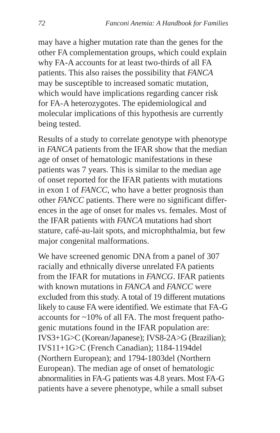may have a higher mutation rate than the genes for the other FA complementation groups, which could explain why FA-A accounts for at least two-thirds of all FA patients. This also raises the possibility that *FANCA* may be susceptible to increased somatic mutation, which would have implications regarding cancer risk for FA-A heterozygotes. The epidemiological and molecular implications of this hypothesis are currently being tested.

Results of a study to correlate genotype with phenotype in *FANCA* patients from the IFAR show that the median age of onset of hematologic manifestations in these patients was 7 years. This is similar to the median age of onset reported for the IFAR patients with mutations in exon 1 of *FANCC*, who have a better prognosis than other *FANCC* patients. There were no significant differences in the age of onset for males vs. females. Most of the IFAR patients with *FANCA* mutations had short stature, café-au-lait spots, and microphthalmia, but few major congenital malformations.

We have screened genomic DNA from a panel of 307 racially and ethnically diverse unrelated FA patients from the IFAR for mutations in *FANCG*. IFAR patients with known mutations in *FANCA* and *FANCC* were excluded from this study. A total of 19 different mutations likely to cause FA were identified. We estimate that FA-G accounts for ~10% of all FA. The most frequent pathogenic mutations found in the IFAR population are: IVS3+1G>C (Korean/Japanese); IVS8-2A>G (Brazilian); IVS11+1G>C (French Canadian); 1184-1194del (Northern European); and 1794-1803del (Northern European). The median age of onset of hematologic abnormalities in FA-G patients was 4.8 years. Most FA-G patients have a severe phenotype, while a small subset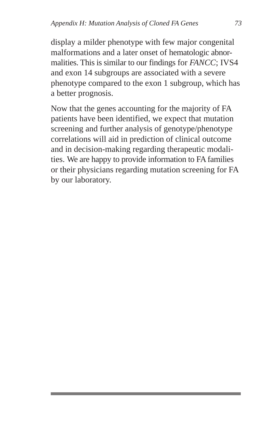display a milder phenotype with few major congenital malformations and a later onset of hematologic abnormalities. This is similar to our findings for *FANCC*; IVS4 and exon 14 subgroups are associated with a severe phenotype compared to the exon 1 subgroup, which has a better prognosis.

Now that the genes accounting for the majority of FA patients have been identified, we expect that mutation screening and further analysis of genotype/phenotype correlations will aid in prediction of clinical outcome and in decision-making regarding therapeutic modalities. We are happy to provide information to FA families or their physicians regarding mutation screening for FA by our laboratory.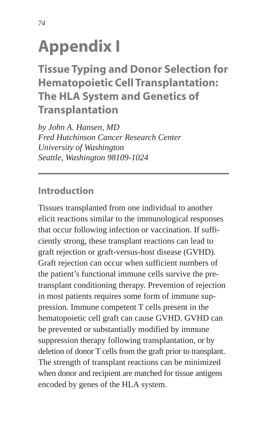# **Appendix I**

**Tissue Typing and Donor Selection for Hematopoietic Cell Transplantation: The HLA System and Genetics of Transplantation**

*by John A. Hansen, MD Fred Hutchinson Cancer Research Center University of Washington Seattle, Washington 98109-1024*

# **Introduction**

Tissues transplanted from one individual to another elicit reactions similar to the immunological responses that occur following infection or vaccination. If sufficiently strong, these transplant reactions can lead to graft rejection or graft-versus-host disease (GVHD). Graft rejection can occur when sufficient numbers of the patient's functional immune cells survive the pretransplant conditioning therapy. Prevention of rejection in most patients requires some form of immune suppression. Immune competent T cells present in the hematopoietic cell graft can cause GVHD. GVHD can be prevented or substantially modified by immune suppression therapy following transplantation, or by deletion of donor T cells from the graft prior to transplant. The strength of transplant reactions can be minimized when donor and recipient are matched for tissue antigens encoded by genes of the HLA system.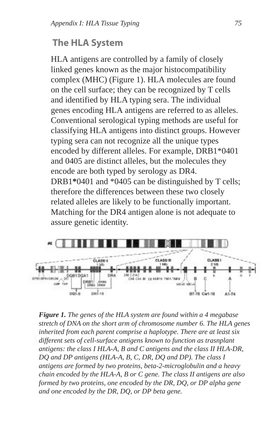## **The HLA System**

HLA antigens are controlled by a family of closely linked genes known as the major histocompatibility complex (MHC) (Figure 1). HLA molecules are found on the cell surface; they can be recognized by T cells and identified by HLA typing sera. The individual genes encoding HLA antigens are referred to as alleles. Conventional serological typing methods are useful for classifying HLA antigens into distinct groups. However typing sera can not recognize all the unique types encoded by different alleles. For example, DRB1\*0401 and 0405 are distinct alleles, but the molecules they encode are both typed by serology as DR4. DRB1<sup>\*0401</sup> and <sup>\*0405</sup> can be distinguished by T cells; therefore the differences between these two closely related alleles are likely to be functionally important. Matching for the DR4 antigen alone is not adequate to assure genetic identity.



*Figure 1. The genes of the HLA system are found within a 4 megabase stretch of DNA on the short arm of chromosome number 6. The HLA genes inherited from each parent comprise a haplotype. There are at least six different sets of cell-surface antigens known to function as trasnplant antigens: the class I HLA-A, B and C antigens and the class II HLA-DR, DQ and DP antigens (HLA-A, B, C, DR, DQ and DP). The class I antigens are formed by two proteins, beta-2-microglobulin and a heavy chain encoded by the HLA-A, B or C gene. The class II antigens are also formed by two proteins, one encoded by the DR, DQ, or DP alpha gene and one encoded by the DR, DQ, or DP beta gene.*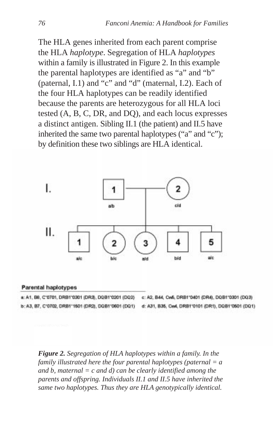The HLA genes inherited from each parent comprise the HLA *haplotype*. Segregation of HLA *haplotypes* within a family is illustrated in Figure 2. In this example the parental haplotypes are identified as "a" and "b" (paternal, I.1) and "c" and "d" (maternal, I.2). Each of the four HLA haplotypes can be readily identified because the parents are heterozygous for all HLA loci tested (A, B, C, DR, and DQ), and each locus expresses a distinct antigen. Sibling II.1 (the patient) and II.5 have inherited the same two parental haplotypes ("a" and "c"); by definition these two siblings are HLA identical.



#### Parental haplotypes



c: A2, B44, Cw6, DRB1'0401 (DR4), DQB1'0301 (DQ3) d: A31, B35, Cw4, DRB1'0101 (DR1), DQB1'0501 (DQ1)

*Figure 2. Segregation of HLA haplotypes within a family. In the family illustrated here the four parental haplotypes (paternal = a and b, maternal = c and d) can be clearly identified among the parents and offspring. Individuals II.1 and II.5 have inherited the same two haplotypes. Thus they are HLA genotypically identical.*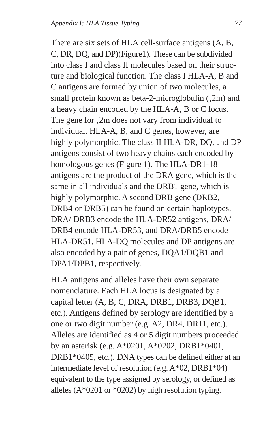There are six sets of HLA cell-surface antigens (A, B, C, DR, DQ, and DP)(Figure1). These can be subdivided into class I and class II molecules based on their structure and biological function. The class I HLA-A, B and C antigens are formed by union of two molecules, a small protein known as beta-2-microglobulin  $(2m)$  and a heavy chain encoded by the HLA-A, B or C locus. The gene for ,2m does not vary from individual to individual. HLA-A, B, and C genes, however, are highly polymorphic. The class II HLA-DR, DQ, and DP antigens consist of two heavy chains each encoded by homologous genes (Figure 1). The HLA-DR1-18 antigens are the product of the DRA gene, which is the same in all individuals and the DRB1 gene, which is highly polymorphic. A second DRB gene (DRB2, DRB4 or DRB5) can be found on certain haplotypes. DRA/ DRB3 encode the HLA-DR52 antigens, DRA/ DRB4 encode HLA-DR53, and DRA/DRB5 encode HLA-DR51. HLA-DQ molecules and DP antigens are also encoded by a pair of genes, DQA1/DQB1 and DPA1/DPB1, respectively.

HLA antigens and alleles have their own separate nomenclature. Each HLA locus is designated by a capital letter (A, B, C, DRA, DRB1, DRB3, DQB1, etc.). Antigens defined by serology are identified by a one or two digit number (e.g. A2, DR4, DR11, etc.). Alleles are identified as 4 or 5 digit numbers proceeded by an asterisk (e.g. A\*0201, A\*0202, DRB1\*0401, DRB1\*0405, etc.). DNA types can be defined either at an intermediate level of resolution (e.g. A\*02, DRB1\*04) equivalent to the type assigned by serology, or defined as alleles (A\*0201 or \*0202) by high resolution typing.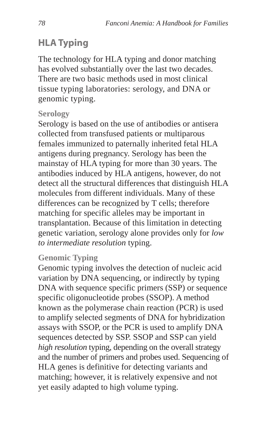# **HLA Typing**

The technology for HLA typing and donor matching has evolved substantially over the last two decades. There are two basic methods used in most clinical tissue typing laboratories: serology, and DNA or genomic typing.

## **Serology**

Serology is based on the use of antibodies or antisera collected from transfused patients or multiparous females immunized to paternally inherited fetal HLA antigens during pregnancy. Serology has been the mainstay of HLA typing for more than 30 years. The antibodies induced by HLA antigens, however, do not detect all the structural differences that distinguish HLA molecules from different individuals. Many of these differences can be recognized by T cells; therefore matching for specific alleles may be important in transplantation. Because of this limitation in detecting genetic variation, serology alone provides only for *low to intermediate resolution* typing.

## **Genomic Typing**

Genomic typing involves the detection of nucleic acid variation by DNA sequencing, or indirectly by typing DNA with sequence specific primers (SSP) or sequence specific oligonucleotide probes (SSOP). A method known as the polymerase chain reaction (PCR) is used to amplify selected segments of DNA for hybridization assays with SSOP, or the PCR is used to amplify DNA sequences detected by SSP. SSOP and SSP can yield *high resolution* typing, depending on the overall strategy and the number of primers and probes used. Sequencing of HLA genes is definitive for detecting variants and matching; however, it is relatively expensive and not yet easily adapted to high volume typing.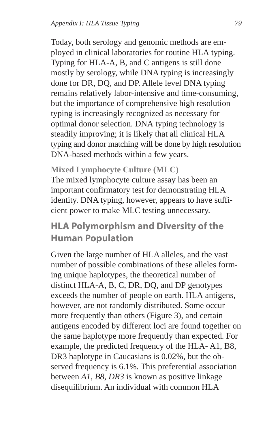Today, both serology and genomic methods are employed in clinical laboratories for routine HLA typing. Typing for HLA-A, B, and C antigens is still done mostly by serology, while DNA typing is increasingly done for DR, DQ, and DP. Allele level DNA typing remains relatively labor-intensive and time-consuming, but the importance of comprehensive high resolution typing is increasingly recognized as necessary for optimal donor selection. DNA typing technology is steadily improving; it is likely that all clinical HLA typing and donor matching will be done by high resolution DNA-based methods within a few years.

#### **Mixed Lymphocyte Culture (MLC)**

The mixed lymphocyte culture assay has been an important confirmatory test for demonstrating HLA identity. DNA typing, however, appears to have sufficient power to make MLC testing unnecessary.

# **HLA Polymorphism and Diversity of the Human Population**

Given the large number of HLA alleles, and the vast number of possible combinations of these alleles forming unique haplotypes, the theoretical number of distinct HLA-A, B, C, DR, DQ, and DP genotypes exceeds the number of people on earth. HLA antigens, however, are not randomly distributed. Some occur more frequently than others (Figure 3), and certain antigens encoded by different loci are found together on the same haplotype more frequently than expected. For example, the predicted frequency of the HLA- A1, B8, DR3 haplotype in Caucasians is 0.02%, but the observed frequency is 6.1%. This preferential association between *A1, B8, DR3* is known as positive linkage disequilibrium. An individual with common HLA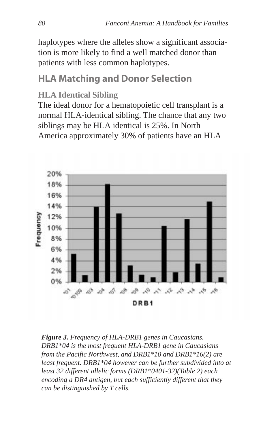haplotypes where the alleles show a significant association is more likely to find a well matched donor than patients with less common haplotypes.

# **HLA Matching and Donor Selection**

## **HLA Identical Sibling**

The ideal donor for a hematopoietic cell transplant is a normal HLA-identical sibling. The chance that any two siblings may be HLA identical is 25%. In North America approximately 30% of patients have an HLA



*Figure 3. Frequency of HLA-DRB1 genes in Caucasians. DRB1\*04 is the most frequent HLA-DRB1 gene in Caucasians from the Pacific Northwest, and DRB1\*10 and DRB1\*16(2) are least frequent. DRB1\*04 however can be further subdivided into at least 32 different allelic forms (DRB1\*0401-32)(Table 2) each encoding a DR4 antigen, but each sufficiently different that they can be distinguished by T cells.*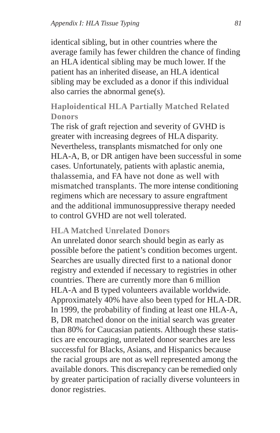identical sibling, but in other countries where the average family has fewer children the chance of finding an HLA identical sibling may be much lower. If the patient has an inherited disease, an HLA identical sibling may be excluded as a donor if this individual also carries the abnormal gene(s).

#### **Haploidentical HLA Partially Matched Related Donors**

The risk of graft rejection and severity of GVHD is greater with increasing degrees of HLA disparity. Nevertheless, transplants mismatched for only one HLA-A, B, or DR antigen have been successful in some cases. Unfortunately, patients with aplastic anemia, thalassemia, and FA have not done as well with mismatched transplants. The more intense conditioning regimens which are necessary to assure engraftment and the additional immunosuppressive therapy needed to control GVHD are not well tolerated.

#### **HLA Matched Unrelated Donors**

An unrelated donor search should begin as early as possible before the patient's condition becomes urgent. Searches are usually directed first to a national donor registry and extended if necessary to registries in other countries. There are currently more than 6 million HLA-A and B typed volunteers available worldwide. Approximately 40% have also been typed for HLA-DR. In 1999, the probability of finding at least one HLA-A, B, DR matched donor on the initial search was greater than 80% for Caucasian patients. Although these statistics are encouraging, unrelated donor searches are less successful for Blacks, Asians, and Hispanics because the racial groups are not as well represented among the available donors. This discrepancy can be remedied only by greater participation of racially diverse volunteers in donor registries.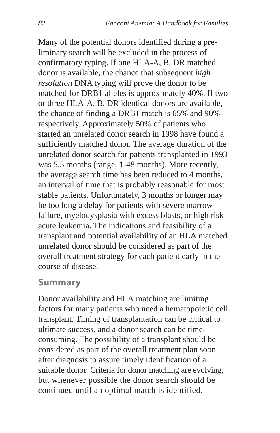Many of the potential donors identified during a preliminary search will be excluded in the process of confirmatory typing. If one HLA-A, B, DR matched donor is available, the chance that subsequent *high resolution* DNA typing will prove the donor to be matched for DRB1 alleles is approximately 40%. If two or three HLA-A, B, DR identical donors are available, the chance of finding a DRB1 match is 65% and 90% respectively. Approximately 50% of patients who started an unrelated donor search in 1998 have found a sufficiently matched donor. The average duration of the unrelated donor search for patients transplanted in 1993 was 5.5 months (range, 1-48 months). More recently, the average search time has been reduced to 4 months, an interval of time that is probably reasonable for most stable patients. Unfortunately, 3 months or longer may be too long a delay for patients with severe marrow failure, myelodysplasia with excess blasts, or high risk acute leukemia. The indications and feasibility of a transplant and potential availability of an HLA matched unrelated donor should be considered as part of the overall treatment strategy for each patient early in the course of disease.

## **Summary**

Donor availability and HLA matching are limiting factors for many patients who need a hematopoietic cell transplant. Timing of transplantation can be critical to ultimate success, and a donor search can be timeconsuming. The possibility of a transplant should be considered as part of the overall treatment plan soon after diagnosis to assure timely identification of a suitable donor. Criteria for donor matching are evolving, but whenever possible the donor search should be continued until an optimal match is identified.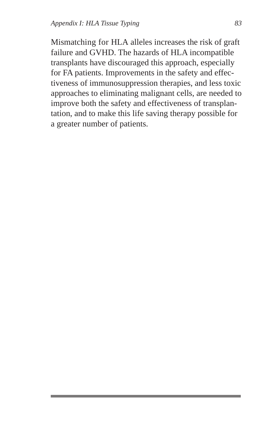Mismatching for HLA alleles increases the risk of graft failure and GVHD. The hazards of HLA incompatible transplants have discouraged this approach, especially for FA patients. Improvements in the safety and effectiveness of immunosuppression therapies, and less toxic approaches to eliminating malignant cells, are needed to improve both the safety and effectiveness of transplantation, and to make this life saving therapy possible for a greater number of patients.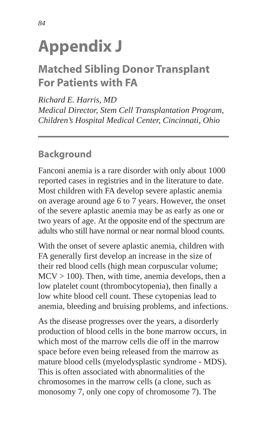# **Appendix J**

# **Matched Sibling Donor Transplant For Patients with FA**

*Richard E. Harris, MD Medical Director, Stem Cell Transplantation Program, Children's Hospital Medical Center, Cincinnati, Ohio*

# **Background**

Fanconi anemia is a rare disorder with only about 1000 reported cases in registries and in the literature to date. Most children with FA develop severe aplastic anemia on average around age 6 to 7 years. However, the onset of the severe aplastic anemia may be as early as one or two years of age. At the opposite end of the spectrum are adults who still have normal or near normal blood counts.

With the onset of severe aplastic anemia, children with FA generally first develop an increase in the size of their red blood cells (high mean corpuscular volume;  $MCV > 100$ ). Then, with time, anemia develops, then a low platelet count (thrombocytopenia), then finally a low white blood cell count. These cytopenias lead to anemia, bleeding and bruising problems, and infections.

As the disease progresses over the years, a disorderly production of blood cells in the bone marrow occurs, in which most of the marrow cells die off in the marrow space before even being released from the marrow as mature blood cells (myelodysplastic syndrome - MDS). This is often associated with abnormalities of the chromosomes in the marrow cells (a clone, such as monosomy 7, only one copy of chromosome 7). The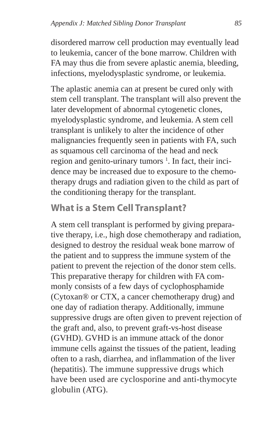disordered marrow cell production may eventually lead to leukemia, cancer of the bone marrow. Children with FA may thus die from severe aplastic anemia, bleeding, infections, myelodysplastic syndrome, or leukemia.

The aplastic anemia can at present be cured only with stem cell transplant. The transplant will also prevent the later development of abnormal cytogenetic clones, myelodysplastic syndrome, and leukemia. A stem cell transplant is unlikely to alter the incidence of other malignancies frequently seen in patients with FA, such as squamous cell carcinoma of the head and neck region and genito-urinary tumors<sup>1</sup>. In fact, their incidence may be increased due to exposure to the chemotherapy drugs and radiation given to the child as part of the conditioning therapy for the transplant.

## **What is a Stem Cell Transplant?**

A stem cell transplant is performed by giving preparative therapy, i.e., high dose chemotherapy and radiation, designed to destroy the residual weak bone marrow of the patient and to suppress the immune system of the patient to prevent the rejection of the donor stem cells. This preparative therapy for children with FA commonly consists of a few days of cyclophosphamide (Cytoxan® or CTX, a cancer chemotherapy drug) and one day of radiation therapy. Additionally, immune suppressive drugs are often given to prevent rejection of the graft and, also, to prevent graft-vs-host disease (GVHD). GVHD is an immune attack of the donor immune cells against the tissues of the patient, leading often to a rash, diarrhea, and inflammation of the liver (hepatitis). The immune suppressive drugs which have been used are cyclosporine and anti-thymocyte globulin (ATG).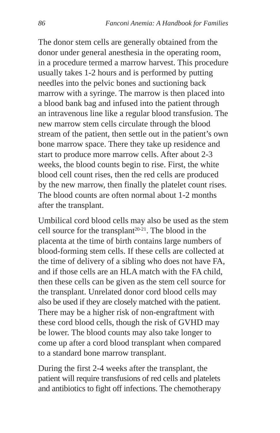The donor stem cells are generally obtained from the donor under general anesthesia in the operating room, in a procedure termed a marrow harvest. This procedure usually takes 1-2 hours and is performed by putting needles into the pelvic bones and suctioning back marrow with a syringe. The marrow is then placed into a blood bank bag and infused into the patient through an intravenous line like a regular blood transfusion. The new marrow stem cells circulate through the blood stream of the patient, then settle out in the patient's own bone marrow space. There they take up residence and start to produce more marrow cells. After about 2-3 weeks, the blood counts begin to rise. First, the white blood cell count rises, then the red cells are produced by the new marrow, then finally the platelet count rises. The blood counts are often normal about 1-2 months after the transplant.

Umbilical cord blood cells may also be used as the stem cell source for the transplant $20-21$ . The blood in the placenta at the time of birth contains large numbers of blood-forming stem cells. If these cells are collected at the time of delivery of a sibling who does not have FA, and if those cells are an HLA match with the FA child, then these cells can be given as the stem cell source for the transplant. Unrelated donor cord blood cells may also be used if they are closely matched with the patient. There may be a higher risk of non-engraftment with these cord blood cells, though the risk of GVHD may be lower. The blood counts may also take longer to come up after a cord blood transplant when compared to a standard bone marrow transplant.

During the first 2-4 weeks after the transplant, the patient will require transfusions of red cells and platelets and antibiotics to fight off infections. The chemotherapy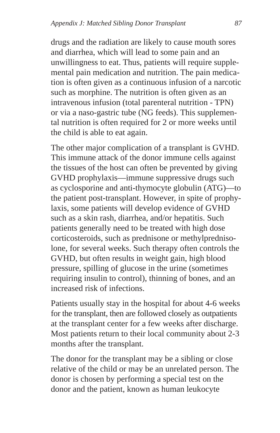drugs and the radiation are likely to cause mouth sores and diarrhea, which will lead to some pain and an unwillingness to eat. Thus, patients will require supplemental pain medication and nutrition. The pain medication is often given as a continuous infusion of a narcotic such as morphine. The nutrition is often given as an intravenous infusion (total parenteral nutrition - TPN) or via a naso-gastric tube (NG feeds). This supplemental nutrition is often required for 2 or more weeks until the child is able to eat again.

The other major complication of a transplant is GVHD. This immune attack of the donor immune cells against the tissues of the host can often be prevented by giving GVHD prophylaxis—immune suppressive drugs such as cyclosporine and anti-thymocyte globulin (ATG)—to the patient post-transplant. However, in spite of prophylaxis, some patients will develop evidence of GVHD such as a skin rash, diarrhea, and/or hepatitis. Such patients generally need to be treated with high dose corticosteroids, such as prednisone or methylprednisolone, for several weeks. Such therapy often controls the GVHD, but often results in weight gain, high blood pressure, spilling of glucose in the urine (sometimes requiring insulin to control), thinning of bones, and an increased risk of infections.

Patients usually stay in the hospital for about 4-6 weeks for the transplant, then are followed closely as outpatients at the transplant center for a few weeks after discharge. Most patients return to their local community about 2-3 months after the transplant.

The donor for the transplant may be a sibling or close relative of the child or may be an unrelated person. The donor is chosen by performing a special test on the donor and the patient, known as human leukocyte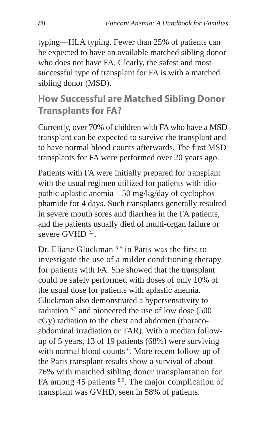typing—HLA typing. Fewer than 25% of patients can be expected to have an available matched sibling donor who does not have FA. Clearly, the safest and most successful type of transplant for FA is with a matched sibling donor (MSD).

# **How Successful are Matched Sibling Donor Transplants for FA?**

Currently, over 70% of children with FA who have a MSD transplant can be expected to survive the transplant and to have normal blood counts afterwards. The first MSD transplants for FA were performed over 20 years ago.

Patients with FA were initially prepared for transplant with the usual regimen utilized for patients with idiopathic aplastic anemia—50 mg/kg/day of cyclophosphamide for 4 days. Such transplants generally resulted in severe mouth sores and diarrhea in the FA patients, and the patients usually died of multi-organ failure or severe GVHD<sup>2,3</sup>

Dr. Eliane Gluckman 3-5 in Paris was the first to investigate the use of a milder conditioning therapy for patients with FA. She showed that the transplant could be safely performed with doses of only 10% of the usual dose for patients with aplastic anemia. Gluckman also demonstrated a hypersensitivity to radiation  $6,7$  and pioneered the use of low dose (500) cGy) radiation to the chest and abdomen (thoracoabdominal irradiation or TAR). With a median followup of 5 years, 13 of 19 patients (68%) were surviving with normal blood counts <sup>6</sup>. More recent follow-up of the Paris transplant results show a survival of about 76% with matched sibling donor transplantation for FA among 45 patients  $8.9$ . The major complication of transplant was GVHD, seen in 58% of patients.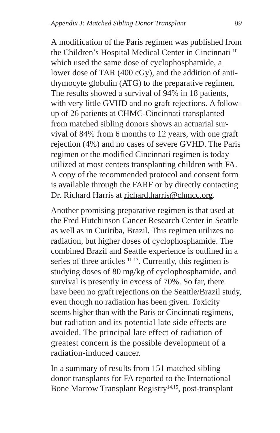A modification of the Paris regimen was published from the Children's Hospital Medical Center in Cincinnati<sup>10</sup> which used the same dose of cyclophosphamide, a lower dose of TAR (400 cGy), and the addition of antithymocyte globulin (ATG) to the preparative regimen. The results showed a survival of 94% in 18 patients, with very little GVHD and no graft rejections. A followup of 26 patients at CHMC-Cincinnati transplanted from matched sibling donors shows an actuarial survival of 84% from 6 months to 12 years, with one graft rejection (4%) and no cases of severe GVHD. The Paris regimen or the modified Cincinnati regimen is today utilized at most centers transplanting children with FA. A copy of the recommended protocol and consent form is available through the FARF or by directly contacting Dr. Richard Harris at richard.harris@chmcc.org.

Another promising preparative regimen is that used at the Fred Hutchinson Cancer Research Center in Seattle as well as in Curitiba, Brazil. This regimen utilizes no radiation, but higher doses of cyclophosphamide. The combined Brazil and Seattle experience is outlined in a series of three articles <sup>11-13</sup>. Currently, this regimen is studying doses of 80 mg/kg of cyclophosphamide, and survival is presently in excess of 70%. So far, there have been no graft rejections on the Seattle/Brazil study, even though no radiation has been given. Toxicity seems higher than with the Paris or Cincinnati regimens, but radiation and its potential late side effects are avoided. The principal late effect of radiation of greatest concern is the possible development of a radiation-induced cancer.

In a summary of results from 151 matched sibling donor transplants for FA reported to the International Bone Marrow Transplant Registry14,15, post-transplant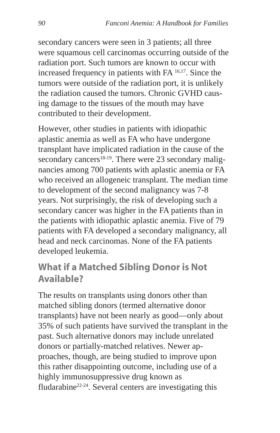secondary cancers were seen in 3 patients; all three were squamous cell carcinomas occurring outside of the radiation port. Such tumors are known to occur with increased frequency in patients with FA 16,17. Since the tumors were outside of the radiation port, it is unlikely the radiation caused the tumors. Chronic GVHD causing damage to the tissues of the mouth may have contributed to their development.

However, other studies in patients with idiopathic aplastic anemia as well as FA who have undergone transplant have implicated radiation in the cause of the secondary cancers<sup>18-19</sup>. There were 23 secondary malignancies among 700 patients with aplastic anemia or FA who received an allogeneic transplant. The median time to development of the second malignancy was 7-8 years. Not surprisingly, the risk of developing such a secondary cancer was higher in the FA patients than in the patients with idiopathic aplastic anemia. Five of 79 patients with FA developed a secondary malignancy, all head and neck carcinomas. None of the FA patients developed leukemia.

# **What if a Matched Sibling Donor is Not Available?**

The results on transplants using donors other than matched sibling donors (termed alternative donor transplants) have not been nearly as good—only about 35% of such patients have survived the transplant in the past. Such alternative donors may include unrelated donors or partially-matched relatives. Newer approaches, though, are being studied to improve upon this rather disappointing outcome, including use of a highly immunosuppressive drug known as fludarabine<sup>22-24</sup>. Several centers are investigating this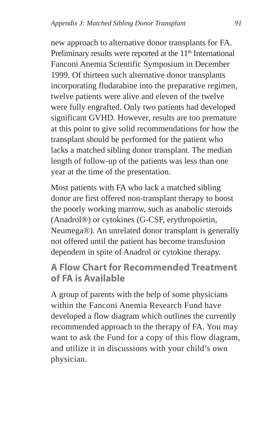new approach to alternative donor transplants for FA. Preliminary results were reported at the  $11<sup>th</sup>$  International Fanconi Anemia Scientific Symposium in December 1999. Of thirteen such alternative donor transplants incorporating fludarabine into the preparative regimen, twelve patients were alive and eleven of the twelve were fully engrafted. Only two patients had developed significant GVHD. However, results are too premature at this point to give solid recommendations for how the transplant should be performed for the patient who lacks a matched sibling donor transplant. The median length of follow-up of the patients was less than one year at the time of the presentation.

Most patients with FA who lack a matched sibling donor are first offered non-transplant therapy to boost the poorly working marrow, such as anabolic steroids (Anadrol®) or cytokines (G-CSF, erythropoietin, Neumega®). An unrelated donor transplant is generally not offered until the patient has become transfusion dependent in spite of Anadrol or cytokine therapy.

## **A Flow Chart for Recommended Treatment of FA is Available**

A group of parents with the help of some physicians within the Fanconi Anemia Research Fund have developed a flow diagram which outlines the currently recommended approach to the therapy of FA. You may want to ask the Fund for a copy of this flow diagram, and utilize it in discussions with your child's own physician.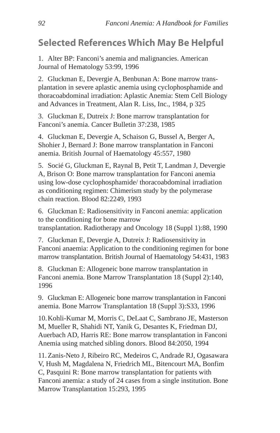# **Selected References Which May Be Helpful**

1. Alter BP: Fanconi's anemia and malignancies. American Journal of Hematology 53:99, 1996

2. Gluckman E, Devergie A, Benbunan A: Bone marrow transplantation in severe aplastic anemia using cyclophosphamide and thoracoabdominal irradiation: Aplastic Anemia: Stem Cell Biology and Advances in Treatment, Alan R. Liss, Inc., 1984, p 325

3. Gluckman E, Dutreix J: Bone marrow transplantation for Fanconi's anemia. Cancer Bulletin 37:238, 1985

4. Gluckman E, Devergie A, Schaison G, Bussel A, Berger A, Shohier J, Bernard J: Bone marrow transplantation in Fanconi anemia. British Journal of Haematology 45:557, 1980

5. Socié G, Gluckman E, Raynal B, Petit T, Landman J, Devergie A, Brison O: Bone marrow transplantation for Fanconi anemia using low-dose cyclophosphamide/ thoracoabdominal irradiation as conditioning regimen: Chimerism study by the polymerase chain reaction. Blood 82:2249, 1993

6. Gluckman E: Radiosensitivity in Fanconi anemia: application to the conditioning for bone marrow transplantation. Radiotherapy and Oncology 18 (Suppl 1):88, 1990

7. Gluckman E, Devergie A, Dutreix J: Radiosensitivity in Fanconi anaemia: Application to the conditioning regimen for bone marrow transplantation. British Journal of Haematology 54:431, 1983

8. Gluckman E: Allogeneic bone marrow transplantation in Fanconi anemia. Bone Marrow Transplantation 18 (Suppl 2):140, 1996

9. Gluckman E: Allogeneic bone marrow transplantation in Fanconi anemia. Bone Marrow Transplantation 18 (Suppl 3):S33, 1996

10.Kohli-Kumar M, Morris C, DeLaat C, Sambrano JE, Masterson M, Mueller R, Shahidi NT, Yanik G, Desantes K, Friedman DJ, Auerbach AD, Harris RE: Bone marrow transplantation in Fanconi Anemia using matched sibling donors. Blood 84:2050, 1994

11. Zanis-Neto J, Ribeiro RC, Medeiros C, Andrade RJ, Ogasawara V, Hush M, Magdalena N, Friedrich ML, Bitencourt MA, Bonfim C, Pasquini R: Bone marrow transplantation for patients with Fanconi anemia: a study of 24 cases from a single institution. Bone Marrow Transplantation 15:293, 1995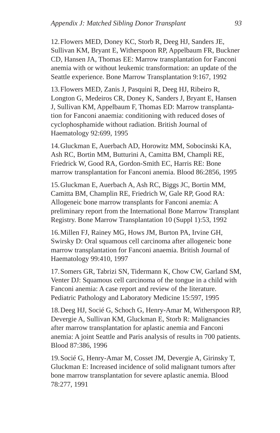12.Flowers MED, Doney KC, Storb R, Deeg HJ, Sanders JE, Sullivan KM, Bryant E, Witherspoon RP, Appelbaum FR, Buckner CD, Hansen JA, Thomas EE: Marrow transplantation for Fanconi anemia with or without leukemic transformation: an update of the Seattle experience. Bone Marrow Transplantation 9:167, 1992

13.Flowers MED, Zanis J, Pasquini R, Deeg HJ, Ribeiro R, Longton G, Medeiros CR, Doney K, Sanders J, Bryant E, Hansen J, Sullivan KM, Appelbaum F, Thomas ED: Marrow transplantation for Fanconi anaemia: conditioning with reduced doses of cyclophosphamide without radiation. British Journal of Haematology 92:699, 1995

14.Gluckman E, Auerbach AD, Horowitz MM, Sobocinski KA, Ash RC, Bortin MM, Butturini A, Camitta BM, Champli RE, Friedrick W, Good RA, Gordon-Smith EC, Harris RE: Bone marrow transplantation for Fanconi anemia. Blood 86:2856, 1995

15.Gluckman E, Auerbach A, Ash RC, Biggs JC, Bortin MM, Camitta BM, Champlin RE, Friedrich W, Gale RP, Good RA: Allogeneic bone marrow transplants for Fanconi anemia: A preliminary report from the International Bone Marrow Transplant Registry. Bone Marrow Transplantation 10 (Suppl 1):53, 1992

16.Millen FJ, Rainey MG, Hows JM, Burton PA, Irvine GH, Swirsky D: Oral squamous cell carcinoma after allogeneic bone marrow transplantation for Fanconi anaemia. British Journal of Haematology 99:410, 1997

17.Somers GR, Tabrizi SN, Tidermann K, Chow CW, Garland SM, Venter DJ: Squamous cell carcinoma of the tongue in a child with Fanconi anemia: A case report and review of the literature. Pediatric Pathology and Laboratory Medicine 15:597, 1995

18.Deeg HJ, Socié G, Schoch G, Henry-Amar M, Witherspoon RP, Devergie A, Sullivan KM, Gluckman E, Storb R: Malignancies after marrow transplantation for aplastic anemia and Fanconi anemia: A joint Seattle and Paris analysis of results in 700 patients. Blood 87:386, 1996

19.Socié G, Henry-Amar M, Cosset JM, Devergie A, Girinsky T, Gluckman E: Increased incidence of solid malignant tumors after bone marrow transplantation for severe aplastic anemia. Blood 78:277, 1991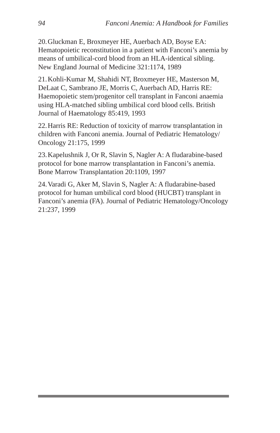20.Gluckman E, Broxmeyer HE, Auerbach AD, Boyse EA: Hematopoietic reconstitution in a patient with Fanconi's anemia by means of umbilical-cord blood from an HLA-identical sibling. New England Journal of Medicine 321:1174, 1989

21.Kohli-Kumar M, Shahidi NT, Broxmeyer HE, Masterson M, DeLaat C, Sambrano JE, Morris C, Auerbach AD, Harris RE: Haemopoietic stem/progenitor cell transplant in Fanconi anaemia using HLA-matched sibling umbilical cord blood cells. British Journal of Haematology 85:419, 1993

22.Harris RE: Reduction of toxicity of marrow transplantation in children with Fanconi anemia. Journal of Pediatric Hematology/ Oncology 21:175, 1999

23.Kapelushnik J, Or R, Slavin S, Nagler A: A fludarabine-based protocol for bone marrow transplantation in Fanconi's anemia. Bone Marrow Transplantation 20:1109, 1997

24.Varadi G, Aker M, Slavin S, Nagler A: A fludarabine-based protocol for human umbilical cord blood (HUCBT) transplant in Fanconi's anemia (FA). Journal of Pediatric Hematology/Oncology 21:237, 1999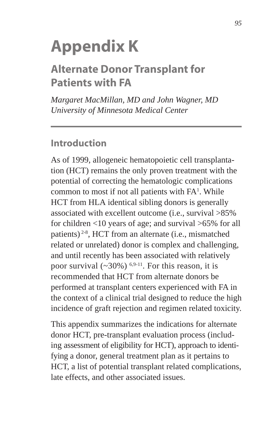# **Appendix K**

# **Alternate Donor Transplant for Patients with FA**

*Margaret MacMillan, MD and John Wagner, MD University of Minnesota Medical Center*

# **Introduction**

As of 1999, allogeneic hematopoietic cell transplantation (HCT) remains the only proven treatment with the potential of correcting the hematologic complications common to most if not all patients with  $FA<sup>1</sup>$ . While HCT from HLA identical sibling donors is generally associated with excellent outcome (i.e., survival >85% for children <10 years of age; and survival >65% for all patients) 2-8, HCT from an alternate (i.e., mismatched related or unrelated) donor is complex and challenging, and until recently has been associated with relatively poor survival  $(\sim 30\%)$ <sup>6,9-11</sup>. For this reason, it is recommended that HCT from alternate donors be performed at transplant centers experienced with FA in the context of a clinical trial designed to reduce the high incidence of graft rejection and regimen related toxicity.

This appendix summarizes the indications for alternate donor HCT, pre-transplant evaluation process (including assessment of eligibility for HCT), approach to identifying a donor, general treatment plan as it pertains to HCT, a list of potential transplant related complications, late effects, and other associated issues.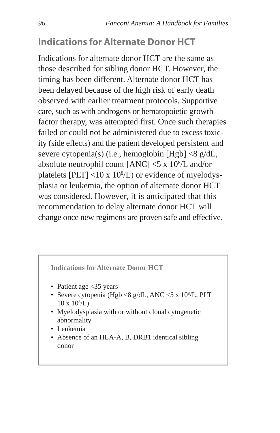# **Indications for Alternate Donor HCT**

Indications for alternate donor HCT are the same as those described for sibling donor HCT. However, the timing has been different. Alternate donor HCT has been delayed because of the high risk of early death observed with earlier treatment protocols. Supportive care, such as with androgens or hematopoietic growth factor therapy, was attempted first. Once such therapies failed or could not be administered due to excess toxicity (side effects) and the patient developed persistent and severe cytopenia(s) (i.e., hemoglobin [Hgb] <8 g/dL, absolute neutrophil count  $[ANC] < 5 \times 10^8/L$  and/or platelets [PLT]  $<$ 10 x 10<sup>8</sup>/L) or evidence of myelodysplasia or leukemia, the option of alternate donor HCT was considered. However, it is anticipated that this recommendation to delay alternate donor HCT will change once new regimens are proven safe and effective.

#### **Indications for Alternate Donor HCT**

- Patient age < 35 years
- Severe cytopenia (Hgb <8 g/dL, ANC <5 x 10<sup>8</sup>/L, PLT  $10 \times 10^8$ /L)
- Myelodysplasia with or without clonal cytogenetic abnormality
- Leukemia
- Absence of an HLA-A, B, DRB1 identical sibling donor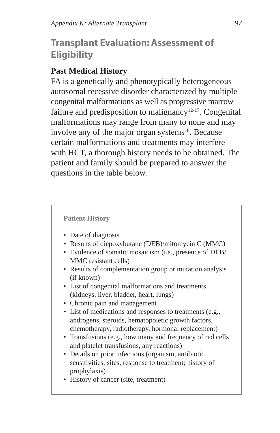# **Transplant Evaluation: Assessment of Eligibility**

## **Past Medical History**

FA is a genetically and phenotypically heterogeneous autosomal recessive disorder characterized by multiple congenital malformations as well as progressive marrow failure and predisposition to malignancy<sup>12-17</sup>. Congenital malformations may range from many to none and may involve any of the major organ systems $18$ . Because certain malformations and treatments may interfere with HCT, a thorough history needs to be obtained. The patient and family should be prepared to answer the questions in the table below.

#### **Patient History**

- Date of diagnosis
- Results of diepoxybutane (DEB)/mitomycin C (MMC)
- Evidence of somatic mosaicism (i.e., presence of DEB/ MMC resistant cells)
- Results of complementation group or mutation analysis (if known)
- List of congenital malformations and treatments (kidneys, liver, bladder, heart, lungs)
- Chronic pain and management
- List of medications and responses to treatments (e.g., androgens, steroids, hematopoietic growth factors, chemotherapy, radiotherapy, hormonal replacement)
- Transfusions (e.g., how many and frequency of red cells and platelet transfusions, any reactions)
- Details on prior infections (organism, antibiotic sensitivities, sites, response to treatment; history of prophylaxis)
- History of cancer (site, treatment)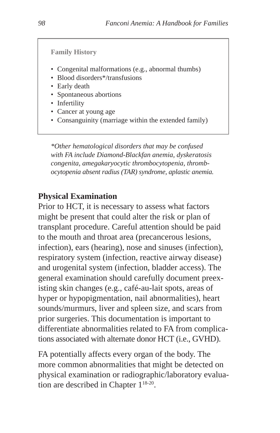**Family History**

- Congenital malformations (e.g., abnormal thumbs)
- Blood disorders\*/transfusions
- Early death
- Spontaneous abortions
- Infertility
- Cancer at young age
- Consanguinity (marriage within the extended family)

*\*Other hematological disorders that may be confused with FA include Diamond-Blackfan anemia, dyskeratosis congenita, amegakaryocytic thrombocytopenia, thrombocytopenia absent radius (TAR) syndrome, aplastic anemia.*

#### **Physical Examination**

Prior to HCT, it is necessary to assess what factors might be present that could alter the risk or plan of transplant procedure. Careful attention should be paid to the mouth and throat area (precancerous lesions, infection), ears (hearing), nose and sinuses (infection), respiratory system (infection, reactive airway disease) and urogenital system (infection, bladder access). The general examination should carefully document preexisting skin changes (e.g., café-au-lait spots, areas of hyper or hypopigmentation, nail abnormalities), heart sounds/murmurs, liver and spleen size, and scars from prior surgeries. This documentation is important to differentiate abnormalities related to FA from complications associated with alternate donor HCT (i.e., GVHD).

FA potentially affects every organ of the body. The more common abnormalities that might be detected on physical examination or radiographic/laboratory evaluation are described in Chapter 118-20.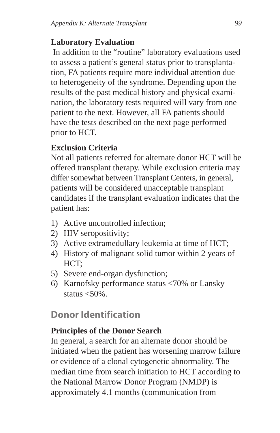#### **Laboratory Evaluation**

 In addition to the "routine" laboratory evaluations used to assess a patient's general status prior to transplantation, FA patients require more individual attention due to heterogeneity of the syndrome. Depending upon the results of the past medical history and physical examination, the laboratory tests required will vary from one patient to the next. However, all FA patients should have the tests described on the next page performed prior to HCT.

#### **Exclusion Criteria**

Not all patients referred for alternate donor HCT will be offered transplant therapy. While exclusion criteria may differ somewhat between Transplant Centers, in general, patients will be considered unacceptable transplant candidates if the transplant evaluation indicates that the patient has:

- 1) Active uncontrolled infection;
- 2) HIV seropositivity;
- 3) Active extramedullary leukemia at time of HCT;
- 4) History of malignant solid tumor within 2 years of HCT;
- 5) Severe end-organ dysfunction;
- 6) Karnofsky performance status <70% or Lansky status  $<$ 50%.

# **Donor Identification**

## **Principles of the Donor Search**

In general, a search for an alternate donor should be initiated when the patient has worsening marrow failure or evidence of a clonal cytogenetic abnormality. The median time from search initiation to HCT according to the National Marrow Donor Program (NMDP) is approximately 4.1 months (communication from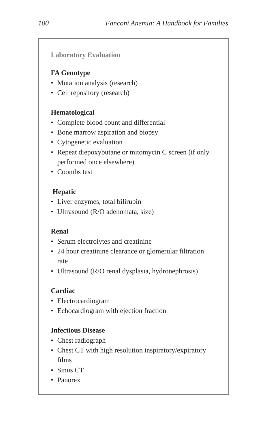**Laboratory Evaluation**

#### **FA Genotype**

- Mutation analysis (research)
- Cell repository (research)

#### **Hematological**

- Complete blood count and differential
- Bone marrow aspiration and biopsy
- Cytogenetic evaluation
- Repeat diepoxybutane or mitomycin C screen (if only performed once elsewhere)
- Coombs test

#### **Hepatic**

- Liver enzymes, total bilirubin
- Ultrasound (R/O adenomata, size)

#### **Renal**

- Serum electrolytes and creatinine
- 24 hour creatinine clearance or glomerular filtration rate
- Ultrasound (R/O renal dysplasia, hydronephrosis)

#### **Cardiac**

- Electrocardiogram
- Echocardiogram with ejection fraction

#### **Infectious Disease**

- Chest radiograph
- Chest CT with high resolution inspiratory/expiratory films
- Sinus CT
- Panorex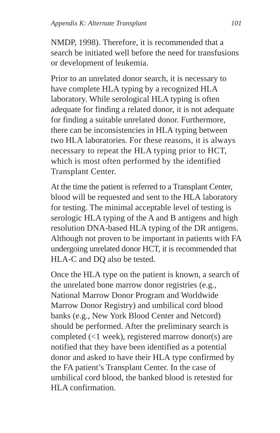NMDP, 1998). Therefore, it is recommended that a search be initiated well before the need for transfusions or development of leukemia.

Prior to an unrelated donor search, it is necessary to have complete HLA typing by a recognized HLA laboratory. While serological HLA typing is often adequate for finding a related donor, it is not adequate for finding a suitable unrelated donor. Furthermore, there can be inconsistencies in HLA typing between two HLA laboratories. For these reasons, it is always necessary to repeat the HLA typing prior to HCT, which is most often performed by the identified Transplant Center.

At the time the patient is referred to a Transplant Center, blood will be requested and sent to the HLA laboratory for testing. The minimal acceptable level of testing is serologic HLA typing of the A and B antigens and high resolution DNA-based HLA typing of the DR antigens. Although not proven to be important in patients with FA undergoing unrelated donor HCT, it is recommended that HLA-C and DQ also be tested.

Once the HLA type on the patient is known, a search of the unrelated bone marrow donor registries (e.g., National Marrow Donor Program and Worldwide Marrow Donor Registry) and umbilical cord blood banks (e.g., New York Blood Center and Netcord) should be performed. After the preliminary search is completed (<1 week), registered marrow donor(s) are notified that they have been identified as a potential donor and asked to have their HLA type confirmed by the FA patient's Transplant Center. In the case of umbilical cord blood, the banked blood is retested for HLA confirmation.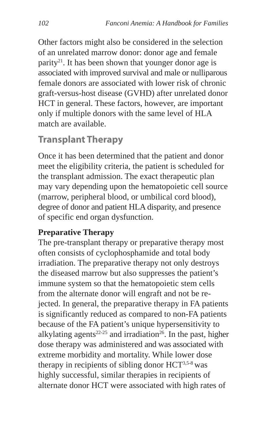Other factors might also be considered in the selection of an unrelated marrow donor: donor age and female parity<sup>21</sup>. It has been shown that younger donor age is associated with improved survival and male or nulliparous female donors are associated with lower risk of chronic graft-versus-host disease (GVHD) after unrelated donor HCT in general. These factors, however, are important only if multiple donors with the same level of HLA match are available.

## **Transplant Therapy**

Once it has been determined that the patient and donor meet the eligibility criteria, the patient is scheduled for the transplant admission. The exact therapeutic plan may vary depending upon the hematopoietic cell source (marrow, peripheral blood, or umbilical cord blood), degree of donor and patient HLA disparity, and presence of specific end organ dysfunction.

### **Preparative Therapy**

The pre-transplant therapy or preparative therapy most often consists of cyclophosphamide and total body irradiation. The preparative therapy not only destroys the diseased marrow but also suppresses the patient's immune system so that the hematopoietic stem cells from the alternate donor will engraft and not be rejected. In general, the preparative therapy in FA patients is significantly reduced as compared to non-FA patients because of the FA patient's unique hypersensitivity to alkylating agents<sup>22-25</sup> and irradiation<sup>26</sup>. In the past, higher dose therapy was administered and was associated with extreme morbidity and mortality. While lower dose therapy in recipients of sibling donor  $HCT^{3,5-8}$  was highly successful, similar therapies in recipients of alternate donor HCT were associated with high rates of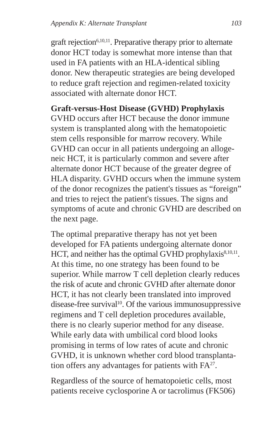graft rejection<sup>6,10,11</sup>. Preparative therapy prior to alternate donor HCT today is somewhat more intense than that used in FA patients with an HLA-identical sibling donor. New therapeutic strategies are being developed to reduce graft rejection and regimen-related toxicity associated with alternate donor HCT.

**Graft-versus-Host Disease (GVHD) Prophylaxis** GVHD occurs after HCT because the donor immune system is transplanted along with the hematopoietic stem cells responsible for marrow recovery. While GVHD can occur in all patients undergoing an allogeneic HCT, it is particularly common and severe after alternate donor HCT because of the greater degree of HLA disparity. GVHD occurs when the immune system of the donor recognizes the patient's tissues as "foreign" and tries to reject the patient's tissues. The signs and symptoms of acute and chronic GVHD are described on the next page.

The optimal preparative therapy has not yet been developed for FA patients undergoing alternate donor HCT, and neither has the optimal GVHD prophylaxis $8,10,11$ . At this time, no one strategy has been found to be superior. While marrow T cell depletion clearly reduces the risk of acute and chronic GVHD after alternate donor HCT, it has not clearly been translated into improved disease-free survival<sup>10</sup>. Of the various immunosuppressive regimens and T cell depletion procedures available, there is no clearly superior method for any disease. While early data with umbilical cord blood looks promising in terms of low rates of acute and chronic GVHD, it is unknown whether cord blood transplantation offers any advantages for patients with  $FA^{27}$ .

Regardless of the source of hematopoietic cells, most patients receive cyclosporine A or tacrolimus (FK506)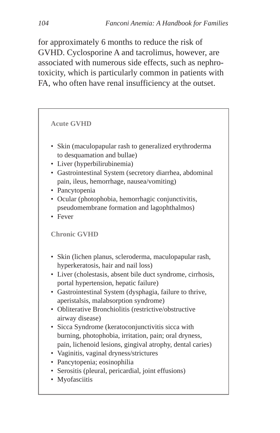for approximately 6 months to reduce the risk of GVHD. Cyclosporine A and tacrolimus, however, are associated with numerous side effects, such as nephrotoxicity, which is particularly common in patients with FA, who often have renal insufficiency at the outset.

### **Acute GVHD** • Skin (maculopapular rash to generalized erythroderma to desquamation and bullae) • Liver (hyperbilirubinemia) • Gastrointestinal System (secretory diarrhea, abdominal pain, ileus, hemorrhage, nausea/vomiting) • Pancytopenia • Ocular (photophobia, hemorrhagic conjunctivitis, pseudomembrane formation and lagophthalmos) • Fever **Chronic GVHD** • Skin (lichen planus, scleroderma, maculopapular rash, hyperkeratosis, hair and nail loss) • Liver (cholestasis, absent bile duct syndrome, cirrhosis, portal hypertension, hepatic failure) • Gastrointestinal System (dysphagia, failure to thrive, aperistalsis, malabsorption syndrome) • Obliterative Bronchiolitis (restrictive/obstructive airway disease) • Sicca Syndrome (keratoconjunctivitis sicca with burning, photophobia, irritation, pain; oral dryness, pain, lichenoid lesions, gingival atrophy, dental caries) • Vaginitis, vaginal dryness/strictures • Pancytopenia; eosinophilia • Serositis (pleural, pericardial, joint effusions) • Myofasciitis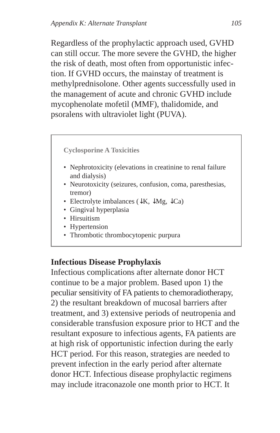Regardless of the prophylactic approach used, GVHD can still occur. The more severe the GVHD, the higher the risk of death, most often from opportunistic infection. If GVHD occurs, the mainstay of treatment is methylprednisolone. Other agents successfully used in the management of acute and chronic GVHD include mycophenolate mofetil (MMF), thalidomide, and psoralens with ultraviolet light (PUVA).

#### **Cyclosporine A Toxicities**

- Nephrotoxicity (elevations in creatinine to renal failure and dialysis)
- Neurotoxicity (seizures, confusion, coma, paresthesias, tremor)
- Electrolyte imbalances ( $\downarrow$ K,  $\downarrow$ Mg,  $\downarrow$ Ca)
- Gingival hyperplasia
- Hirsuitism
- Hypertension
- Thrombotic thrombocytopenic purpura

#### **Infectious Disease Prophylaxis**

Infectious complications after alternate donor HCT continue to be a major problem. Based upon 1) the peculiar sensitivity of FA patients to chemoradiotherapy, 2) the resultant breakdown of mucosal barriers after treatment, and 3) extensive periods of neutropenia and considerable transfusion exposure prior to HCT and the resultant exposure to infectious agents, FA patients are at high risk of opportunistic infection during the early HCT period. For this reason, strategies are needed to prevent infection in the early period after alternate donor HCT. Infectious disease prophylactic regimens may include itraconazole one month prior to HCT. It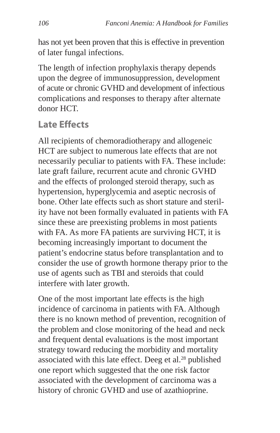has not yet been proven that this is effective in prevention of later fungal infections.

The length of infection prophylaxis therapy depends upon the degree of immunosuppression, development of acute or chronic GVHD and development of infectious complications and responses to therapy after alternate donor HCT.

# **Late Effects**

All recipients of chemoradiotherapy and allogeneic HCT are subject to numerous late effects that are not necessarily peculiar to patients with FA. These include: late graft failure, recurrent acute and chronic GVHD and the effects of prolonged steroid therapy, such as hypertension, hyperglycemia and aseptic necrosis of bone. Other late effects such as short stature and sterility have not been formally evaluated in patients with FA since these are preexisting problems in most patients with FA. As more FA patients are surviving HCT, it is becoming increasingly important to document the patient's endocrine status before transplantation and to consider the use of growth hormone therapy prior to the use of agents such as TBI and steroids that could interfere with later growth.

One of the most important late effects is the high incidence of carcinoma in patients with FA. Although there is no known method of prevention, recognition of the problem and close monitoring of the head and neck and frequent dental evaluations is the most important strategy toward reducing the morbidity and mortality associated with this late effect. Deeg et al.<sup>28</sup> published one report which suggested that the one risk factor associated with the development of carcinoma was a history of chronic GVHD and use of azathioprine.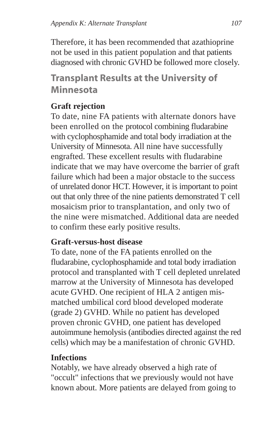Therefore, it has been recommended that azathioprine not be used in this patient population and that patients diagnosed with chronic GVHD be followed more closely.

# **Transplant Results at the University of Minnesota**

### **Graft rejection**

To date, nine FA patients with alternate donors have been enrolled on the protocol combining fludarabine with cyclophosphamide and total body irradiation at the University of Minnesota. All nine have successfully engrafted. These excellent results with fludarabine indicate that we may have overcome the barrier of graft failure which had been a major obstacle to the success of unrelated donor HCT. However, it is important to point out that only three of the nine patients demonstrated T cell mosaicism prior to transplantation, and only two of the nine were mismatched. Additional data are needed to confirm these early positive results.

#### **Graft-versus-host disease**

To date, none of the FA patients enrolled on the fludarabine, cyclophosphamide and total body irradiation protocol and transplanted with T cell depleted unrelated marrow at the University of Minnesota has developed acute GVHD. One recipient of HLA 2 antigen mismatched umbilical cord blood developed moderate (grade 2) GVHD. While no patient has developed proven chronic GVHD, one patient has developed autoimmune hemolysis (antibodies directed against the red cells) which may be a manifestation of chronic GVHD.

#### **Infections**

Notably, we have already observed a high rate of "occult" infections that we previously would not have known about. More patients are delayed from going to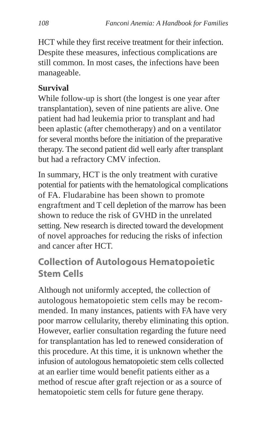HCT while they first receive treatment for their infection. Despite these measures, infectious complications are still common. In most cases, the infections have been manageable.

### **Survival**

While follow-up is short (the longest is one year after transplantation), seven of nine patients are alive. One patient had had leukemia prior to transplant and had been aplastic (after chemotherapy) and on a ventilator for several months before the initiation of the preparative therapy. The second patient did well early after transplant but had a refractory CMV infection.

In summary, HCT is the only treatment with curative potential for patients with the hematological complications of FA. Fludarabine has been shown to promote engraftment and T cell depletion of the marrow has been shown to reduce the risk of GVHD in the unrelated setting. New research is directed toward the development of novel approaches for reducing the risks of infection and cancer after HCT.

# **Collection of Autologous Hematopoietic Stem Cells**

Although not uniformly accepted, the collection of autologous hematopoietic stem cells may be recommended. In many instances, patients with FA have very poor marrow cellularity, thereby eliminating this option. However, earlier consultation regarding the future need for transplantation has led to renewed consideration of this procedure. At this time, it is unknown whether the infusion of autologous hematopoietic stem cells collected at an earlier time would benefit patients either as a method of rescue after graft rejection or as a source of hematopoietic stem cells for future gene therapy.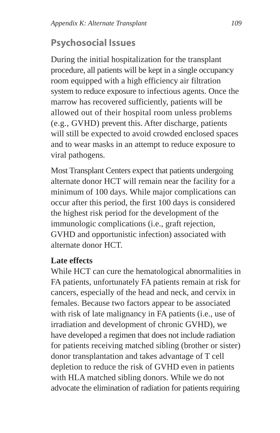## **Psychosocial Issues**

During the initial hospitalization for the transplant procedure, all patients will be kept in a single occupancy room equipped with a high efficiency air filtration system to reduce exposure to infectious agents. Once the marrow has recovered sufficiently, patients will be allowed out of their hospital room unless problems (e.g., GVHD) prevent this. After discharge, patients will still be expected to avoid crowded enclosed spaces and to wear masks in an attempt to reduce exposure to viral pathogens.

Most Transplant Centers expect that patients undergoing alternate donor HCT will remain near the facility for a minimum of 100 days. While major complications can occur after this period, the first 100 days is considered the highest risk period for the development of the immunologic complications (i.e., graft rejection, GVHD and opportunistic infection) associated with alternate donor HCT.

#### **Late effects**

While HCT can cure the hematological abnormalities in FA patients, unfortunately FA patients remain at risk for cancers, especially of the head and neck, and cervix in females. Because two factors appear to be associated with risk of late malignancy in FA patients (i.e., use of irradiation and development of chronic GVHD), we have developed a regimen that does not include radiation for patients receiving matched sibling (brother or sister) donor transplantation and takes advantage of T cell depletion to reduce the risk of GVHD even in patients with HLA matched sibling donors. While we do not advocate the elimination of radiation for patients requiring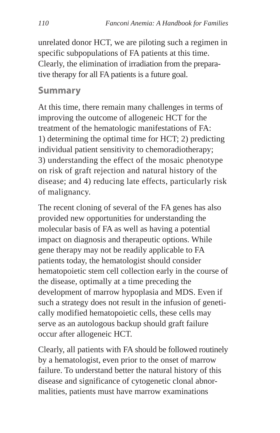unrelated donor HCT, we are piloting such a regimen in specific subpopulations of FA patients at this time. Clearly, the elimination of irradiation from the preparative therapy for all FA patients is a future goal.

### **Summary**

At this time, there remain many challenges in terms of improving the outcome of allogeneic HCT for the treatment of the hematologic manifestations of FA: 1) determining the optimal time for HCT; 2) predicting individual patient sensitivity to chemoradiotherapy; 3) understanding the effect of the mosaic phenotype on risk of graft rejection and natural history of the disease; and 4) reducing late effects, particularly risk of malignancy.

The recent cloning of several of the FA genes has also provided new opportunities for understanding the molecular basis of FA as well as having a potential impact on diagnosis and therapeutic options. While gene therapy may not be readily applicable to FA patients today, the hematologist should consider hematopoietic stem cell collection early in the course of the disease, optimally at a time preceding the development of marrow hypoplasia and MDS. Even if such a strategy does not result in the infusion of genetically modified hematopoietic cells, these cells may serve as an autologous backup should graft failure occur after allogeneic HCT.

Clearly, all patients with FA should be followed routinely by a hematologist, even prior to the onset of marrow failure. To understand better the natural history of this disease and significance of cytogenetic clonal abnormalities, patients must have marrow examinations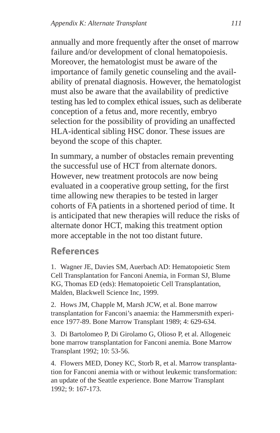annually and more frequently after the onset of marrow failure and/or development of clonal hematopoiesis. Moreover, the hematologist must be aware of the importance of family genetic counseling and the availability of prenatal diagnosis. However, the hematologist must also be aware that the availability of predictive testing has led to complex ethical issues, such as deliberate conception of a fetus and, more recently, embryo selection for the possibility of providing an unaffected HLA-identical sibling HSC donor. These issues are beyond the scope of this chapter.

In summary, a number of obstacles remain preventing the successful use of HCT from alternate donors. However, new treatment protocols are now being evaluated in a cooperative group setting, for the first time allowing new therapies to be tested in larger cohorts of FA patients in a shortened period of time. It is anticipated that new therapies will reduce the risks of alternate donor HCT, making this treatment option more acceptable in the not too distant future.

#### **References**

1. Wagner JE, Davies SM, Auerbach AD: Hematopoietic Stem Cell Transplantation for Fanconi Anemia, in Forman SJ, Blume KG, Thomas ED (eds): Hematopoietic Cell Transplantation, Malden, Blackwell Science Inc, 1999.

2. Hows JM, Chapple M, Marsh JCW, et al. Bone marrow transplantation for Fanconi's anaemia: the Hammersmith experience 1977-89. Bone Marrow Transplant 1989; 4: 629-634.

3. Di Bartolomeo P, Di Girolamo G, Olioso P, et al. Allogeneic bone marrow transplantation for Fanconi anemia. Bone Marrow Transplant 1992; 10: 53-56.

4. Flowers MED, Doney KC, Storb R, et al. Marrow transplantation for Fanconi anemia with or without leukemic transformation: an update of the Seattle experience. Bone Marrow Transplant 1992; 9: 167-173.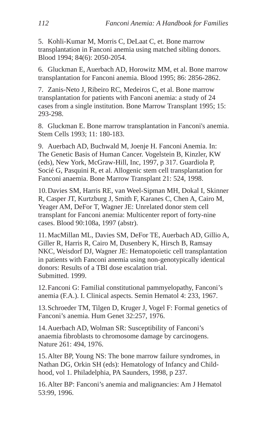5. Kohli-Kumar M, Morris C, DeLaat C, et. Bone marrow transplantation in Fanconi anemia using matched sibling donors. Blood 1994; 84(6): 2050-2054.

6. Gluckman E, Auerbach AD, Horowitz MM, et al. Bone marrow transplantation for Fanconi anemia. Blood 1995; 86: 2856-2862.

7. Zanis-Neto J, Ribeiro RC, Medeiros C, et al. Bone marrow transplantation for patients with Fanconi anemia: a study of 24 cases from a single institution. Bone Marrow Transplant 1995; 15: 293-298.

8. Gluckman E. Bone marrow transplantation in Fanconi's anemia. Stem Cells 1993; 11: 180-183.

9. Auerbach AD, Buchwald M, Joenje H. Fanconi Anemia. In: The Genetic Basis of Human Cancer. Vogelstein B, Kinzler, KW (eds), New York, McGraw-Hill, Inc, 1997, p 317. Guardiola P, Socié G, Pasquini R, et al. Allogenic stem cell transplantation for Fanconi anaemia. Bone Marrow Transplant 21: 524, 1998.

10.Davies SM, Harris RE, van Weel-Sipman MH, Dokal I, Skinner R, Casper JT, Kurtzburg J, Smith F, Karanes C, Chen A, Cairo M, Yeager AM, DeFor T, Wagner JE: Unrelated donor stem cell transplant for Fanconi anemia: Multicenter report of forty-nine cases. Blood 90:108a, 1997 (abstr).

11. MacMillan ML, Davies SM, DeFor TE, Auerbach AD, Gillio A, Giller R, Harris R, Cairo M, Dusenbery K, Hirsch B, Ramsay NKC, Weisdorf DJ, Wagner JE: Hematopoietic cell transplantation in patients with Fanconi anemia using non-genotypically identical donors: Results of a TBI dose escalation trial. Submitted. 1999.

12.Fanconi G: Familial constitutional pammyelopathy, Fanconi's anemia (F.A.). I. Clinical aspects. Semin Hematol 4: 233, 1967.

13.Schroeder TM, Tilgen D, Kruger J, Vogel F: Formal genetics of Fanconi's anemia. Hum Genet 32:257, 1976.

14.Auerbach AD, Wolman SR: Susceptibility of Fanconi's anaemia fibroblasts to chromosome damage by carcinogens. Nature 261: 494, 1976.

15.Alter BP, Young NS: The bone marrow failure syndromes, in Nathan DG, Orkin SH (eds): Hematology of Infancy and Childhood, vol 1. Philadelphia, PA Saunders, 1998, p 237.

16.Alter BP: Fanconi's anemia and malignancies: Am J Hematol 53:99, 1996.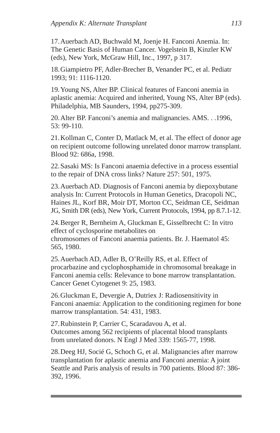17.Auerbach AD, Buchwald M, Joenje H. Fanconi Anemia. In: The Genetic Basis of Human Cancer. Vogelstein B, Kinzler KW (eds), New York, McGraw Hill, Inc., 1997, p 317.

18.Giampietro PF, Adler-Brecher B, Venander PC, et al. Pediatr 1993; 91: 1116-1120.

19.Young NS, Alter BP. Clinical features of Fanconi anemia in aplastic anemia: Acquired and inherited, Young NS, Alter BP (eds). Philadelphia, MB Saunders, 1994, pp275-309.

20.Alter BP. Fanconi's anemia and malignancies. AMS. . .1996, 53: 99-110.

21.Kollman C, Conter D, Matlack M, et al. The effect of donor age on recipient outcome following unrelated donor marrow transplant. Blood 92: 686a, 1998.

22.Sasaki MS: Is Fanconi anaemia defective in a process essential to the repair of DNA cross links? Nature 257: 501, 1975.

23.Auerbach AD. Diagnosis of Fanconi anemia by diepoxybutane analysis In: Current Protocols in Human Genetics, Dracopoli NC, Haines JL, Korf BR, Moir DT, Morton CC, Seidman CE, Seidman JG, Smith DR (eds), New York, Current Protocols, 1994, pp 8.7.1-12.

24.Berger R, Bernheim A, Gluckman E, Gisselbrecht C: In vitro effect of cyclosporine metabolites on chromosomes of Fanconi anaemia patients. Br. J. Haematol 45: 565, 1980.

25.Auerbach AD, Adler B, O'Reilly RS, et al. Effect of procarbazine and cyclophosphamide in chromosomal breakage in Fanconi anemia cells: Relevance to bone marrow transplantation. Cancer Genet Cytogenet 9: 25, 1983.

26.Gluckman E, Devergie A, Dutriex J: Radiosensitivity in Fanconi anaemia: Application to the conditioning regimen for bone marrow transplantation. 54: 431, 1983.

27.Rubinstein P, Carrier C, Scaradavou A, et al. Outcomes among 562 recipients of placental blood transplants from unrelated donors. N Engl J Med 339: 1565-77, 1998.

28.Deeg HJ, Socié G, Schoch G, et al. Malignancies after marrow transplantation for aplastic anemia and Fanconi anemia: A joint Seattle and Paris analysis of results in 700 patients. Blood 87: 386- 392, 1996.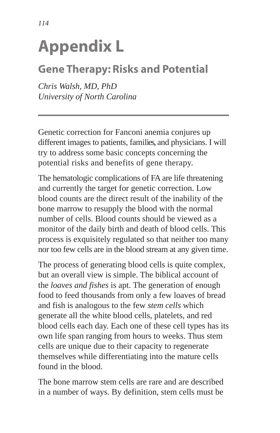# **Appendix L**

# **Gene Therapy: Risks and Potential**

*Chris Walsh, MD, PhD University of North Carolina*

Genetic correction for Fanconi anemia conjures up different images to patients, families, and physicians. I will try to address some basic concepts concerning the potential risks and benefits of gene therapy.

The hematologic complications of FA are life threatening and currently the target for genetic correction. Low blood counts are the direct result of the inability of the bone marrow to resupply the blood with the normal number of cells. Blood counts should be viewed as a monitor of the daily birth and death of blood cells. This process is exquisitely regulated so that neither too many nor too few cells are in the blood stream at any given time.

The process of generating blood cells is quite complex, but an overall view is simple. The biblical account of the *loaves and fishes* is apt. The generation of enough food to feed thousands from only a few loaves of bread and fish is analogous to the few *stem cells* which generate all the white blood cells, platelets, and red blood cells each day. Each one of these cell types has its own life span ranging from hours to weeks. Thus stem cells are unique due to their capacity to regenerate themselves while differentiating into the mature cells found in the blood.

The bone marrow stem cells are rare and are described in a number of ways. By definition, stem cells must be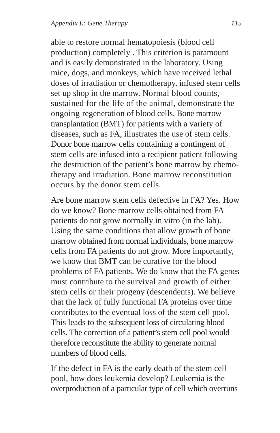able to restore normal hematopoiesis (blood cell production) completely . This criterion is paramount and is easily demonstrated in the laboratory. Using mice, dogs, and monkeys, which have received lethal doses of irradiation or chemotherapy, infused stem cells set up shop in the marrow. Normal blood counts, sustained for the life of the animal, demonstrate the ongoing regeneration of blood cells. Bone marrow transplantation (BMT) for patients with a variety of diseases, such as FA, illustrates the use of stem cells. Donor bone marrow cells containing a contingent of stem cells are infused into a recipient patient following the destruction of the patient's bone marrow by chemotherapy and irradiation. Bone marrow reconstitution occurs by the donor stem cells.

Are bone marrow stem cells defective in FA? Yes. How do we know? Bone marrow cells obtained from FA patients do not grow normally in vitro (in the lab). Using the same conditions that allow growth of bone marrow obtained from normal individuals, bone marrow cells from FA patients do not grow. More importantly, we know that BMT can be curative for the blood problems of FA patients. We do know that the FA genes must contribute to the survival and growth of either stem cells or their progeny (descendents). We believe that the lack of fully functional FA proteins over time contributes to the eventual loss of the stem cell pool. This leads to the subsequent loss of circulating blood cells. The correction of a patient's stem cell pool would therefore reconstitute the ability to generate normal numbers of blood cells.

If the defect in FA is the early death of the stem cell pool, how does leukemia develop? Leukemia is the overproduction of a particular type of cell which overruns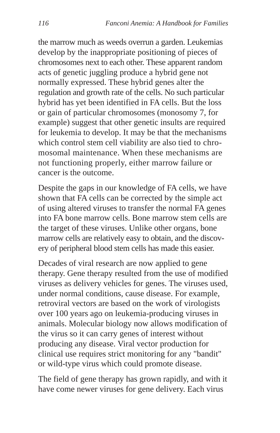the marrow much as weeds overrun a garden. Leukemias develop by the inappropriate positioning of pieces of chromosomes next to each other. These apparent random acts of genetic juggling produce a hybrid gene not normally expressed. These hybrid genes alter the regulation and growth rate of the cells. No such particular hybrid has yet been identified in FA cells. But the loss or gain of particular chromosomes (monosomy 7, for example) suggest that other genetic insults are required for leukemia to develop. It may be that the mechanisms which control stem cell viability are also tied to chromosomal maintenance. When these mechanisms are not functioning properly, either marrow failure or cancer is the outcome.

Despite the gaps in our knowledge of FA cells, we have shown that FA cells can be corrected by the simple act of using altered viruses to transfer the normal FA genes into FA bone marrow cells. Bone marrow stem cells are the target of these viruses. Unlike other organs, bone marrow cells are relatively easy to obtain, and the discovery of peripheral blood stem cells has made this easier.

Decades of viral research are now applied to gene therapy. Gene therapy resulted from the use of modified viruses as delivery vehicles for genes. The viruses used, under normal conditions, cause disease. For example, retroviral vectors are based on the work of virologists over 100 years ago on leukemia-producing viruses in animals. Molecular biology now allows modification of the virus so it can carry genes of interest without producing any disease. Viral vector production for clinical use requires strict monitoring for any "bandit" or wild-type virus which could promote disease.

The field of gene therapy has grown rapidly, and with it have come newer viruses for gene delivery. Each virus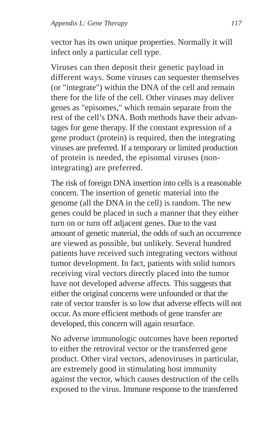vector has its own unique properties. Normally it will infect only a particular cell type.

Viruses can then deposit their genetic payload in different ways. Some viruses can sequester themselves (or "integrate") within the DNA of the cell and remain there for the life of the cell. Other viruses may deliver genes as "episomes," which remain separate from the rest of the cell's DNA. Both methods have their advantages for gene therapy. If the constant expression of a gene product (protein) is required, then the integrating viruses are preferred. If a temporary or limited production of protein is needed, the episomal viruses (nonintegrating) are preferred.

The risk of foreign DNA insertion into cells is a reasonable concern. The insertion of genetic material into the genome (all the DNA in the cell) is random. The new genes could be placed in such a manner that they either turn on or turn off adjacent genes. Due to the vast amount of genetic material, the odds of such an occurrence are viewed as possible, but unlikely. Several hundred patients have received such integrating vectors without tumor development. In fact, patients with solid tumors receiving viral vectors directly placed into the tumor have not developed adverse affects. This suggests that either the original concerns were unfounded or that the rate of vector transfer is so low that adverse effects will not occur. As more efficient methods of gene transfer are developed, this concern will again resurface.

No adverse immunologic outcomes have been reported to either the retroviral vector or the transferred gene product. Other viral vectors, adenoviruses in particular, are extremely good in stimulating host immunity against the vector, which causes destruction of the cells exposed to the virus. Immune response to the transferred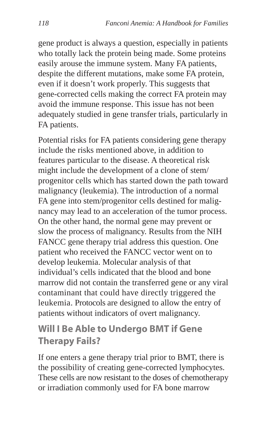gene product is always a question, especially in patients who totally lack the protein being made. Some proteins easily arouse the immune system. Many FA patients, despite the different mutations, make some FA protein, even if it doesn't work properly. This suggests that gene-corrected cells making the correct FA protein may avoid the immune response. This issue has not been adequately studied in gene transfer trials, particularly in FA patients.

Potential risks for FA patients considering gene therapy include the risks mentioned above, in addition to features particular to the disease. A theoretical risk might include the development of a clone of stem/ progenitor cells which has started down the path toward malignancy (leukemia). The introduction of a normal FA gene into stem/progenitor cells destined for malignancy may lead to an acceleration of the tumor process. On the other hand, the normal gene may prevent or slow the process of malignancy. Results from the NIH FANCC gene therapy trial address this question. One patient who received the FANCC vector went on to develop leukemia. Molecular analysis of that individual's cells indicated that the blood and bone marrow did not contain the transferred gene or any viral contaminant that could have directly triggered the leukemia. Protocols are designed to allow the entry of patients without indicators of overt malignancy.

# **Will I Be Able to Undergo BMT if Gene Therapy Fails?**

If one enters a gene therapy trial prior to BMT, there is the possibility of creating gene-corrected lymphocytes. These cells are now resistant to the doses of chemotherapy or irradiation commonly used for FA bone marrow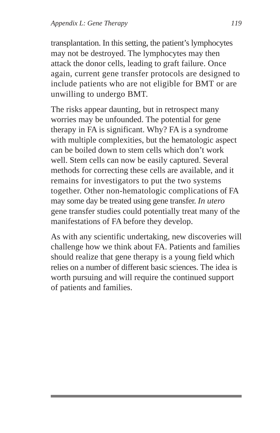transplantation. In this setting, the patient's lymphocytes may not be destroyed. The lymphocytes may then attack the donor cells, leading to graft failure. Once again, current gene transfer protocols are designed to include patients who are not eligible for BMT or are unwilling to undergo BMT.

The risks appear daunting, but in retrospect many worries may be unfounded. The potential for gene therapy in FA is significant. Why? FA is a syndrome with multiple complexities, but the hematologic aspect can be boiled down to stem cells which don't work well. Stem cells can now be easily captured. Several methods for correcting these cells are available, and it remains for investigators to put the two systems together. Other non-hematologic complications of FA may some day be treated using gene transfer. *In utero* gene transfer studies could potentially treat many of the manifestations of FA before they develop.

As with any scientific undertaking, new discoveries will challenge how we think about FA. Patients and families should realize that gene therapy is a young field which relies on a number of different basic sciences. The idea is worth pursuing and will require the continued support of patients and families.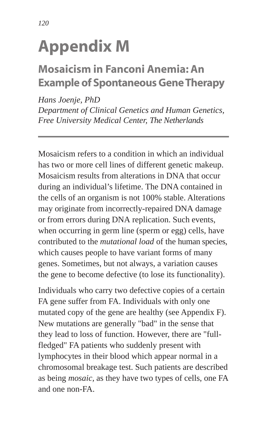# **Appendix M**

# **Mosaicism in Fanconi Anemia: An Example of Spontaneous Gene Therapy**

*Hans Joenje, PhD Department of Clinical Genetics and Human Genetics, Free University Medical Center, The Netherlands*

Mosaicism refers to a condition in which an individual has two or more cell lines of different genetic makeup. Mosaicism results from alterations in DNA that occur during an individual's lifetime. The DNA contained in the cells of an organism is not 100% stable. Alterations may originate from incorrectly-repaired DNA damage or from errors during DNA replication. Such events, when occurring in germ line (sperm or egg) cells, have contributed to the *mutational load* of the human species, which causes people to have variant forms of many genes. Sometimes, but not always, a variation causes the gene to become defective (to lose its functionality).

Individuals who carry two defective copies of a certain FA gene suffer from FA. Individuals with only one mutated copy of the gene are healthy (see Appendix F). New mutations are generally "bad" in the sense that they lead to loss of function. However, there are "fullfledged" FA patients who suddenly present with lymphocytes in their blood which appear normal in a chromosomal breakage test. Such patients are described as being *mosaic,* as they have two types of cells, one FA and one non-FA.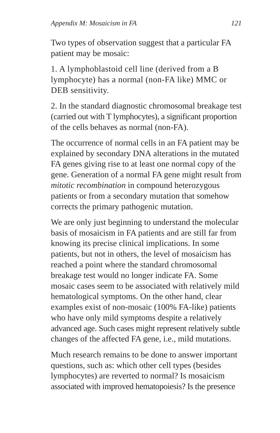Two types of observation suggest that a particular FA patient may be mosaic:

1. A lymphoblastoid cell line (derived from a B lymphocyte) has a normal (non-FA like) MMC or DEB sensitivity.

2. In the standard diagnostic chromosomal breakage test (carried out with T lymphocytes), a significant proportion of the cells behaves as normal (non-FA).

The occurrence of normal cells in an FA patient may be explained by secondary DNA alterations in the mutated FA genes giving rise to at least one normal copy of the gene. Generation of a normal FA gene might result from *mitotic recombination* in compound heterozygous patients or from a secondary mutation that somehow corrects the primary pathogenic mutation.

We are only just beginning to understand the molecular basis of mosaicism in FA patients and are still far from knowing its precise clinical implications. In some patients, but not in others, the level of mosaicism has reached a point where the standard chromosomal breakage test would no longer indicate FA. Some mosaic cases seem to be associated with relatively mild hematological symptoms. On the other hand, clear examples exist of non-mosaic (100% FA-like) patients who have only mild symptoms despite a relatively advanced age. Such cases might represent relatively subtle changes of the affected FA gene, i.e., mild mutations.

Much research remains to be done to answer important questions, such as: which other cell types (besides lymphocytes) are reverted to normal? Is mosaicism associated with improved hematopoiesis? Is the presence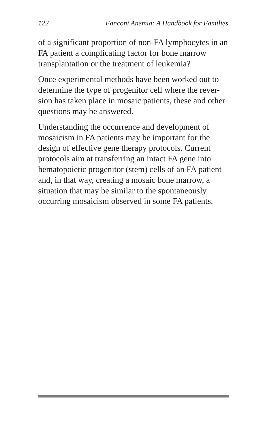of a significant proportion of non-FA lymphocytes in an FA patient a complicating factor for bone marrow transplantation or the treatment of leukemia?

Once experimental methods have been worked out to determine the type of progenitor cell where the reversion has taken place in mosaic patients, these and other questions may be answered.

Understanding the occurrence and development of mosaicism in FA patients may be important for the design of effective gene therapy protocols. Current protocols aim at transferring an intact FA gene into hematopoietic progenitor (stem) cells of an FA patient and, in that way, creating a mosaic bone marrow, a situation that may be similar to the spontaneously occurring mosaicism observed in some FA patients.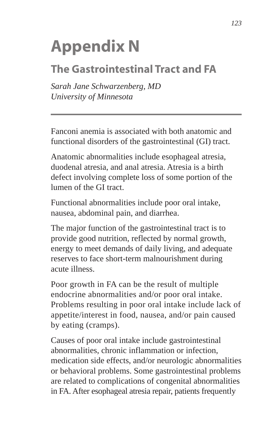# **Appendix N**

# **The Gastrointestinal Tract and FA**

*Sarah Jane Schwarzenberg, MD University of Minnesota*

Fanconi anemia is associated with both anatomic and functional disorders of the gastrointestinal (GI) tract.

Anatomic abnormalities include esophageal atresia, duodenal atresia, and anal atresia. Atresia is a birth defect involving complete loss of some portion of the lumen of the GI tract.

Functional abnormalities include poor oral intake, nausea, abdominal pain, and diarrhea.

The major function of the gastrointestinal tract is to provide good nutrition, reflected by normal growth, energy to meet demands of daily living, and adequate reserves to face short-term malnourishment during acute illness.

Poor growth in FA can be the result of multiple endocrine abnormalities and/or poor oral intake. Problems resulting in poor oral intake include lack of appetite/interest in food, nausea, and/or pain caused by eating (cramps).

Causes of poor oral intake include gastrointestinal abnormalities, chronic inflammation or infection, medication side effects, and/or neurologic abnormalities or behavioral problems. Some gastrointestinal problems are related to complications of congenital abnormalities in FA. After esophageal atresia repair, patients frequently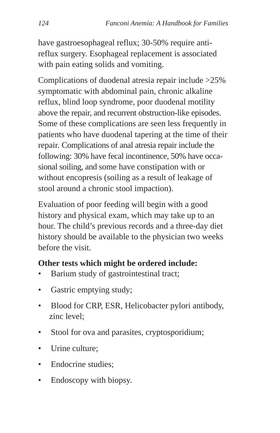have gastroesophageal reflux; 30-50% require antireflux surgery. Esophageal replacement is associated with pain eating solids and vomiting.

Complications of duodenal atresia repair include >25% symptomatic with abdominal pain, chronic alkaline reflux, blind loop syndrome, poor duodenal motility above the repair, and recurrent obstruction-like episodes. Some of these complications are seen less frequently in patients who have duodenal tapering at the time of their repair. Complications of anal atresia repair include the following: 30% have fecal incontinence, 50% have occasional soiling, and some have constipation with or without encopresis (soiling as a result of leakage of stool around a chronic stool impaction).

Evaluation of poor feeding will begin with a good history and physical exam, which may take up to an hour. The child's previous records and a three-day diet history should be available to the physician two weeks before the visit.

#### **Other tests which might be ordered include:**

- Barium study of gastrointestinal tract;
- Gastric emptying study;
- Blood for CRP, ESR, Helicobacter pylori antibody, zinc level;
- Stool for ova and parasites, cryptosporidium;
- Urine culture;
- Endocrine studies:
- Endoscopy with biopsy.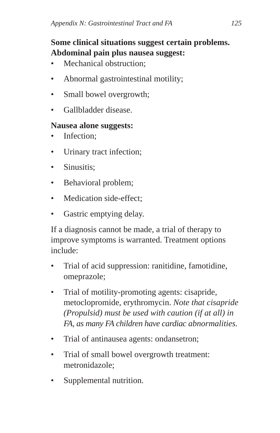### **Some clinical situations suggest certain problems. Abdominal pain plus nausea suggest:**

- Mechanical obstruction:
- Abnormal gastrointestinal motility;
- Small bowel overgrowth;
- Gallbladder disease.

#### **Nausea alone suggests:**

- Infection;
- Urinary tract infection;
- Sinusitis:
- Behavioral problem;
- Medication side-effect:
- Gastric emptying delay.

If a diagnosis cannot be made, a trial of therapy to improve symptoms is warranted. Treatment options include:

- Trial of acid suppression: ranitidine, famotidine, omeprazole;
- Trial of motility-promoting agents: cisapride, metoclopromide, erythromycin. *Note that cisapride (Propulsid) must be used with caution (if at all) in FA, as many FA children have cardiac abnormalities.*
- Trial of antinausea agents: ondansetron;
- Trial of small bowel overgrowth treatment: metronidazole;
- Supplemental nutrition.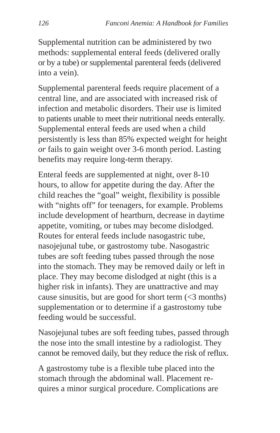Supplemental nutrition can be administered by two methods: supplemental enteral feeds (delivered orally or by a tube) or supplemental parenteral feeds (delivered into a vein).

Supplemental parenteral feeds require placement of a central line, and are associated with increased risk of infection and metabolic disorders. Their use is limited to patients unable to meet their nutritional needs enterally. Supplemental enteral feeds are used when a child persistently is less than 85% expected weight for height *or* fails to gain weight over 3-6 month period. Lasting benefits may require long-term therapy.

Enteral feeds are supplemented at night, over 8-10 hours, to allow for appetite during the day. After the child reaches the "goal" weight, flexibility is possible with "nights off" for teenagers, for example. Problems include development of heartburn, decrease in daytime appetite, vomiting, or tubes may become dislodged. Routes for enteral feeds include nasogastric tube, nasojejunal tube, or gastrostomy tube. Nasogastric tubes are soft feeding tubes passed through the nose into the stomach. They may be removed daily or left in place. They may become dislodged at night (this is a higher risk in infants). They are unattractive and may cause sinusitis, but are good for short term  $\left(\langle 3 \text{ months}\right)$ supplementation or to determine if a gastrostomy tube feeding would be successful.

Nasojejunal tubes are soft feeding tubes, passed through the nose into the small intestine by a radiologist. They cannot be removed daily, but they reduce the risk of reflux.

A gastrostomy tube is a flexible tube placed into the stomach through the abdominal wall. Placement requires a minor surgical procedure. Complications are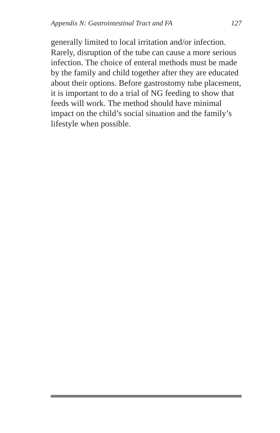generally limited to local irritation and/or infection. Rarely, disruption of the tube can cause a more serious infection. The choice of enteral methods must be made by the family and child together after they are educated about their options. Before gastrostomy tube placement, it is important to do a trial of NG feeding to show that feeds will work. The method should have minimal impact on the child's social situation and the family's lifestyle when possible.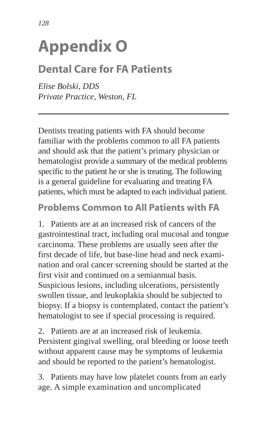# **Appendix O**

# **Dental Care for FA Patients**

*Elise Bolski, DDS Private Practice, Weston, FL*

Dentists treating patients with FA should become familiar with the problems common to all FA patients and should ask that the patient's primary physician or hematologist provide a summary of the medical problems specific to the patient he or she is treating. The following is a general guideline for evaluating and treating FA patients, which must be adapted to each individual patient.

# **Problems Common to All Patients with FA**

1. Patients are at an increased risk of cancers of the gastrointestinal tract, including oral mucosal and tongue carcinoma. These problems are usually seen after the first decade of life, but base-line head and neck examination and oral cancer screening should be started at the first visit and continued on a semiannual basis. Suspicious lesions, including ulcerations, persistently swollen tissue, and leukoplakia should be subjected to biopsy. If a biopsy is contemplated, contact the patient's hematologist to see if special processing is required.

2. Patients are at an increased risk of leukemia. Persistent gingival swelling, oral bleeding or loose teeth without apparent cause may be symptoms of leukemia and should be reported to the patient's hematologist.

3. Patients may have low platelet counts from an early age. A simple examination and uncomplicated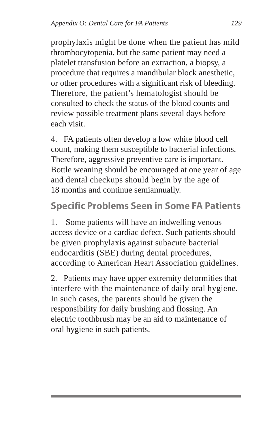prophylaxis might be done when the patient has mild thrombocytopenia, but the same patient may need a platelet transfusion before an extraction, a biopsy, a procedure that requires a mandibular block anesthetic, or other procedures with a significant risk of bleeding. Therefore, the patient's hematologist should be consulted to check the status of the blood counts and review possible treatment plans several days before each visit.

4. FA patients often develop a low white blood cell count, making them susceptible to bacterial infections. Therefore, aggressive preventive care is important. Bottle weaning should be encouraged at one year of age and dental checkups should begin by the age of 18 months and continue semiannually.

# **Specific Problems Seen in Some FA Patients**

1. Some patients will have an indwelling venous access device or a cardiac defect. Such patients should be given prophylaxis against subacute bacterial endocarditis (SBE) during dental procedures, according to American Heart Association guidelines.

2. Patients may have upper extremity deformities that interfere with the maintenance of daily oral hygiene. In such cases, the parents should be given the responsibility for daily brushing and flossing. An electric toothbrush may be an aid to maintenance of oral hygiene in such patients.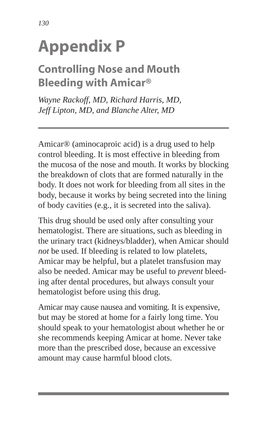# **Appendix P**

# **Controlling Nose and Mouth Bleeding with Amicar®**

*Wayne Rackoff, MD, Richard Harris, MD, Jeff Lipton, MD, and Blanche Alter, MD*

Amicar® (aminocaproic acid) is a drug used to help control bleeding. It is most effective in bleeding from the mucosa of the nose and mouth. It works by blocking the breakdown of clots that are formed naturally in the body. It does not work for bleeding from all sites in the body, because it works by being secreted into the lining of body cavities (e.g., it is secreted into the saliva).

This drug should be used only after consulting your hematologist. There are situations, such as bleeding in the urinary tract (kidneys/bladder), when Amicar should *not* be used. If bleeding is related to low platelets, Amicar may be helpful, but a platelet transfusion may also be needed. Amicar may be useful to *prevent* bleeding after dental procedures, but always consult your hematologist before using this drug.

Amicar may cause nausea and vomiting. It is expensive, but may be stored at home for a fairly long time. You should speak to your hematologist about whether he or she recommends keeping Amicar at home. Never take more than the prescribed dose, because an excessive amount may cause harmful blood clots.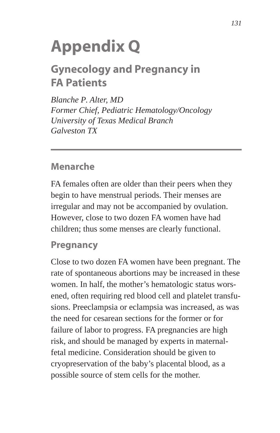# **Appendix Q**

# **Gynecology and Pregnancy in FA Patients**

*Blanche P. Alter, MD Former Chief, Pediatric Hematology/Oncology University of Texas Medical Branch Galveston TX*

### **Menarche**

FA females often are older than their peers when they begin to have menstrual periods. Their menses are irregular and may not be accompanied by ovulation. However, close to two dozen FA women have had children; thus some menses are clearly functional.

### **Pregnancy**

Close to two dozen FA women have been pregnant. The rate of spontaneous abortions may be increased in these women. In half, the mother's hematologic status worsened, often requiring red blood cell and platelet transfusions. Preeclampsia or eclampsia was increased, as was the need for cesarean sections for the former or for failure of labor to progress. FA pregnancies are high risk, and should be managed by experts in maternalfetal medicine. Consideration should be given to cryopreservation of the baby's placental blood, as a possible source of stem cells for the mother.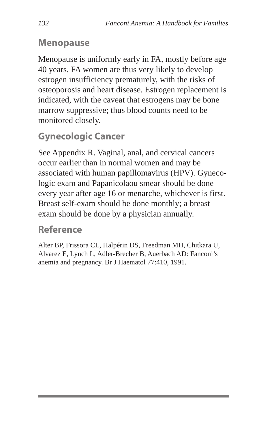## **Menopause**

Menopause is uniformly early in FA, mostly before age 40 years. FA women are thus very likely to develop estrogen insufficiency prematurely, with the risks of osteoporosis and heart disease. Estrogen replacement is indicated, with the caveat that estrogens may be bone marrow suppressive; thus blood counts need to be monitored closely.

# **Gynecologic Cancer**

See Appendix R. Vaginal, anal, and cervical cancers occur earlier than in normal women and may be associated with human papillomavirus (HPV). Gynecologic exam and Papanicolaou smear should be done every year after age 16 or menarche, whichever is first. Breast self-exam should be done monthly; a breast exam should be done by a physician annually.

# **Reference**

Alter BP, Frissora CL, Halpérin DS, Freedman MH, Chitkara U, Alvarez E, Lynch L, Adler-Brecher B, Auerbach AD: Fanconi's anemia and pregnancy. Br J Haematol 77:410, 1991.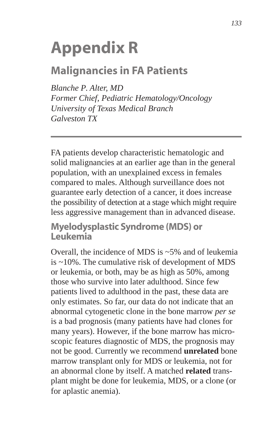# **Appendix R**

# **Malignancies in FA Patients**

*Blanche P. Alter, MD Former Chief, Pediatric Hematology/Oncology University of Texas Medical Branch Galveston TX*

FA patients develop characteristic hematologic and solid malignancies at an earlier age than in the general population, with an unexplained excess in females compared to males. Although surveillance does not guarantee early detection of a cancer, it does increase the possibility of detection at a stage which might require less aggressive management than in advanced disease.

### **Myelodysplastic Syndrome (MDS) or Leukemia**

Overall, the incidence of MDS is ~5% and of leukemia is ~10%. The cumulative risk of development of MDS or leukemia, or both, may be as high as 50%, among those who survive into later adulthood. Since few patients lived to adulthood in the past, these data are only estimates. So far, our data do not indicate that an abnormal cytogenetic clone in the bone marrow *per se* is a bad prognosis (many patients have had clones for many years). However, if the bone marrow has microscopic features diagnostic of MDS, the prognosis may not be good. Currently we recommend **unrelated** bone marrow transplant only for MDS or leukemia, not for an abnormal clone by itself. A matched **related** transplant might be done for leukemia, MDS, or a clone (or for aplastic anemia).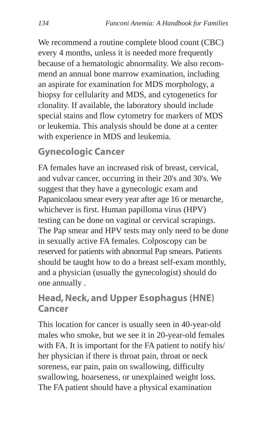We recommend a routine complete blood count (CBC) every 4 months, unless it is needed more frequently because of a hematologic abnormality. We also recommend an annual bone marrow examination, including an aspirate for examination for MDS morphology, a biopsy for cellularity and MDS, and cytogenetics for clonality. If available, the laboratory should include special stains and flow cytometry for markers of MDS or leukemia. This analysis should be done at a center with experience in MDS and leukemia.

## **Gynecologic Cancer**

FA females have an increased risk of breast, cervical, and vulvar cancer, occurring in their 20's and 30's. We suggest that they have a gynecologic exam and Papanicolaou smear every year after age 16 or menarche, whichever is first. Human papilloma virus (HPV) testing can be done on vaginal or cervical scrapings. The Pap smear and HPV tests may only need to be done in sexually active FA females. Colposcopy can be reserved for patients with abnormal Pap smears. Patients should be taught how to do a breast self-exam monthly, and a physician (usually the gynecologist) should do one annually .

## **Head, Neck, and Upper Esophagus (HNE) Cancer**

This location for cancer is usually seen in 40-year-old males who smoke, but we see it in 20-year-old females with FA. It is important for the FA patient to notify his/ her physician if there is throat pain, throat or neck soreness, ear pain, pain on swallowing, difficulty swallowing, hoarseness, or unexplained weight loss. The FA patient should have a physical examination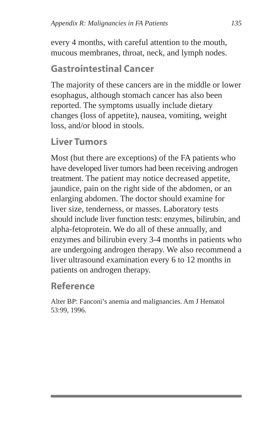every 4 months, with careful attention to the mouth, mucous membranes, throat, neck, and lymph nodes.

# **Gastrointestinal Cancer**

The majority of these cancers are in the middle or lower esophagus, although stomach cancer has also been reported. The symptoms usually include dietary changes (loss of appetite), nausea, vomiting, weight loss, and/or blood in stools.

# **Liver Tumors**

Most (but there are exceptions) of the FA patients who have developed liver tumors had been receiving androgen treatment. The patient may notice decreased appetite, jaundice, pain on the right side of the abdomen, or an enlarging abdomen. The doctor should examine for liver size, tenderness, or masses. Laboratory tests should include liver function tests: enzymes, bilirubin, and alpha-fetoprotein. We do all of these annually, and enzymes and bilirubin every 3-4 months in patients who are undergoing androgen therapy. We also recommend a liver ultrasound examination every 6 to 12 months in patients on androgen therapy.

# **Reference**

Alter BP: Fanconi's anemia and malignancies. Am J Hematol 53:99, 1996.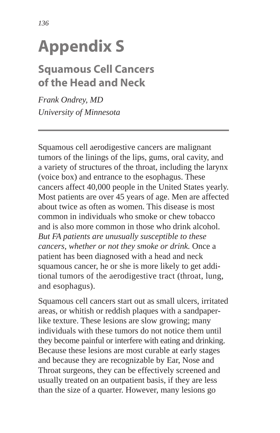# **Appendix S**

# **Squamous Cell Cancers of the Head and Neck**

*Frank Ondrey, MD University of Minnesota*

Squamous cell aerodigestive cancers are malignant tumors of the linings of the lips, gums, oral cavity, and a variety of structures of the throat, including the larynx (voice box) and entrance to the esophagus. These cancers affect 40,000 people in the United States yearly. Most patients are over 45 years of age. Men are affected about twice as often as women. This disease is most common in individuals who smoke or chew tobacco and is also more common in those who drink alcohol. *But FA patients are unusually susceptible to these cancers, whether or not they smoke or drink.* Once a patient has been diagnosed with a head and neck squamous cancer, he or she is more likely to get additional tumors of the aerodigestive tract (throat, lung, and esophagus).

Squamous cell cancers start out as small ulcers, irritated areas, or whitish or reddish plaques with a sandpaperlike texture. These lesions are slow growing; many individuals with these tumors do not notice them until they become painful or interfere with eating and drinking. Because these lesions are most curable at early stages and because they are recognizable by Ear, Nose and Throat surgeons, they can be effectively screened and usually treated on an outpatient basis, if they are less than the size of a quarter. However, many lesions go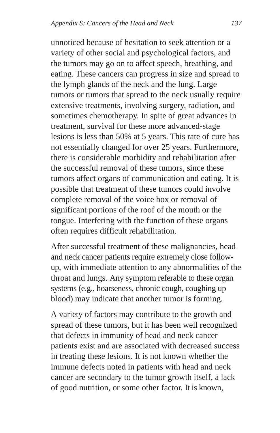unnoticed because of hesitation to seek attention or a variety of other social and psychological factors, and the tumors may go on to affect speech, breathing, and eating. These cancers can progress in size and spread to the lymph glands of the neck and the lung. Large tumors or tumors that spread to the neck usually require extensive treatments, involving surgery, radiation, and sometimes chemotherapy. In spite of great advances in treatment, survival for these more advanced-stage lesions is less than 50% at 5 years. This rate of cure has not essentially changed for over 25 years. Furthermore, there is considerable morbidity and rehabilitation after the successful removal of these tumors, since these tumors affect organs of communication and eating. It is possible that treatment of these tumors could involve complete removal of the voice box or removal of significant portions of the roof of the mouth or the tongue. Interfering with the function of these organs often requires difficult rehabilitation.

After successful treatment of these malignancies, head and neck cancer patients require extremely close followup, with immediate attention to any abnormalities of the throat and lungs. Any symptom referable to these organ systems (e.g., hoarseness, chronic cough, coughing up blood) may indicate that another tumor is forming.

A variety of factors may contribute to the growth and spread of these tumors, but it has been well recognized that defects in immunity of head and neck cancer patients exist and are associated with decreased success in treating these lesions. It is not known whether the immune defects noted in patients with head and neck cancer are secondary to the tumor growth itself, a lack of good nutrition, or some other factor. It is known,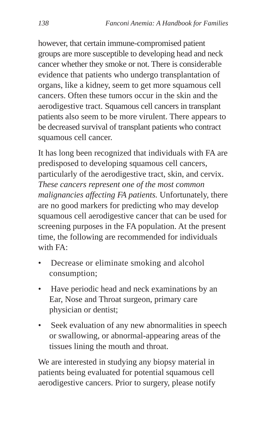however, that certain immune-compromised patient groups are more susceptible to developing head and neck cancer whether they smoke or not. There is considerable evidence that patients who undergo transplantation of organs, like a kidney, seem to get more squamous cell cancers. Often these tumors occur in the skin and the aerodigestive tract. Squamous cell cancers in transplant patients also seem to be more virulent. There appears to be decreased survival of transplant patients who contract squamous cell cancer.

It has long been recognized that individuals with FA are predisposed to developing squamous cell cancers, particularly of the aerodigestive tract, skin, and cervix. *These cancers represent one of the most common malignancies affecting FA patients.* Unfortunately, there are no good markers for predicting who may develop squamous cell aerodigestive cancer that can be used for screening purposes in the FA population. At the present time, the following are recommended for individuals with FA:

- Decrease or eliminate smoking and alcohol consumption;
- Have periodic head and neck examinations by an Ear, Nose and Throat surgeon, primary care physician or dentist;
- Seek evaluation of any new abnormalities in speech or swallowing, or abnormal-appearing areas of the tissues lining the mouth and throat.

We are interested in studying any biopsy material in patients being evaluated for potential squamous cell aerodigestive cancers. Prior to surgery, please notify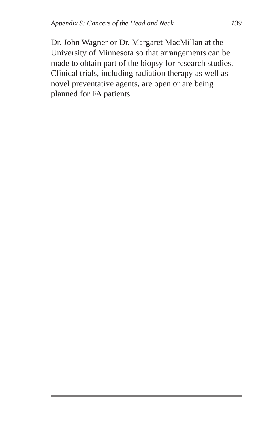Dr. John Wagner or Dr. Margaret MacMillan at the University of Minnesota so that arrangements can be made to obtain part of the biopsy for research studies. Clinical trials, including radiation therapy as well as novel preventative agents, are open or are being planned for FA patients.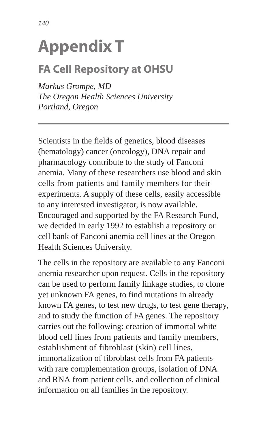# **Appendix T**

# **FA Cell Repository at OHSU**

*Markus Grompe, MD The Oregon Health Sciences University Portland, Oregon*

Scientists in the fields of genetics, blood diseases (hematology) cancer (oncology), DNA repair and pharmacology contribute to the study of Fanconi anemia. Many of these researchers use blood and skin cells from patients and family members for their experiments. A supply of these cells, easily accessible to any interested investigator, is now available. Encouraged and supported by the FA Research Fund, we decided in early 1992 to establish a repository or cell bank of Fanconi anemia cell lines at the Oregon Health Sciences University.

The cells in the repository are available to any Fanconi anemia researcher upon request. Cells in the repository can be used to perform family linkage studies, to clone yet unknown FA genes, to find mutations in already known FA genes, to test new drugs, to test gene therapy, and to study the function of FA genes. The repository carries out the following: creation of immortal white blood cell lines from patients and family members, establishment of fibroblast (skin) cell lines, immortalization of fibroblast cells from FA patients with rare complementation groups, isolation of DNA and RNA from patient cells, and collection of clinical information on all families in the repository.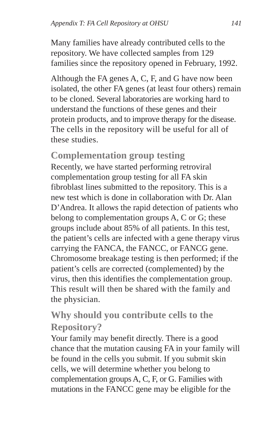Many families have already contributed cells to the repository. We have collected samples from 129 families since the repository opened in February, 1992.

Although the FA genes A, C, F, and G have now been isolated, the other FA genes (at least four others) remain to be cloned. Several laboratories are working hard to understand the functions of these genes and their protein products, and to improve therapy for the disease. The cells in the repository will be useful for all of these studies.

#### **Complementation group testing**

Recently, we have started performing retroviral complementation group testing for all FA skin fibroblast lines submitted to the repository. This is a new test which is done in collaboration with Dr. Alan D'Andrea. It allows the rapid detection of patients who belong to complementation groups A, C or G; these groups include about 85% of all patients. In this test, the patient's cells are infected with a gene therapy virus carrying the FANCA, the FANCC, or FANCG gene. Chromosome breakage testing is then performed; if the patient's cells are corrected (complemented) by the virus, then this identifies the complementation group. This result will then be shared with the family and the physician.

## **Why should you contribute cells to the Repository?**

Your family may benefit directly. There is a good chance that the mutation causing FA in your family will be found in the cells you submit. If you submit skin cells, we will determine whether you belong to complementation groups A, C, F, or G. Families with mutations in the FANCC gene may be eligible for the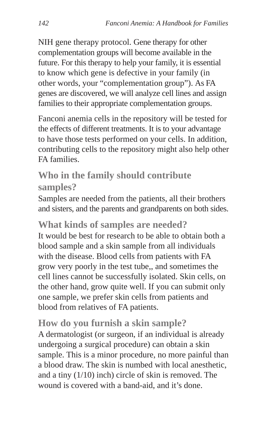NIH gene therapy protocol. Gene therapy for other complementation groups will become available in the future. For this therapy to help your family, it is essential to know which gene is defective in your family (in other words, your "complementation group"). As FA genes are discovered, we will analyze cell lines and assign families to their appropriate complementation groups.

Fanconi anemia cells in the repository will be tested for the effects of different treatments. It is to your advantage to have those tests performed on your cells. In addition, contributing cells to the repository might also help other FA families.

# **Who in the family should contribute samples?**

Samples are needed from the patients, all their brothers and sisters, and the parents and grandparents on both sides.

# **What kinds of samples are needed?**

It would be best for research to be able to obtain both a blood sample and a skin sample from all individuals with the disease. Blood cells from patients with FA grow very poorly in the test tube,, and sometimes the cell lines cannot be successfully isolated. Skin cells, on the other hand, grow quite well. If you can submit only one sample, we prefer skin cells from patients and blood from relatives of FA patients.

# **How do you furnish a skin sample?**

A dermatologist (or surgeon, if an individual is already undergoing a surgical procedure) can obtain a skin sample. This is a minor procedure, no more painful than a blood draw. The skin is numbed with local anesthetic, and a tiny (1/10) inch) circle of skin is removed. The wound is covered with a band-aid, and it's done.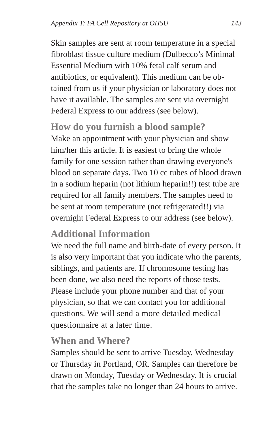Skin samples are sent at room temperature in a special fibroblast tissue culture medium (Dulbecco's Minimal Essential Medium with 10% fetal calf serum and antibiotics, or equivalent). This medium can be obtained from us if your physician or laboratory does not have it available. The samples are sent via overnight Federal Express to our address (see below).

**How do you furnish a blood sample?** Make an appointment with your physician and show him/her this article. It is easiest to bring the whole family for one session rather than drawing everyone's blood on separate days. Two 10 cc tubes of blood drawn in a sodium heparin (not lithium heparin!!) test tube are required for all family members. The samples need to be sent at room temperature (not refrigerated!!) via overnight Federal Express to our address (see below).

## **Additional Information**

We need the full name and birth-date of every person. It is also very important that you indicate who the parents, siblings, and patients are. If chromosome testing has been done, we also need the reports of those tests. Please include your phone number and that of your physician, so that we can contact you for additional questions. We will send a more detailed medical questionnaire at a later time.

## **When and Where?**

Samples should be sent to arrive Tuesday, Wednesday or Thursday in Portland, OR. Samples can therefore be drawn on Monday, Tuesday or Wednesday. It is crucial that the samples take no longer than 24 hours to arrive.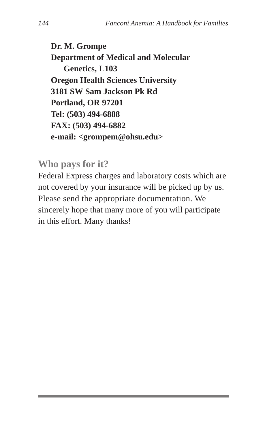**Dr. M. Grompe Department of Medical and Molecular Genetics, L103 Oregon Health Sciences University 3181 SW Sam Jackson Pk Rd Portland, OR 97201 Tel: (503) 494-6888 FAX: (503) 494-6882 e-mail: <grompem@ohsu.edu>**

**Who pays for it?**

Federal Express charges and laboratory costs which are not covered by your insurance will be picked up by us. Please send the appropriate documentation. We sincerely hope that many more of you will participate in this effort. Many thanks!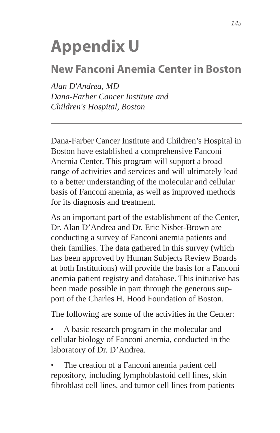# **Appendix U**

# **New Fanconi Anemia Center in Boston**

*Alan D'Andrea, MD Dana-Farber Cancer Institute and Children's Hospital, Boston*

Dana-Farber Cancer Institute and Children's Hospital in Boston have established a comprehensive Fanconi Anemia Center. This program will support a broad range of activities and services and will ultimately lead to a better understanding of the molecular and cellular basis of Fanconi anemia, as well as improved methods for its diagnosis and treatment.

As an important part of the establishment of the Center, Dr. Alan D'Andrea and Dr. Eric Nisbet-Brown are conducting a survey of Fanconi anemia patients and their families. The data gathered in this survey (which has been approved by Human Subjects Review Boards at both Institutions) will provide the basis for a Fanconi anemia patient registry and database. This initiative has been made possible in part through the generous support of the Charles H. Hood Foundation of Boston.

The following are some of the activities in the Center:

- A basic research program in the molecular and cellular biology of Fanconi anemia, conducted in the laboratory of Dr. D'Andrea.
- The creation of a Fanconi anemia patient cell repository, including lymphoblastoid cell lines, skin fibroblast cell lines, and tumor cell lines from patients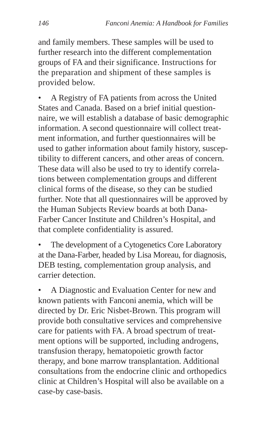and family members. These samples will be used to further research into the different complementation groups of FA and their significance. Instructions for the preparation and shipment of these samples is provided below.

• A Registry of FA patients from across the United States and Canada. Based on a brief initial questionnaire, we will establish a database of basic demographic information. A second questionnaire will collect treatment information, and further questionnaires will be used to gather information about family history, susceptibility to different cancers, and other areas of concern. These data will also be used to try to identify correlations between complementation groups and different clinical forms of the disease, so they can be studied further. Note that all questionnaires will be approved by the Human Subjects Review boards at both Dana-Farber Cancer Institute and Children's Hospital, and that complete confidentiality is assured.

The development of a Cytogenetics Core Laboratory at the Dana-Farber, headed by Lisa Moreau, for diagnosis, DEB testing, complementation group analysis, and carrier detection.

• A Diagnostic and Evaluation Center for new and known patients with Fanconi anemia, which will be directed by Dr. Eric Nisbet-Brown. This program will provide both consultative services and comprehensive care for patients with FA. A broad spectrum of treatment options will be supported, including androgens, transfusion therapy, hematopoietic growth factor therapy, and bone marrow transplantation. Additional consultations from the endocrine clinic and orthopedics clinic at Children's Hospital will also be available on a case-by case-basis.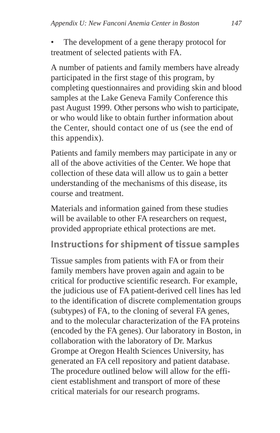The development of a gene therapy protocol for treatment of selected patients with FA.

A number of patients and family members have already participated in the first stage of this program, by completing questionnaires and providing skin and blood samples at the Lake Geneva Family Conference this past August 1999. Other persons who wish to participate, or who would like to obtain further information about the Center, should contact one of us (see the end of this appendix).

Patients and family members may participate in any or all of the above activities of the Center. We hope that collection of these data will allow us to gain a better understanding of the mechanisms of this disease, its course and treatment.

Materials and information gained from these studies will be available to other FA researchers on request, provided appropriate ethical protections are met.

# **Instructions for shipment of tissue samples**

Tissue samples from patients with FA or from their family members have proven again and again to be critical for productive scientific research. For example, the judicious use of FA patient-derived cell lines has led to the identification of discrete complementation groups (subtypes) of FA, to the cloning of several FA genes, and to the molecular characterization of the FA proteins (encoded by the FA genes). Our laboratory in Boston, in collaboration with the laboratory of Dr. Markus Grompe at Oregon Health Sciences University, has generated an FA cell repository and patient database. The procedure outlined below will allow for the efficient establishment and transport of more of these critical materials for our research programs.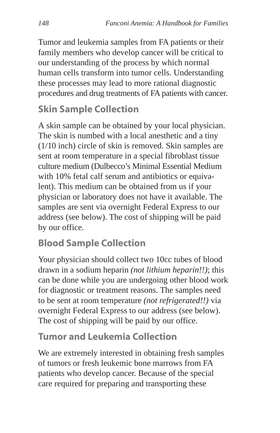Tumor and leukemia samples from FA patients or their family members who develop cancer will be critical to our understanding of the process by which normal human cells transform into tumor cells. Understanding these processes may lead to more rational diagnostic procedures and drug treatments of FA patients with cancer.

# **Skin Sample Collection**

A skin sample can be obtained by your local physician. The skin is numbed with a local anesthetic and a tiny (1/10 inch) circle of skin is removed. Skin samples are sent at room temperature in a special fibroblast tissue culture medium (Dulbecco's Minimal Essential Medium with 10% fetal calf serum and antibiotics or equivalent). This medium can be obtained from us if your physician or laboratory does not have it available. The samples are sent via overnight Federal Express to our address (see below). The cost of shipping will be paid by our office.

# **Blood Sample Collection**

Your physician should collect two 10cc tubes of blood drawn in a sodium heparin *(not lithium heparin!!)*; this can be done while you are undergoing other blood work for diagnostic or treatment reasons. The samples need to be sent at room temperature *(not refrigerated!!)* via overnight Federal Express to our address (see below). The cost of shipping will be paid by our office.

# **Tumor and Leukemia Collection**

We are extremely interested in obtaining fresh samples of tumors or fresh leukemic bone marrows from FA patients who develop cancer. Because of the special care required for preparing and transporting these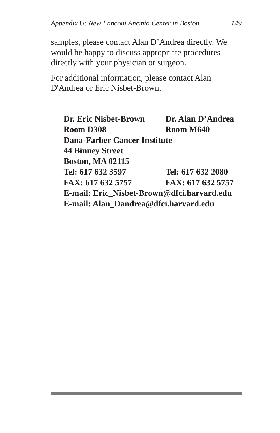samples, please contact Alan D'Andrea directly. We would be happy to discuss appropriate procedures directly with your physician or surgeon.

For additional information, please contact Alan D'Andrea or Eric Nisbet-Brown.

**Dr. Eric Nisbet-Brown Dr. Alan D'Andrea Room D308 Room M640 Dana-Farber Cancer Institute 44 Binney Street Boston, MA 02115 Tel: 617 632 3597 Tel: 617 632 2080 FAX: 617 632 5757 FAX: 617 632 5757 E-mail: Eric\_Nisbet-Brown@dfci.harvard.edu E-mail: Alan\_Dandrea@dfci.harvard.edu**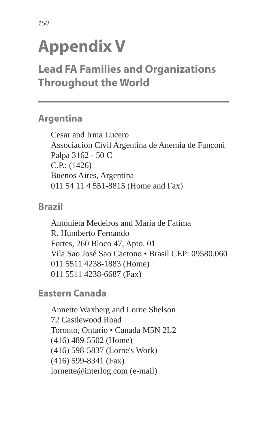# **Appendix V**

# **Lead FA Families and Organizations Throughout the World**

# **Argentina**

Cesar and Irma Lucero Associacion Civil Argentina de Anemia de Fanconi Palpa 3162 - 50 C C.P.: (1426) Buenos Aires, Argentina 011 54 11 4 551-8815 (Home and Fax)

# **Brazil**

Antonieta Medeiros and Maria de Fatima R. Humberto Fernando Fortes, 260 Bloco 47, Apto. 01 Vila Sao José Sao Caetono • Brasil CEP: 09580.060 011 5511 4238-1883 (Home) 011 5511 4238-6687 (Fax)

# **Eastern Canada**

Annette Waxberg and Lorne Shelson 72 Castlewood Road Toronto, Ontario • Canada M5N 2L2 (416) 489-5502 (Home) (416) 598-5837 (Lorne's Work) (416) 599-8341 (Fax) lornette@interlog.com (e-mail)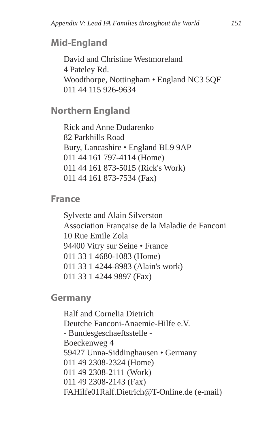## **Mid-England**

David and Christine Westmoreland 4 Pateley Rd. Woodthorpe, Nottingham • England NC3 5QF 011 44 115 926-9634

## **Northern England**

Rick and Anne Dudarenko 82 Parkhills Road Bury, Lancashire • England BL9 9AP 011 44 161 797-4114 (Home) 011 44 161 873-5015 (Rick's Work) 011 44 161 873-7534 (Fax)

#### **France**

Sylvette and Alain Silverston Association Française de la Maladie de Fanconi 10 Rue Emile Zola 94400 Vitry sur Seine • France 011 33 1 4680-1083 (Home) 011 33 1 4244-8983 (Alain's work) 011 33 1 4244 9897 (Fax)

**Germany**

Ralf and Cornelia Dietrich Deutche Fanconi-Anaemie-Hilfe e.V. - Bundesgeschaeftsstelle - Boeckenweg 4 59427 Unna-Siddinghausen • Germany 011 49 2308-2324 (Home) 011 49 2308-2111 (Work) 011 49 2308-2143 (Fax) FAHilfe01Ralf.Dietrich@T-Online.de (e-mail)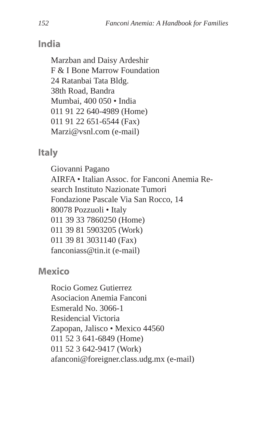# **India**

Marzban and Daisy Ardeshir F & I Bone Marrow Foundation 24 Ratanbai Tata Bldg. 38th Road, Bandra Mumbai, 400 050 • India 011 91 22 640-4989 (Home) 011 91 22 651-6544 (Fax) Marzi@vsnl.com (e-mail)

**Italy**

Giovanni Pagano AIRFA • Italian Assoc. for Fanconi Anemia Research Instituto Nazionate Tumori Fondazione Pascale Via San Rocco, 14 80078 Pozzuoli • Italy 011 39 33 7860250 (Home) 011 39 81 5903205 (Work) 011 39 81 3031140 (Fax) fanconiass@tin.it (e-mail)

**Mexico**

Rocio Gomez Gutierrez Asociacion Anemia Fanconi Esmerald No. 3066-1 Residencial Victoria Zapopan, Jalisco • Mexico 44560 011 52 3 641-6849 (Home) 011 52 3 642-9417 (Work) afanconi@foreigner.class.udg.mx (e-mail)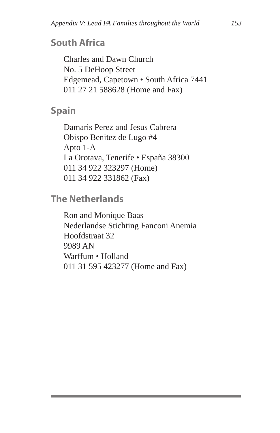# **South Africa**

Charles and Dawn Church No. 5 DeHoop Street Edgemead, Capetown • South Africa 7441 011 27 21 588628 (Home and Fax)

## **Spain**

Damaris Perez and Jesus Cabrera Obispo Benitez de Lugo #4 Apto 1-A La Orotava, Tenerife • España 38300 011 34 922 323297 (Home) 011 34 922 331862 (Fax)

## **The Netherlands**

Ron and Monique Baas Nederlandse Stichting Fanconi Anemia Hoofdstraat 32 9989 AN Warffum • Holland 011 31 595 423277 (Home and Fax)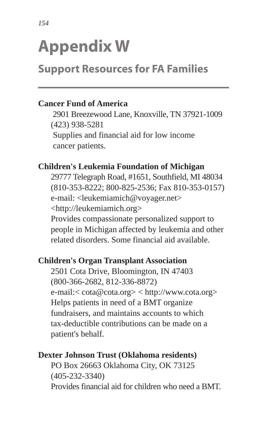# **Appendix W**

# **Support Resources for FA Families**

#### **Cancer Fund of America**

2901 Breezewood Lane, Knoxville, TN 37921-1009 (423) 938-5281 Supplies and financial aid for low income cancer patients.

#### **Children's Leukemia Foundation of Michigan**

29777 Telegraph Road, #1651, Southfield, MI 48034 (810-353-8222; 800-825-2536; Fax 810-353-0157) e-mail: <leukemiamich@voyager.net> <http://leukemiamich.org>

Provides compassionate personalized support to people in Michigan affected by leukemia and other related disorders. Some financial aid available.

#### **Children's Organ Transplant Association**

2501 Cota Drive, Bloomington, IN 47403 (800-366-2682, 812-336-8872) e-mail:< cota@cota.org> < http://www.cota.org> Helps patients in need of a BMT organize fundraisers, and maintains accounts to which tax-deductible contributions can be made on a patient's behalf.

#### **Dexter Johnson Trust (Oklahoma residents)**

PO Box 26663 Oklahoma City, OK 73125 (405-232-3340) Provides financial aid for children who need a BMT.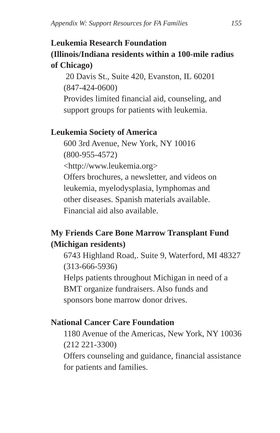## **Leukemia Research Foundation (Illinois/Indiana residents within a 100-mile radius of Chicago)**

 20 Davis St., Suite 420, Evanston, IL 60201 (847-424-0600)

Provides limited financial aid, counseling, and support groups for patients with leukemia.

#### **Leukemia Society of America**

600 3rd Avenue, New York, NY 10016 (800-955-4572) <http://www.leukemia.org> Offers brochures, a newsletter, and videos on leukemia, myelodysplasia, lymphomas and other diseases. Spanish materials available. Financial aid also available.

### **My Friends Care Bone Marrow Transplant Fund (Michigan residents)**

6743 Highland Road,. Suite 9, Waterford, MI 48327 (313-666-5936) Helps patients throughout Michigan in need of a BMT organize fundraisers. Also funds and sponsors bone marrow donor drives.

#### **National Cancer Care Foundation**

1180 Avenue of the Americas, New York, NY 10036 (212 221-3300)

Offers counseling and guidance, financial assistance for patients and families.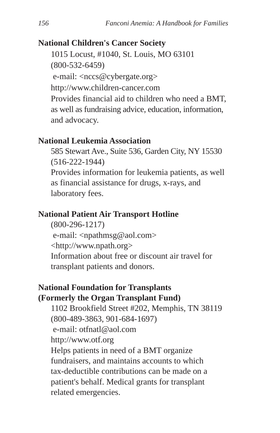#### **National Children's Cancer Society**

1015 Locust, #1040, St. Louis, MO 63101 (800-532-6459) e-mail: <nccs@cybergate.org> http://www.children-cancer.com Provides financial aid to children who need a BMT, as well as fundraising advice, education, information, and advocacy.

#### **National Leukemia Association**

585 Stewart Ave., Suite 536, Garden City, NY 15530 (516-222-1944) Provides information for leukemia patients, as well as financial assistance for drugs, x-rays, and laboratory fees.

#### **National Patient Air Transport Hotline**

(800-296-1217) e-mail: <npathmsg@aol.com> <http://www.npath.org> Information about free or discount air travel for transplant patients and donors.

#### **National Foundation for Transplants (Formerly the Organ Transplant Fund)**

1102 Brookfield Street #202, Memphis, TN 38119 (800-489-3863, 901-684-1697) e-mail: otfnatl@aol.com http://www.otf.org Helps patients in need of a BMT organize fundraisers, and maintains accounts to which tax-deductible contributions can be made on a patient's behalf. Medical grants for transplant related emergencies.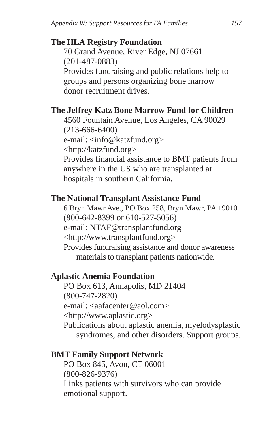#### **The HLA Registry Foundation**

70 Grand Avenue, River Edge, NJ 07661 (201-487-0883) Provides fundraising and public relations help to groups and persons organizing bone marrow donor recruitment drives.

#### **The Jeffrey Katz Bone Marrow Fund for Children**

4560 Fountain Avenue, Los Angeles, CA 90029 (213-666-6400) e-mail: <info@katzfund.org> <http://katzfund.org> Provides financial assistance to BMT patients from anywhere in the US who are transplanted at hospitals in southern California.

#### **The National Transplant Assistance Fund**

6 Bryn Mawr Ave., PO Box 258, Bryn Mawr, PA 19010 (800-642-8399 or 610-527-5056) e-mail: NTAF@transplantfund.org <http://www.transplantfund.org> Provides fundraising assistance and donor awareness materials to transplant patients nationwide.

#### **Aplastic Anemia Foundation**

PO Box 613, Annapolis, MD 21404 (800-747-2820) e-mail: <aafacenter@aol.com> <http://www.aplastic.org> Publications about aplastic anemia, myelodysplastic syndromes, and other disorders. Support groups.

#### **BMT Family Support Network**

PO Box 845, Avon, CT 06001 (800-826-9376) Links patients with survivors who can provide emotional support.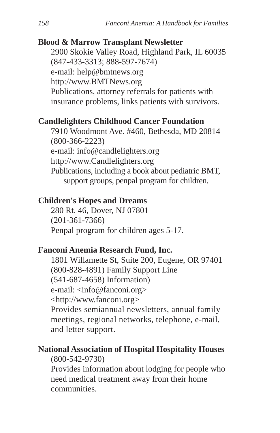#### **Blood & Marrow Transplant Newsletter**

2900 Skokie Valley Road, Highland Park, IL 60035 (847-433-3313; 888-597-7674) e-mail: help@bmtnews.org http://www.BMTNews.org Publications, attorney referrals for patients with insurance problems, links patients with survivors.

#### **Candlelighters Childhood Cancer Foundation**

7910 Woodmont Ave. #460, Bethesda, MD 20814 (800-366-2223) e-mail: info@candlelighters.org http://www.Candlelighters.org Publications, including a book about pediatric BMT, support groups, penpal program for children.

#### **Children's Hopes and Dreams**

280 Rt. 46, Dover, NJ 07801 (201-361-7366) Penpal program for children ages 5-17.

#### **Fanconi Anemia Research Fund, Inc.**

1801 Willamette St, Suite 200, Eugene, OR 97401 (800-828-4891) Family Support Line (541-687-4658) Information) e-mail: <info@fanconi.org> <http://www.fanconi.org> Provides semiannual newsletters, annual family meetings, regional networks, telephone, e-mail, and letter support.

#### **National Association of Hospital Hospitality Houses**

(800-542-9730)

Provides information about lodging for people who need medical treatment away from their home communities.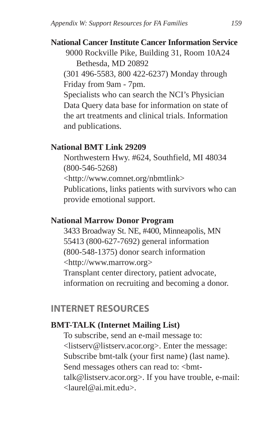#### **National Cancer Institute Cancer Information Service**

 9000 Rockville Pike, Building 31, Room 10A24 Bethesda, MD 20892

(301 496-5583, 800 422-6237) Monday through Friday from 9am - 7pm.

Specialists who can search the NCI's Physician Data Query data base for information on state of the art treatments and clinical trials. Information and publications.

#### **National BMT Link 29209**

Northwestern Hwy. #624, Southfield, MI 48034 (800-546-5268) <http://www.comnet.org/nbmtlink>

Publications, links patients with survivors who can provide emotional support.

#### **National Marrow Donor Program**

3433 Broadway St. NE, #400, Minneapolis, MN 55413 (800-627-7692) general information (800-548-1375) donor search information <http://www.marrow.org> Transplant center directory, patient advocate, information on recruiting and becoming a donor.

#### **INTERNET RESOURCES**

#### **BMT-TALK (Internet Mailing List)**

To subscribe, send an e-mail message to: <listserv@listserv.acor.org>. Enter the message: Subscribe bmt-talk (your first name) (last name). Send messages others can read to: < bmttalk@listserv.acor.org>. If you have trouble, e-mail: <laurel@ai.mit.edu>.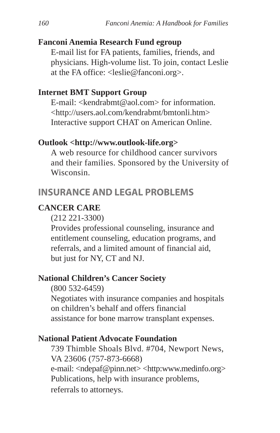#### **Fanconi Anemia Research Fund egroup**

E-mail list for FA patients, families, friends, and physicians. High-volume list. To join, contact Leslie at the FA office: <leslie@fanconi.org>.

#### **Internet BMT Support Group**

E-mail: <kendrabmt@aol.com> for information. <http://users.aol.com/kendrabmt/bmtonli.htm> Interactive support CHAT on American Online.

#### **Outlook <http://www.outlook-life.org>**

A web resource for childhood cancer survivors and their families. Sponsored by the University of Wisconsin.

#### **INSURANCE AND LEGAL PROBLEMS**

#### **CANCER CARE**

(212 221-3300)

Provides professional counseling, insurance and entitlement counseling, education programs, and referrals, and a limited amount of financial aid, but just for NY, CT and NJ.

#### **National Children's Cancer Society**

(800 532-6459) Negotiates with insurance companies and hospitals on children's behalf and offers financial assistance for bone marrow transplant expenses.

#### **National Patient Advocate Foundation**

739 Thimble Shoals Blvd. #704, Newport News, VA 23606 (757-873-6668) e-mail: <ndepaf@pinn.net> <http:www.medinfo.org> Publications, help with insurance problems, referrals to attorneys.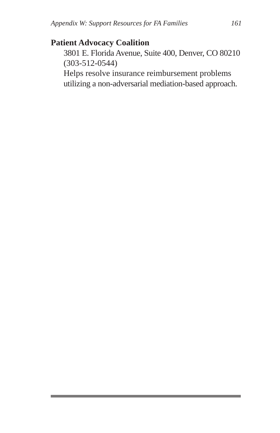#### **Patient Advocacy Coalition**

3801 E. Florida Avenue, Suite 400, Denver, CO 80210 (303-512-0544)

Helps resolve insurance reimbursement problems utilizing a non-adversarial mediation-based approach.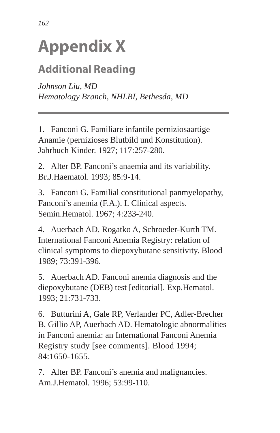# **Appendix X**

# **Additional Reading**

*Johnson Liu, MD Hematology Branch, NHLBI, Bethesda, MD*

1. Fanconi G. Familiare infantile perniziosaartige Anamie (pernizioses Blutbild und Konstitution). Jahrbuch Kinder. 1927; 117:257-280.

2. Alter BP. Fanconi's anaemia and its variability. Br.J.Haematol. 1993; 85:9-14.

3. Fanconi G. Familial constitutional panmyelopathy, Fanconi's anemia (F.A.). I. Clinical aspects. Semin.Hematol. 1967; 4:233-240.

4. Auerbach AD, Rogatko A, Schroeder-Kurth TM. International Fanconi Anemia Registry: relation of clinical symptoms to diepoxybutane sensitivity. Blood 1989; 73:391-396.

5. Auerbach AD. Fanconi anemia diagnosis and the diepoxybutane (DEB) test [editorial]. Exp.Hematol. 1993; 21:731-733.

6. Butturini A, Gale RP, Verlander PC, Adler-Brecher B, Gillio AP, Auerbach AD. Hematologic abnormalities in Fanconi anemia: an International Fanconi Anemia Registry study [see comments]. Blood 1994;  $84.1650 - 1655$ 

7. Alter BP. Fanconi's anemia and malignancies. Am.J.Hematol. 1996; 53:99-110.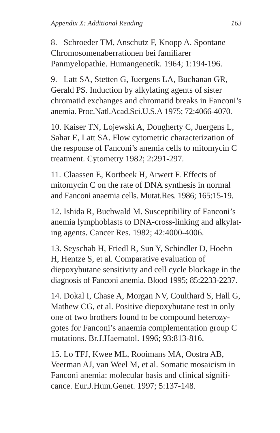8. Schroeder TM, Anschutz F, Knopp A. Spontane Chromosomenaberrationen bei familiarer Panmyelopathie. Humangenetik. 1964; 1:194-196.

9. Latt SA, Stetten G, Juergens LA, Buchanan GR, Gerald PS. Induction by alkylating agents of sister chromatid exchanges and chromatid breaks in Fanconi's anemia. Proc.Natl.Acad.Sci.U.S.A 1975; 72:4066-4070.

10. Kaiser TN, Lojewski A, Dougherty C, Juergens L, Sahar E, Latt SA. Flow cytometric characterization of the response of Fanconi's anemia cells to mitomycin C treatment. Cytometry 1982; 2:291-297.

11. Claassen E, Kortbeek H, Arwert F. Effects of mitomycin C on the rate of DNA synthesis in normal and Fanconi anaemia cells. Mutat.Res. 1986; 165:15-19.

12. Ishida R, Buchwald M. Susceptibility of Fanconi's anemia lymphoblasts to DNA-cross-linking and alkylating agents. Cancer Res. 1982; 42:4000-4006.

13. Seyschab H, Friedl R, Sun Y, Schindler D, Hoehn H, Hentze S, et al. Comparative evaluation of diepoxybutane sensitivity and cell cycle blockage in the diagnosis of Fanconi anemia. Blood 1995; 85:2233-2237.

14. Dokal I, Chase A, Morgan NV, Coulthard S, Hall G, Mathew CG, et al. Positive diepoxybutane test in only one of two brothers found to be compound heterozygotes for Fanconi's anaemia complementation group C mutations. Br.J.Haematol. 1996; 93:813-816.

15. Lo TFJ, Kwee ML, Rooimans MA, Oostra AB, Veerman AJ, van Weel M, et al. Somatic mosaicism in Fanconi anemia: molecular basis and clinical significance. Eur.J.Hum.Genet. 1997; 5:137-148.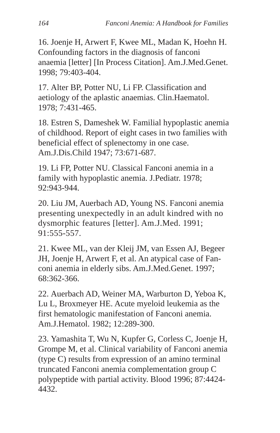16. Joenje H, Arwert F, Kwee ML, Madan K, Hoehn H. Confounding factors in the diagnosis of fanconi anaemia [letter] [In Process Citation]. Am.J.Med.Genet. 1998; 79:403-404.

17. Alter BP, Potter NU, Li FP. Classification and aetiology of the aplastic anaemias. Clin.Haematol. 1978; 7:431-465.

18. Estren S, Dameshek W. Familial hypoplastic anemia of childhood. Report of eight cases in two families with beneficial effect of splenectomy in one case. Am.J.Dis.Child 1947; 73:671-687.

19. Li FP, Potter NU. Classical Fanconi anemia in a family with hypoplastic anemia. J.Pediatr. 1978; 92:943-944.

20. Liu JM, Auerbach AD, Young NS. Fanconi anemia presenting unexpectedly in an adult kindred with no dysmorphic features [letter]. Am.J.Med. 1991; 91:555-557.

21. Kwee ML, van der Kleij JM, van Essen AJ, Begeer JH, Joenje H, Arwert F, et al. An atypical case of Fanconi anemia in elderly sibs. Am.J.Med.Genet. 1997; 68:362-366.

22. Auerbach AD, Weiner MA, Warburton D, Yeboa K, Lu L, Broxmeyer HE. Acute myeloid leukemia as the first hematologic manifestation of Fanconi anemia. Am.J.Hematol. 1982; 12:289-300.

23. Yamashita T, Wu N, Kupfer G, Corless C, Joenje H, Grompe M, et al. Clinical variability of Fanconi anemia (type C) results from expression of an amino terminal truncated Fanconi anemia complementation group C polypeptide with partial activity. Blood 1996; 87:4424- 4432.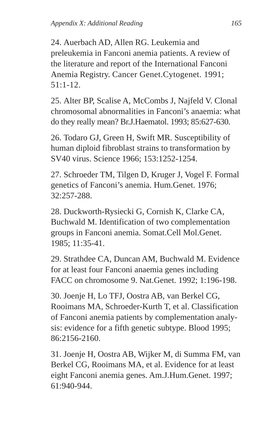24. Auerbach AD, Allen RG. Leukemia and preleukemia in Fanconi anemia patients. A review of the literature and report of the International Fanconi Anemia Registry. Cancer Genet.Cytogenet. 1991; 51:1-12.

25. Alter BP, Scalise A, McCombs J, Najfeld V. Clonal chromosomal abnormalities in Fanconi's anaemia: what do they really mean? Br.J.Haematol. 1993; 85:627-630.

26. Todaro GJ, Green H, Swift MR. Susceptibility of human diploid fibroblast strains to transformation by SV40 virus. Science 1966; 153:1252-1254.

27. Schroeder TM, Tilgen D, Kruger J, Vogel F. Formal genetics of Fanconi's anemia. Hum.Genet. 1976; 32:257-288.

28. Duckworth-Rysiecki G, Cornish K, Clarke CA, Buchwald M. Identification of two complementation groups in Fanconi anemia. Somat.Cell Mol.Genet. 1985; 11:35-41.

29. Strathdee CA, Duncan AM, Buchwald M. Evidence for at least four Fanconi anaemia genes including FACC on chromosome 9. Nat.Genet. 1992; 1:196-198.

30. Joenje H, Lo TFJ, Oostra AB, van Berkel CG, Rooimans MA, Schroeder-Kurth T, et al. Classification of Fanconi anemia patients by complementation analysis: evidence for a fifth genetic subtype. Blood 1995; 86:2156-2160.

31. Joenje H, Oostra AB, Wijker M, di Summa FM, van Berkel CG, Rooimans MA, et al. Evidence for at least eight Fanconi anemia genes. Am.J.Hum.Genet. 1997; 61:940-944.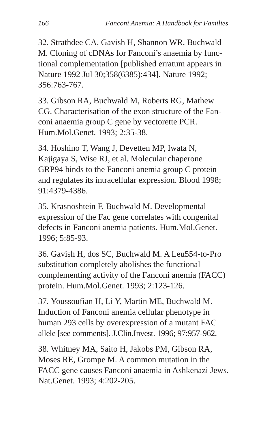32. Strathdee CA, Gavish H, Shannon WR, Buchwald M. Cloning of cDNAs for Fanconi's anaemia by functional complementation [published erratum appears in Nature 1992 Jul 30;358(6385):434]. Nature 1992; 356:763-767.

33. Gibson RA, Buchwald M, Roberts RG, Mathew CG. Characterisation of the exon structure of the Fanconi anaemia group C gene by vectorette PCR. Hum.Mol.Genet. 1993; 2:35-38.

34. Hoshino T, Wang J, Devetten MP, Iwata N, Kajigaya S, Wise RJ, et al. Molecular chaperone GRP94 binds to the Fanconi anemia group C protein and regulates its intracellular expression. Blood 1998; 91:4379-4386.

35. Krasnoshtein F, Buchwald M. Developmental expression of the Fac gene correlates with congenital defects in Fanconi anemia patients. Hum.Mol.Genet. 1996; 5:85-93.

36. Gavish H, dos SC, Buchwald M. A Leu554-to-Pro substitution completely abolishes the functional complementing activity of the Fanconi anemia (FACC) protein. Hum.Mol.Genet. 1993; 2:123-126.

37. Youssoufian H, Li Y, Martin ME, Buchwald M. Induction of Fanconi anemia cellular phenotype in human 293 cells by overexpression of a mutant FAC allele [see comments]. J.Clin.Invest. 1996; 97:957-962.

38. Whitney MA, Saito H, Jakobs PM, Gibson RA, Moses RE, Grompe M. A common mutation in the FACC gene causes Fanconi anaemia in Ashkenazi Jews. Nat.Genet. 1993; 4:202-205.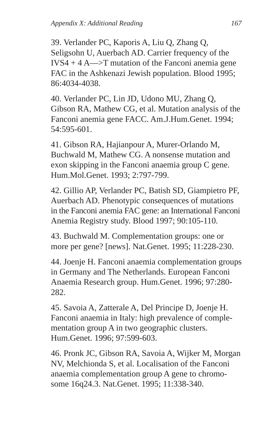39. Verlander PC, Kaporis A, Liu Q, Zhang Q, Seligsohn U, Auerbach AD. Carrier frequency of the  $IVS4 + 4 A \rightarrow T$  mutation of the Fanconi anemia gene FAC in the Ashkenazi Jewish population. Blood 1995; 86:4034-4038.

40. Verlander PC, Lin JD, Udono MU, Zhang Q, Gibson RA, Mathew CG, et al. Mutation analysis of the Fanconi anemia gene FACC. Am.J.Hum.Genet. 1994; 54:595-601.

41. Gibson RA, Hajianpour A, Murer-Orlando M, Buchwald M, Mathew CG. A nonsense mutation and exon skipping in the Fanconi anaemia group C gene. Hum.Mol.Genet. 1993; 2:797-799.

42. Gillio AP, Verlander PC, Batish SD, Giampietro PF, Auerbach AD. Phenotypic consequences of mutations in the Fanconi anemia FAC gene: an International Fanconi Anemia Registry study. Blood 1997; 90:105-110.

43. Buchwald M. Complementation groups: one or more per gene? [news]. Nat.Genet. 1995; 11:228-230.

44. Joenje H. Fanconi anaemia complementation groups in Germany and The Netherlands. European Fanconi Anaemia Research group. Hum.Genet. 1996; 97:280- 282.

45. Savoia A, Zatterale A, Del Principe D, Joenje H. Fanconi anaemia in Italy: high prevalence of complementation group A in two geographic clusters. Hum.Genet. 1996; 97:599-603.

46. Pronk JC, Gibson RA, Savoia A, Wijker M, Morgan NV, Melchionda S, et al. Localisation of the Fanconi anaemia complementation group A gene to chromosome 16q24.3. Nat.Genet. 1995; 11:338-340.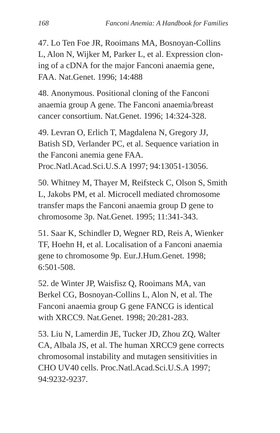47. Lo Ten Foe JR, Rooimans MA, Bosnoyan-Collins L, Alon N, Wijker M, Parker L, et al. Expression cloning of a cDNA for the major Fanconi anaemia gene, FAA. Nat.Genet. 1996; 14:488

48. Anonymous. Positional cloning of the Fanconi anaemia group A gene. The Fanconi anaemia/breast cancer consortium. Nat.Genet. 1996; 14:324-328.

49. Levran O, Erlich T, Magdalena N, Gregory JJ, Batish SD, Verlander PC, et al. Sequence variation in the Fanconi anemia gene FAA.

Proc.Natl.Acad.Sci.U.S.A 1997; 94:13051-13056.

50. Whitney M, Thayer M, Reifsteck C, Olson S, Smith L, Jakobs PM, et al. Microcell mediated chromosome transfer maps the Fanconi anaemia group D gene to chromosome 3p. Nat.Genet. 1995; 11:341-343.

51. Saar K, Schindler D, Wegner RD, Reis A, Wienker TF, Hoehn H, et al. Localisation of a Fanconi anaemia gene to chromosome 9p. Eur.J.Hum.Genet. 1998; 6:501-508.

52. de Winter JP, Waisfisz Q, Rooimans MA, van Berkel CG, Bosnoyan-Collins L, Alon N, et al. The Fanconi anaemia group G gene FANCG is identical with XRCC9. Nat.Genet. 1998; 20:281-283.

53. Liu N, Lamerdin JE, Tucker JD, Zhou ZQ, Walter CA, Albala JS, et al. The human XRCC9 gene corrects chromosomal instability and mutagen sensitivities in CHO UV40 cells. Proc.Natl.Acad.Sci.U.S.A 1997; 94:9232-9237.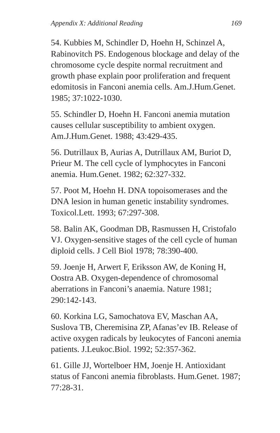54. Kubbies M, Schindler D, Hoehn H, Schinzel A, Rabinovitch PS. Endogenous blockage and delay of the chromosome cycle despite normal recruitment and growth phase explain poor proliferation and frequent edomitosis in Fanconi anemia cells. Am.J.Hum.Genet. 1985; 37:1022-1030.

55. Schindler D, Hoehn H. Fanconi anemia mutation causes cellular susceptibility to ambient oxygen. Am.J.Hum.Genet. 1988; 43:429-435.

56. Dutrillaux B, Aurias A, Dutrillaux AM, Buriot D, Prieur M. The cell cycle of lymphocytes in Fanconi anemia. Hum.Genet. 1982; 62:327-332.

57. Poot M, Hoehn H. DNA topoisomerases and the DNA lesion in human genetic instability syndromes. Toxicol.Lett. 1993; 67:297-308.

58. Balin AK, Goodman DB, Rasmussen H, Cristofalo VJ. Oxygen-sensitive stages of the cell cycle of human diploid cells. J Cell Biol 1978; 78:390-400.

59. Joenje H, Arwert F, Eriksson AW, de Koning H, Oostra AB. Oxygen-dependence of chromosomal aberrations in Fanconi's anaemia. Nature 1981; 290:142-143.

60. Korkina LG, Samochatova EV, Maschan AA, Suslova TB, Cheremisina ZP, Afanas'ev IB. Release of active oxygen radicals by leukocytes of Fanconi anemia patients. J.Leukoc.Biol. 1992; 52:357-362.

61. Gille JJ, Wortelboer HM, Joenje H. Antioxidant status of Fanconi anemia fibroblasts. Hum.Genet. 1987; 77:28-31.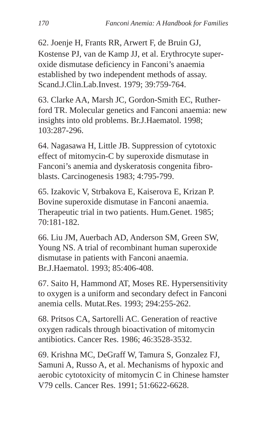62. Joenje H, Frants RR, Arwert F, de Bruin GJ, Kostense PJ, van de Kamp JJ, et al. Erythrocyte superoxide dismutase deficiency in Fanconi's anaemia established by two independent methods of assay. Scand.J.Clin.Lab.Invest. 1979; 39:759-764.

63. Clarke AA, Marsh JC, Gordon-Smith EC, Rutherford TR. Molecular genetics and Fanconi anaemia: new insights into old problems. Br.J.Haematol. 1998; 103:287-296.

64. Nagasawa H, Little JB. Suppression of cytotoxic effect of mitomycin-C by superoxide dismutase in Fanconi's anemia and dyskeratosis congenita fibroblasts. Carcinogenesis 1983; 4:795-799.

65. Izakovic V, Strbakova E, Kaiserova E, Krizan P. Bovine superoxide dismutase in Fanconi anaemia. Therapeutic trial in two patients. Hum.Genet. 1985; 70:181-182.

66. Liu JM, Auerbach AD, Anderson SM, Green SW, Young NS. A trial of recombinant human superoxide dismutase in patients with Fanconi anaemia. Br.J.Haematol. 1993; 85:406-408.

67. Saito H, Hammond AT, Moses RE. Hypersensitivity to oxygen is a uniform and secondary defect in Fanconi anemia cells. Mutat.Res. 1993; 294:255-262.

68. Pritsos CA, Sartorelli AC. Generation of reactive oxygen radicals through bioactivation of mitomycin antibiotics. Cancer Res. 1986; 46:3528-3532.

69. Krishna MC, DeGraff W, Tamura S, Gonzalez FJ, Samuni A, Russo A, et al. Mechanisms of hypoxic and aerobic cytotoxicity of mitomycin C in Chinese hamster V79 cells. Cancer Res. 1991; 51:6622-6628.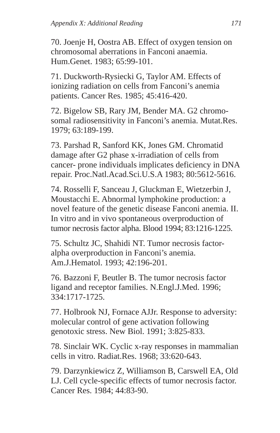70. Joenje H, Oostra AB. Effect of oxygen tension on chromosomal aberrations in Fanconi anaemia. Hum.Genet. 1983; 65:99-101.

71. Duckworth-Rysiecki G, Taylor AM. Effects of ionizing radiation on cells from Fanconi's anemia patients. Cancer Res. 1985; 45:416-420.

72. Bigelow SB, Rary JM, Bender MA. G2 chromosomal radiosensitivity in Fanconi's anemia. Mutat.Res. 1979; 63:189-199.

73. Parshad R, Sanford KK, Jones GM. Chromatid damage after G2 phase x-irradiation of cells from cancer- prone individuals implicates deficiency in DNA repair. Proc.Natl.Acad.Sci.U.S.A 1983; 80:5612-5616.

74. Rosselli F, Sanceau J, Gluckman E, Wietzerbin J, Moustacchi E. Abnormal lymphokine production: a novel feature of the genetic disease Fanconi anemia. II. In vitro and in vivo spontaneous overproduction of tumor necrosis factor alpha. Blood 1994; 83:1216-1225.

75. Schultz JC, Shahidi NT. Tumor necrosis factoralpha overproduction in Fanconi's anemia. Am.J.Hematol. 1993; 42:196-201.

76. Bazzoni F, Beutler B. The tumor necrosis factor ligand and receptor families. N.Engl.J.Med. 1996; 334:1717-1725.

77. Holbrook NJ, Fornace AJJr. Response to adversity: molecular control of gene activation following genotoxic stress. New Biol. 1991; 3:825-833.

78. Sinclair WK. Cyclic x-ray responses in mammalian cells in vitro. Radiat.Res. 1968; 33:620-643.

79. Darzynkiewicz Z, Williamson B, Carswell EA, Old LJ. Cell cycle-specific effects of tumor necrosis factor. Cancer Res. 1984; 44:83-90.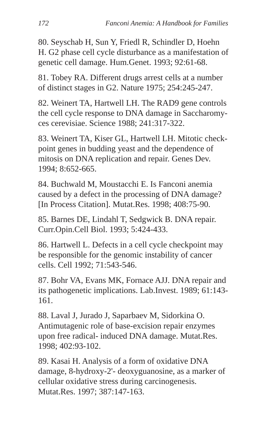80. Seyschab H, Sun Y, Friedl R, Schindler D, Hoehn H. G2 phase cell cycle disturbance as a manifestation of genetic cell damage. Hum.Genet. 1993; 92:61-68.

81. Tobey RA. Different drugs arrest cells at a number of distinct stages in G2. Nature 1975; 254:245-247.

82. Weinert TA, Hartwell LH. The RAD9 gene controls the cell cycle response to DNA damage in Saccharomyces cerevisiae. Science 1988; 241:317-322.

83. Weinert TA, Kiser GL, Hartwell LH. Mitotic checkpoint genes in budding yeast and the dependence of mitosis on DNA replication and repair. Genes Dev. 1994; 8:652-665.

84. Buchwald M, Moustacchi E. Is Fanconi anemia caused by a defect in the processing of DNA damage? [In Process Citation]. Mutat.Res. 1998; 408:75-90.

85. Barnes DE, Lindahl T, Sedgwick B. DNA repair. Curr.Opin.Cell Biol. 1993; 5:424-433.

86. Hartwell L. Defects in a cell cycle checkpoint may be responsible for the genomic instability of cancer cells. Cell 1992; 71:543-546.

87. Bohr VA, Evans MK, Fornace AJJ. DNA repair and its pathogenetic implications. Lab.Invest. 1989; 61:143- 161.

88. Laval J, Jurado J, Saparbaev M, Sidorkina O. Antimutagenic role of base-excision repair enzymes upon free radical- induced DNA damage. Mutat.Res. 1998; 402:93-102.

89. Kasai H. Analysis of a form of oxidative DNA damage, 8-hydroxy-2'- deoxyguanosine, as a marker of cellular oxidative stress during carcinogenesis. Mutat.Res. 1997; 387:147-163.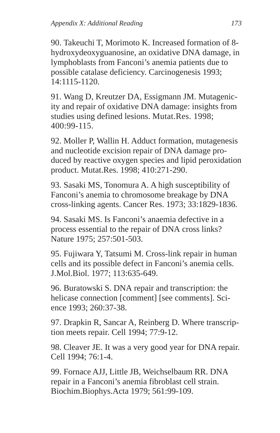90. Takeuchi T, Morimoto K. Increased formation of 8 hydroxydeoxyguanosine, an oxidative DNA damage, in lymphoblasts from Fanconi's anemia patients due to possible catalase deficiency. Carcinogenesis 1993; 14:1115-1120.

91. Wang D, Kreutzer DA, Essigmann JM. Mutagenicity and repair of oxidative DNA damage: insights from studies using defined lesions. Mutat.Res. 1998; 400:99-115.

92. Moller P, Wallin H. Adduct formation, mutagenesis and nucleotide excision repair of DNA damage produced by reactive oxygen species and lipid peroxidation product. Mutat.Res. 1998; 410:271-290.

93. Sasaki MS, Tonomura A. A high susceptibility of Fanconi's anemia to chromosome breakage by DNA cross-linking agents. Cancer Res. 1973; 33:1829-1836.

94. Sasaki MS. Is Fanconi's anaemia defective in a process essential to the repair of DNA cross links? Nature 1975; 257:501-503.

95. Fujiwara Y, Tatsumi M. Cross-link repair in human cells and its possible defect in Fanconi's anemia cells. J.Mol.Biol. 1977; 113:635-649.

96. Buratowski S. DNA repair and transcription: the helicase connection [comment] [see comments]. Sci-ence 1993; 260:37-38.

97. Drapkin R, Sancar A, Reinberg D. Where transcription meets repair. Cell 1994; 77:9-12.

98. Cleaver JE. It was a very good year for DNA repair. Cell 1994; 76:1-4.

99. Fornace AJJ, Little JB, Weichselbaum RR. DNA repair in a Fanconi's anemia fibroblast cell strain. Biochim.Biophys.Acta 1979; 561:99-109.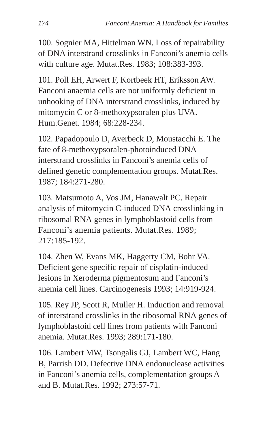100. Sognier MA, Hittelman WN. Loss of repairability of DNA interstrand crosslinks in Fanconi's anemia cells with culture age. Mutat.Res. 1983; 108:383-393.

101. Poll EH, Arwert F, Kortbeek HT, Eriksson AW. Fanconi anaemia cells are not uniformly deficient in unhooking of DNA interstrand crosslinks, induced by mitomycin C or 8-methoxypsoralen plus UVA. Hum.Genet. 1984; 68:228-234.

102. Papadopoulo D, Averbeck D, Moustacchi E. The fate of 8-methoxypsoralen-photoinduced DNA interstrand crosslinks in Fanconi's anemia cells of defined genetic complementation groups. Mutat.Res. 1987; 184:271-280.

103. Matsumoto A, Vos JM, Hanawalt PC. Repair analysis of mitomycin C-induced DNA crosslinking in ribosomal RNA genes in lymphoblastoid cells from Fanconi's anemia patients. Mutat.Res. 1989; 217:185-192.

104. Zhen W, Evans MK, Haggerty CM, Bohr VA. Deficient gene specific repair of cisplatin-induced lesions in Xeroderma pigmentosum and Fanconi's anemia cell lines. Carcinogenesis 1993; 14:919-924.

105. Rey JP, Scott R, Muller H. Induction and removal of interstrand crosslinks in the ribosomal RNA genes of lymphoblastoid cell lines from patients with Fanconi anemia. Mutat.Res. 1993; 289:171-180.

106. Lambert MW, Tsongalis GJ, Lambert WC, Hang B, Parrish DD. Defective DNA endonuclease activities in Fanconi's anemia cells, complementation groups A and B. Mutat.Res. 1992; 273:57-71.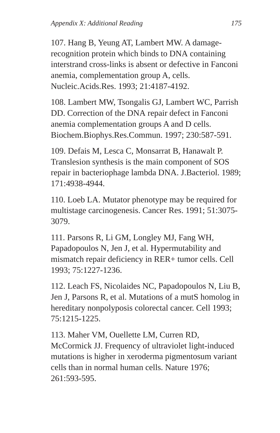107. Hang B, Yeung AT, Lambert MW. A damagerecognition protein which binds to DNA containing interstrand cross-links is absent or defective in Fanconi anemia, complementation group A, cells. Nucleic.Acids.Res. 1993; 21:4187-4192.

108. Lambert MW, Tsongalis GJ, Lambert WC, Parrish DD. Correction of the DNA repair defect in Fanconi anemia complementation groups A and D cells. Biochem.Biophys.Res.Commun. 1997; 230:587-591.

109. Defais M, Lesca C, Monsarrat B, Hanawalt P. Translesion synthesis is the main component of SOS repair in bacteriophage lambda DNA. J.Bacteriol. 1989; 171:4938-4944.

110. Loeb LA. Mutator phenotype may be required for multistage carcinogenesis. Cancer Res. 1991; 51:3075- 3079.

111. Parsons R, Li GM, Longley MJ, Fang WH, Papadopoulos N, Jen J, et al. Hypermutability and mismatch repair deficiency in RER+ tumor cells. Cell 1993; 75:1227-1236.

112. Leach FS, Nicolaides NC, Papadopoulos N, Liu B, Jen J, Parsons R, et al. Mutations of a mutS homolog in hereditary nonpolyposis colorectal cancer. Cell 1993; 75:1215-1225.

113. Maher VM, Ouellette LM, Curren RD, McCormick JJ. Frequency of ultraviolet light-induced mutations is higher in xeroderma pigmentosum variant cells than in normal human cells. Nature 1976; 261:593-595.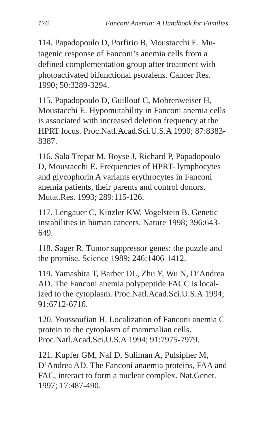114. Papadopoulo D, Porfirio B, Moustacchi E. Mutagenic response of Fanconi's anemia cells from a defined complementation group after treatment with photoactivated bifunctional psoralens. Cancer Res. 1990; 50:3289-3294.

115. Papadopoulo D, Guillouf C, Mohrenweiser H, Moustacchi E. Hypomutability in Fanconi anemia cells is associated with increased deletion frequency at the HPRT locus. Proc.Natl.Acad.Sci.U.S.A 1990; 87:8383- 8387.

116. Sala-Trepat M, Boyse J, Richard P, Papadopoulo D, Moustacchi E. Frequencies of HPRT- lymphocytes and glycophorin A variants erythrocytes in Fanconi anemia patients, their parents and control donors. Mutat.Res. 1993; 289:115-126.

117. Lengauer C, Kinzler KW, Vogelstein B. Genetic instabilities in human cancers. Nature 1998; 396:643- 649.

118. Sager R. Tumor suppressor genes: the puzzle and the promise. Science 1989; 246:1406-1412.

119. Yamashita T, Barber DL, Zhu Y, Wu N, D'Andrea AD. The Fanconi anemia polypeptide FACC is localized to the cytoplasm. Proc.Natl.Acad.Sci.U.S.A 1994; 91:6712-6716.

120. Youssoufian H. Localization of Fanconi anemia C protein to the cytoplasm of mammalian cells. Proc.Natl.Acad.Sci.U.S.A 1994; 91:7975-7979.

121. Kupfer GM, Naf D, Suliman A, Pulsipher M, D'Andrea AD. The Fanconi anaemia proteins, FAA and FAC, interact to form a nuclear complex. Nat.Genet. 1997; 17:487-490.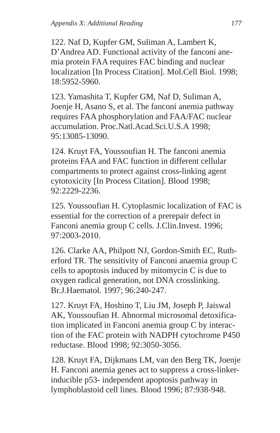122. Naf D, Kupfer GM, Suliman A, Lambert K, D'Andrea AD. Functional activity of the fanconi anemia protein FAA requires FAC binding and nuclear localization [In Process Citation]. Mol.Cell Biol. 1998; 18:5952-5960.

123. Yamashita T, Kupfer GM, Naf D, Suliman A, Joenje H, Asano S, et al. The fanconi anemia pathway requires FAA phosphorylation and FAA/FAC nuclear accumulation. Proc.Natl.Acad.Sci.U.S.A 1998; 95:13085-13090.

124. Kruyt FA, Youssoufian H. The fanconi anemia proteins FAA and FAC function in different cellular compartments to protect against cross-linking agent cytotoxicity [In Process Citation]. Blood 1998; 92:2229-2236.

125. Youssoufian H. Cytoplasmic localization of FAC is essential for the correction of a prerepair defect in Fanconi anemia group C cells. J.Clin.Invest. 1996; 97:2003-2010.

126. Clarke AA, Philpott NJ, Gordon-Smith EC, Rutherford TR. The sensitivity of Fanconi anaemia group C cells to apoptosis induced by mitomycin C is due to oxygen radical generation, not DNA crosslinking. Br.J.Haematol. 1997; 96:240-247.

127. Kruyt FA, Hoshino T, Liu JM, Joseph P, Jaiswal AK, Youssoufian H. Abnormal microsomal detoxification implicated in Fanconi anemia group C by interaction of the FAC protein with NADPH cytochrome P450 reductase. Blood 1998; 92:3050-3056.

128. Kruyt FA, Dijkmans LM, van den Berg TK, Joenje H. Fanconi anemia genes act to suppress a cross-linkerinducible p53- independent apoptosis pathway in lymphoblastoid cell lines. Blood 1996; 87:938-948.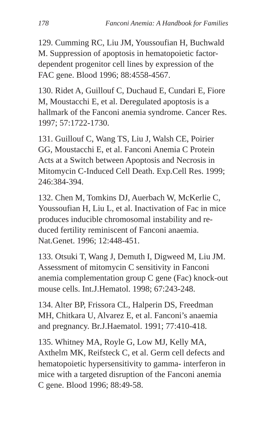129. Cumming RC, Liu JM, Youssoufian H, Buchwald M. Suppression of apoptosis in hematopoietic factordependent progenitor cell lines by expression of the FAC gene. Blood 1996; 88:4558-4567.

130. Ridet A, Guillouf C, Duchaud E, Cundari E, Fiore M, Moustacchi E, et al. Deregulated apoptosis is a hallmark of the Fanconi anemia syndrome. Cancer Res. 1997; 57:1722-1730.

131. Guillouf C, Wang TS, Liu J, Walsh CE, Poirier GG, Moustacchi E, et al. Fanconi Anemia C Protein Acts at a Switch between Apoptosis and Necrosis in Mitomycin C-Induced Cell Death. Exp.Cell Res. 1999; 246:384-394.

132. Chen M, Tomkins DJ, Auerbach W, McKerlie C, Youssoufian H, Liu L, et al. Inactivation of Fac in mice produces inducible chromosomal instability and reduced fertility reminiscent of Fanconi anaemia. Nat.Genet. 1996; 12:448-451.

133. Otsuki T, Wang J, Demuth I, Digweed M, Liu JM. Assessment of mitomycin C sensitivity in Fanconi anemia complementation group C gene (Fac) knock-out mouse cells. Int.J.Hematol. 1998; 67:243-248.

134. Alter BP, Frissora CL, Halperin DS, Freedman MH, Chitkara U, Alvarez E, et al. Fanconi's anaemia and pregnancy. Br.J.Haematol. 1991; 77:410-418.

135. Whitney MA, Royle G, Low MJ, Kelly MA, Axthelm MK, Reifsteck C, et al. Germ cell defects and hematopoietic hypersensitivity to gamma- interferon in mice with a targeted disruption of the Fanconi anemia C gene. Blood 1996; 88:49-58.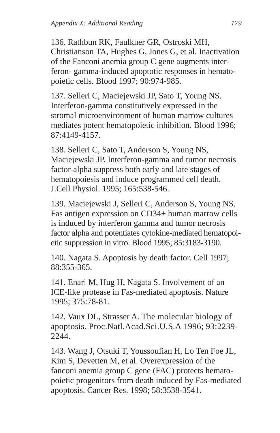136. Rathbun RK, Faulkner GR, Ostroski MH, Christianson TA, Hughes G, Jones G, et al. Inactivation of the Fanconi anemia group C gene augments interferon- gamma-induced apoptotic responses in hematopoietic cells. Blood 1997; 90:974-985.

137. Selleri C, Maciejewski JP, Sato T, Young NS. Interferon-gamma constitutively expressed in the stromal microenvironment of human marrow cultures mediates potent hematopoietic inhibition. Blood 1996; 87:4149-4157.

138. Selleri C, Sato T, Anderson S, Young NS, Maciejewski JP. Interferon-gamma and tumor necrosis factor-alpha suppress both early and late stages of hematopoiesis and induce programmed cell death. J.Cell Physiol. 1995; 165:538-546.

139. Maciejewski J, Selleri C, Anderson S, Young NS. Fas antigen expression on CD34+ human marrow cells is induced by interferon gamma and tumor necrosis factor alpha and potentiates cytokine-mediated hematopoietic suppression in vitro. Blood 1995; 85:3183-3190.

140. Nagata S. Apoptosis by death factor. Cell 1997; 88:355-365.

141. Enari M, Hug H, Nagata S. Involvement of an ICE-like protease in Fas-mediated apoptosis. Nature 1995; 375:78-81.

142. Vaux DL, Strasser A. The molecular biology of apoptosis. Proc.Natl.Acad.Sci.U.S.A 1996; 93:2239- 2244.

143. Wang J, Otsuki T, Youssoufian H, Lo Ten Foe JL, Kim S, Devetten M, et al. Overexpression of the fanconi anemia group C gene (FAC) protects hematopoietic progenitors from death induced by Fas-mediated apoptosis. Cancer Res. 1998; 58:3538-3541.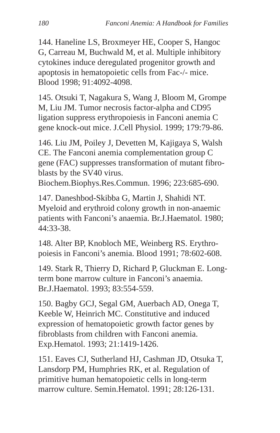144. Haneline LS, Broxmeyer HE, Cooper S, Hangoc G, Carreau M, Buchwald M, et al. Multiple inhibitory cytokines induce deregulated progenitor growth and apoptosis in hematopoietic cells from Fac-/- mice. Blood 1998; 91:4092-4098.

145. Otsuki T, Nagakura S, Wang J, Bloom M, Grompe M, Liu JM. Tumor necrosis factor-alpha and CD95 ligation suppress erythropoiesis in Fanconi anemia C gene knock-out mice. J.Cell Physiol. 1999; 179:79-86.

146. Liu JM, Poiley J, Devetten M, Kajigaya S, Walsh CE. The Fanconi anemia complementation group C gene (FAC) suppresses transformation of mutant fibroblasts by the SV40 virus.

Biochem.Biophys.Res.Commun. 1996; 223:685-690.

147. Daneshbod-Skibba G, Martin J, Shahidi NT. Myeloid and erythroid colony growth in non-anaemic patients with Fanconi's anaemia. Br.J.Haematol. 1980; 44:33-38.

148. Alter BP, Knobloch ME, Weinberg RS. Erythropoiesis in Fanconi's anemia. Blood 1991; 78:602-608.

149. Stark R, Thierry D, Richard P, Gluckman E. Longterm bone marrow culture in Fanconi's anaemia. Br.J.Haematol. 1993; 83:554-559.

150. Bagby GCJ, Segal GM, Auerbach AD, Onega T, Keeble W, Heinrich MC. Constitutive and induced expression of hematopoietic growth factor genes by fibroblasts from children with Fanconi anemia. Exp.Hematol. 1993; 21:1419-1426.

151. Eaves CJ, Sutherland HJ, Cashman JD, Otsuka T, Lansdorp PM, Humphries RK, et al. Regulation of primitive human hematopoietic cells in long-term marrow culture. Semin.Hematol. 1991; 28:126-131.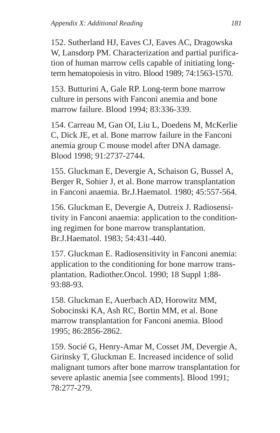152. Sutherland HJ, Eaves CJ, Eaves AC, Dragowska W, Lansdorp PM. Characterization and partial purification of human marrow cells capable of initiating longterm hematopoiesis in vitro. Blood 1989; 74:1563-1570.

153. Butturini A, Gale RP. Long-term bone marrow culture in persons with Fanconi anemia and bone marrow failure. Blood 1994; 83:336-339.

154. Carreau M, Gan OI, Liu L, Doedens M, McKerlie C, Dick JE, et al. Bone marrow failure in the Fanconi anemia group C mouse model after DNA damage. Blood 1998; 91:2737-2744.

155. Gluckman E, Devergie A, Schaison G, Bussel A, Berger R, Sohier J, et al. Bone marrow transplantation in Fanconi anaemia. Br.J.Haematol. 1980; 45:557-564.

156. Gluckman E, Devergie A, Dutreix J. Radiosensitivity in Fanconi anaemia: application to the conditioning regimen for bone marrow transplantation. Br.J.Haematol. 1983; 54:431-440.

157. Gluckman E. Radiosensitivity in Fanconi anemia: application to the conditioning for bone marrow transplantation. Radiother.Oncol. 1990; 18 Suppl 1:88- 93:88-93.

158. Gluckman E, Auerbach AD, Horowitz MM, Sobocinski KA, Ash RC, Bortin MM, et al. Bone marrow transplantation for Fanconi anemia. Blood 1995; 86:2856-2862.

159. Socié G, Henry-Amar M, Cosset JM, Devergie A, Girinsky T, Gluckman E. Increased incidence of solid malignant tumors after bone marrow transplantation for severe aplastic anemia [see comments]. Blood 1991; 78:277-279.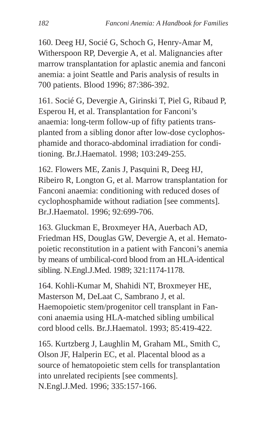160. Deeg HJ, Socié G, Schoch G, Henry-Amar M, Witherspoon RP, Devergie A, et al. Malignancies after marrow transplantation for aplastic anemia and fanconi anemia: a joint Seattle and Paris analysis of results in 700 patients. Blood 1996; 87:386-392.

161. Socié G, Devergie A, Girinski T, Piel G, Ribaud P, Esperou H, et al. Transplantation for Fanconi's anaemia: long-term follow-up of fifty patients transplanted from a sibling donor after low-dose cyclophosphamide and thoraco-abdominal irradiation for conditioning. Br.J.Haematol. 1998; 103:249-255.

162. Flowers ME, Zanis J, Pasquini R, Deeg HJ, Ribeiro R, Longton G, et al. Marrow transplantation for Fanconi anaemia: conditioning with reduced doses of cyclophosphamide without radiation [see comments]. Br.J.Haematol. 1996; 92:699-706.

163. Gluckman E, Broxmeyer HA, Auerbach AD, Friedman HS, Douglas GW, Devergie A, et al. Hematopoietic reconstitution in a patient with Fanconi's anemia by means of umbilical-cord blood from an HLA-identical sibling. N.Engl.J.Med. 1989; 321:1174-1178.

164. Kohli-Kumar M, Shahidi NT, Broxmeyer HE, Masterson M, DeLaat C, Sambrano J, et al. Haemopoietic stem/progenitor cell transplant in Fanconi anaemia using HLA-matched sibling umbilical cord blood cells. Br.J.Haematol. 1993; 85:419-422.

165. Kurtzberg J, Laughlin M, Graham ML, Smith C, Olson JF, Halperin EC, et al. Placental blood as a source of hematopoietic stem cells for transplantation into unrelated recipients [see comments]. N.Engl.J.Med. 1996; 335:157-166.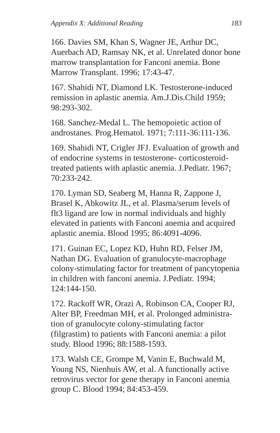166. Davies SM, Khan S, Wagner JE, Arthur DC, Auerbach AD, Ramsay NK, et al. Unrelated donor bone marrow transplantation for Fanconi anemia. Bone Marrow Transplant. 1996; 17:43-47.

167. Shahidi NT, Diamond LK. Testosterone-induced remission in aplastic anemia. Am.J.Dis.Child 1959; 98:293-302.

168. Sanchez-Medal L. The hemopoietic action of androstanes. Prog.Hematol. 1971; 7:111-36:111-136.

169. Shahidi NT, Crigler JFJ. Evaluation of growth and of endocrine systems in testosterone- corticosteroidtreated patients with aplastic anemia. J.Pediatr. 1967; 70:233-242.

170. Lyman SD, Seaberg M, Hanna R, Zappone J, Brasel K, Abkowitz JL, et al. Plasma/serum levels of flt3 ligand are low in normal individuals and highly elevated in patients with Fanconi anemia and acquired aplastic anemia. Blood 1995; 86:4091-4096.

171. Guinan EC, Lopez KD, Huhn RD, Felser JM, Nathan DG. Evaluation of granulocyte-macrophage colony-stimulating factor for treatment of pancytopenia in children with fanconi anemia. J.Pediatr. 1994; 124:144-150.

172. Rackoff WR, Orazi A, Robinson CA, Cooper RJ, Alter BP, Freedman MH, et al. Prolonged administration of granulocyte colony-stimulating factor (filgrastim) to patients with Fanconi anemia: a pilot study. Blood 1996; 88:1588-1593.

173. Walsh CE, Grompe M, Vanin E, Buchwald M, Young NS, Nienhuis AW, et al. A functionally active retrovirus vector for gene therapy in Fanconi anemia group C. Blood 1994; 84:453-459.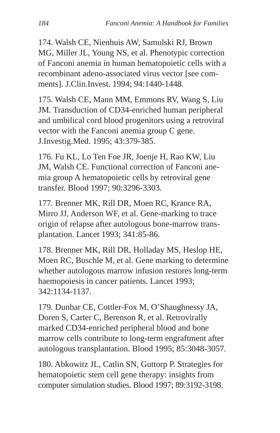174. Walsh CE, Nienhuis AW, Samulski RJ, Brown MG, Miller JL, Young NS, et al. Phenotypic correction of Fanconi anemia in human hematopoietic cells with a recombinant adeno-associated virus vector [see comments]. J.Clin.Invest. 1994; 94:1440-1448.

175. Walsh CE, Mann MM, Emmons RV, Wang S, Liu JM. Transduction of CD34-enriched human peripheral and umbilical cord blood progenitors using a retroviral vector with the Fanconi anemia group C gene. J.Investig.Med. 1995; 43:379-385.

176. Fu KL, Lo Ten Foe JR, Joenje H, Rao KW, Liu JM, Walsh CE. Functional correction of Fanconi anemia group A hematopoietic cells by retroviral gene transfer. Blood 1997; 90:3296-3303.

177. Brenner MK, Rill DR, Moen RC, Krance RA, Mirro JJ, Anderson WF, et al. Gene-marking to trace origin of relapse after autologous bone-marrow transplantation. Lancet 1993; 341:85-86.

178. Brenner MK, Rill DR, Holladay MS, Heslop HE, Moen RC, Buschle M, et al. Gene marking to determine whether autologous marrow infusion restores long-term haemopoiesis in cancer patients. Lancet 1993; 342:1134-1137.

179. Dunbar CE, Cottler-Fox M, O'Shaughnessy JA, Doren S, Carter C, Berenson R, et al. Retrovirally marked CD34-enriched peripheral blood and bone marrow cells contribute to long-term engraftment after autologous transplantation. Blood 1995; 85:3048-3057.

180. Abkowitz JL, Catlin SN, Guttorp P. Strategies for hematopoietic stem cell gene therapy: insights from computer simulation studies. Blood 1997; 89:3192-3198.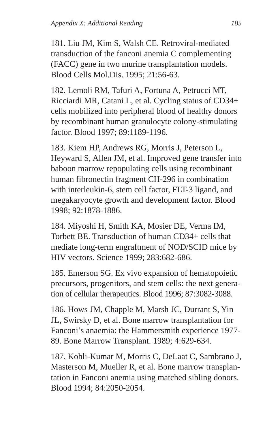181. Liu JM, Kim S, Walsh CE. Retroviral-mediated transduction of the fanconi anemia C complementing (FACC) gene in two murine transplantation models. Blood Cells Mol.Dis. 1995; 21:56-63.

182. Lemoli RM, Tafuri A, Fortuna A, Petrucci MT, Ricciardi MR, Catani L, et al. Cycling status of CD34+ cells mobilized into peripheral blood of healthy donors by recombinant human granulocyte colony-stimulating factor. Blood 1997; 89:1189-1196.

183. Kiem HP, Andrews RG, Morris J, Peterson L, Heyward S, Allen JM, et al. Improved gene transfer into baboon marrow repopulating cells using recombinant human fibronectin fragment CH-296 in combination with interleukin-6, stem cell factor, FLT-3 ligand, and megakaryocyte growth and development factor. Blood 1998; 92:1878-1886.

184. Miyoshi H, Smith KA, Mosier DE, Verma IM, Torbett BE. Transduction of human CD34+ cells that mediate long-term engraftment of NOD/SCID mice by HIV vectors. Science 1999; 283:682-686.

185. Emerson SG. Ex vivo expansion of hematopoietic precursors, progenitors, and stem cells: the next generation of cellular therapeutics. Blood 1996; 87:3082-3088.

186. Hows JM, Chapple M, Marsh JC, Durrant S, Yin JL, Swirsky D, et al. Bone marrow transplantation for Fanconi's anaemia: the Hammersmith experience 1977- 89. Bone Marrow Transplant. 1989; 4:629-634.

187. Kohli-Kumar M, Morris C, DeLaat C, Sambrano J, Masterson M, Mueller R, et al. Bone marrow transplantation in Fanconi anemia using matched sibling donors. Blood 1994; 84:2050-2054.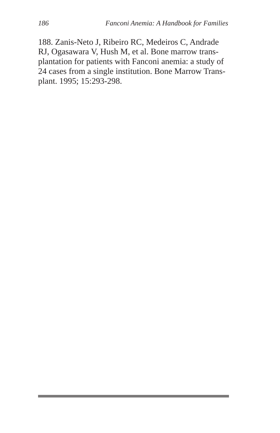188. Zanis-Neto J, Ribeiro RC, Medeiros C, Andrade RJ, Ogasawara V, Hush M, et al. Bone marrow transplantation for patients with Fanconi anemia: a study of 24 cases from a single institution. Bone Marrow Transplant. 1995; 15:293-298.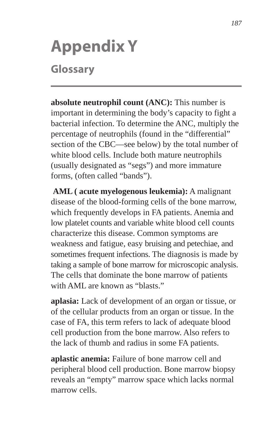## **Appendix Y**

**Glossary**

**absolute neutrophil count (ANC):** This number is important in determining the body's capacity to fight a bacterial infection. To determine the ANC, multiply the percentage of neutrophils (found in the "differential" section of the CBC—see below) by the total number of white blood cells. Include both mature neutrophils (usually designated as "segs") and more immature forms, (often called "bands").

**AML ( acute myelogenous leukemia):** A malignant disease of the blood-forming cells of the bone marrow, which frequently develops in FA patients. Anemia and low platelet counts and variable white blood cell counts characterize this disease. Common symptoms are weakness and fatigue, easy bruising and petechiae, and sometimes frequent infections. The diagnosis is made by taking a sample of bone marrow for microscopic analysis. The cells that dominate the bone marrow of patients with AML are known as "blasts."

**aplasia:** Lack of development of an organ or tissue, or of the cellular products from an organ or tissue. In the case of FA, this term refers to lack of adequate blood cell production from the bone marrow. Also refers to the lack of thumb and radius in some FA patients.

**aplastic anemia:** Failure of bone marrow cell and peripheral blood cell production. Bone marrow biopsy reveals an "empty" marrow space which lacks normal marrow cells.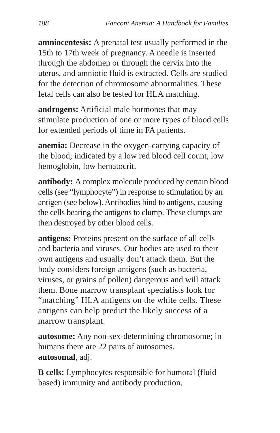**amniocentesis:** A prenatal test usually performed in the 15th to 17th week of pregnancy. A needle is inserted through the abdomen or through the cervix into the uterus, and amniotic fluid is extracted. Cells are studied for the detection of chromosome abnormalities. These fetal cells can also be tested for HLA matching.

**androgens:** Artificial male hormones that may stimulate production of one or more types of blood cells for extended periods of time in FA patients.

**anemia:** Decrease in the oxygen-carrying capacity of the blood; indicated by a low red blood cell count, low hemoglobin, low hematocrit.

**antibody:** A complex molecule produced by certain blood cells (see "lymphocyte") in response to stimulation by an antigen (see below). Antibodies bind to antigens, causing the cells bearing the antigens to clump. These clumps are then destroyed by other blood cells.

**antigens:** Proteins present on the surface of all cells and bacteria and viruses. Our bodies are used to their own antigens and usually don't attack them. But the body considers foreign antigens (such as bacteria, viruses, or grains of pollen) dangerous and will attack them. Bone marrow transplant specialists look for "matching" HLA antigens on the white cells. These antigens can help predict the likely success of a marrow transplant.

**autosome:** Any non-sex-determining chromosome; in humans there are 22 pairs of autosomes. **autosomal**, adj.

**B cells:** Lymphocytes responsible for humoral (fluid based) immunity and antibody production.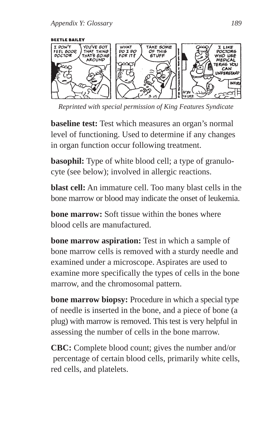

*Reprinted with special permission of King Features Syndicate*

**baseline test:** Test which measures an organ's normal level of functioning. Used to determine if any changes in organ function occur following treatment.

**basophil:** Type of white blood cell; a type of granulocyte (see below); involved in allergic reactions.

**blast cell:** An immature cell. Too many blast cells in the bone marrow or blood may indicate the onset of leukemia.

**bone marrow:** Soft tissue within the bones where blood cells are manufactured.

**bone marrow aspiration:** Test in which a sample of bone marrow cells is removed with a sturdy needle and examined under a microscope. Aspirates are used to examine more specifically the types of cells in the bone marrow, and the chromosomal pattern.

**bone marrow biopsy:** Procedure in which a special type of needle is inserted in the bone, and a piece of bone (a plug) with marrow is removed. This test is very helpful in assessing the number of cells in the bone marrow.

**CBC:** Complete blood count; gives the number and/or percentage of certain blood cells, primarily white cells, red cells, and platelets.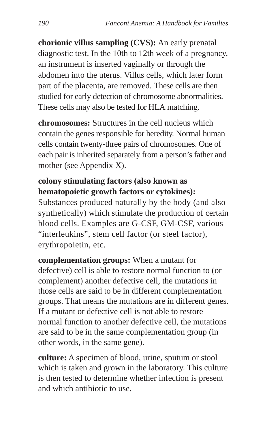**chorionic villus sampling (CVS):** An early prenatal diagnostic test. In the 10th to 12th week of a pregnancy, an instrument is inserted vaginally or through the abdomen into the uterus. Villus cells, which later form part of the placenta, are removed. These cells are then studied for early detection of chromosome abnormalities. These cells may also be tested for HLA matching.

**chromosomes:** Structures in the cell nucleus which contain the genes responsible for heredity. Normal human cells contain twenty-three pairs of chromosomes. One of each pair is inherited separately from a person's father and mother (see Appendix X).

## **colony stimulating factors (also known as hematopoietic growth factors or cytokines):**

Substances produced naturally by the body (and also synthetically) which stimulate the production of certain blood cells. Examples are G-CSF, GM-CSF, various "interleukins", stem cell factor (or steel factor), erythropoietin, etc.

**complementation groups:** When a mutant (or defective) cell is able to restore normal function to (or complement) another defective cell, the mutations in those cells are said to be in different complementation groups. That means the mutations are in different genes. If a mutant or defective cell is not able to restore normal function to another defective cell, the mutations are said to be in the same complementation group (in other words, in the same gene).

**culture:** A specimen of blood, urine, sputum or stool which is taken and grown in the laboratory. This culture is then tested to determine whether infection is present and which antibiotic to use.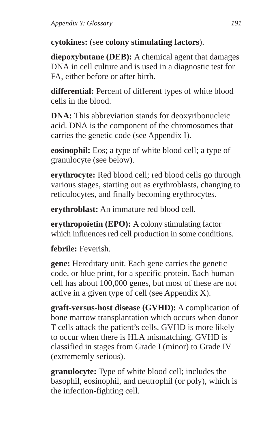## **cytokines:** (see **colony stimulating factors**).

**diepoxybutane (DEB):** A chemical agent that damages DNA in cell culture and is used in a diagnostic test for FA, either before or after birth.

**differential:** Percent of different types of white blood cells in the blood.

**DNA:** This abbreviation stands for deoxyribonucleic acid. DNA is the component of the chromosomes that carries the genetic code (see Appendix I).

**eosinophil:** Eos; a type of white blood cell; a type of granulocyte (see below).

**erythrocyte:** Red blood cell; red blood cells go through various stages, starting out as erythroblasts, changing to reticulocytes, and finally becoming erythrocytes.

**erythroblast:** An immature red blood cell.

**erythropoietin (EPO):** A colony stimulating factor which influences red cell production in some conditions.

**febrile:** Feverish.

**gene:** Hereditary unit. Each gene carries the genetic code, or blue print, for a specific protein. Each human cell has about 100,000 genes, but most of these are not active in a given type of cell (see Appendix X).

**graft-versus-host disease (GVHD):** A complication of bone marrow transplantation which occurs when donor T cells attack the patient's cells. GVHD is more likely to occur when there is HLA mismatching. GVHD is classified in stages from Grade I (minor) to Grade IV (extrememly serious).

**granulocyte:** Type of white blood cell; includes the basophil, eosinophil, and neutrophil (or poly), which is the infection-fighting cell.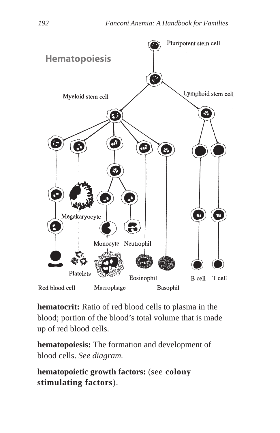

**hematocrit:** Ratio of red blood cells to plasma in the blood; portion of the blood's total volume that is made up of red blood cells.

**hematopoiesis:** The formation and development of blood cells. *See diagram.*

**hematopoietic growth factors:** (see **colony stimulating factors**).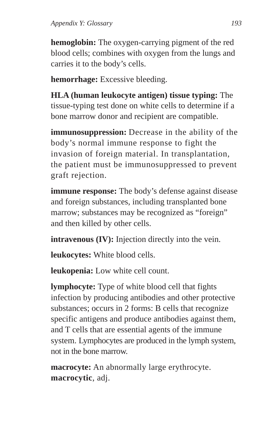**hemoglobin:** The oxygen-carrying pigment of the red blood cells; combines with oxygen from the lungs and carries it to the body's cells.

**hemorrhage:** Excessive bleeding.

**HLA (human leukocyte antigen) tissue typing:** The tissue-typing test done on white cells to determine if a bone marrow donor and recipient are compatible.

**immunosuppression:** Decrease in the ability of the body's normal immune response to fight the invasion of foreign material. In transplantation, the patient must be immunosuppressed to prevent graft rejection.

**immune response:** The body's defense against disease and foreign substances, including transplanted bone marrow; substances may be recognized as "foreign" and then killed by other cells.

**intravenous (IV):** Injection directly into the vein.

**leukocytes:** White blood cells.

**leukopenia:** Low white cell count.

**lymphocyte:** Type of white blood cell that fights infection by producing antibodies and other protective substances; occurs in 2 forms: B cells that recognize specific antigens and produce antibodies against them, and T cells that are essential agents of the immune system. Lymphocytes are produced in the lymph system, not in the bone marrow.

**macrocyte:** An abnormally large erythrocyte. **macrocytic**, adj.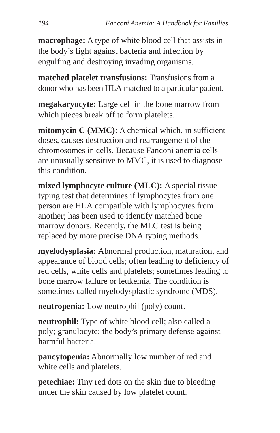**macrophage:** A type of white blood cell that assists in the body's fight against bacteria and infection by engulfing and destroying invading organisms.

**matched platelet transfusions:** Transfusions from a donor who has been HLA matched to a particular patient.

**megakaryocyte:** Large cell in the bone marrow from which pieces break off to form platelets.

**mitomycin C (MMC):** A chemical which, in sufficient doses, causes destruction and rearrangement of the chromosomes in cells. Because Fanconi anemia cells are unusually sensitive to MMC, it is used to diagnose this condition.

**mixed lymphocyte culture (MLC):** A special tissue typing test that determines if lymphocytes from one person are HLA compatible with lymphocytes from another; has been used to identify matched bone marrow donors. Recently, the MLC test is being replaced by more precise DNA typing methods.

**myelodysplasia:** Abnormal production, maturation, and appearance of blood cells; often leading to deficiency of red cells, white cells and platelets; sometimes leading to bone marrow failure or leukemia. The condition is sometimes called myelodysplastic syndrome (MDS).

**neutropenia:** Low neutrophil (poly) count.

**neutrophil:** Type of white blood cell; also called a poly; granulocyte; the body's primary defense against harmful bacteria.

**pancytopenia:** Abnormally low number of red and white cells and platelets.

**petechiae:** Tiny red dots on the skin due to bleeding under the skin caused by low platelet count.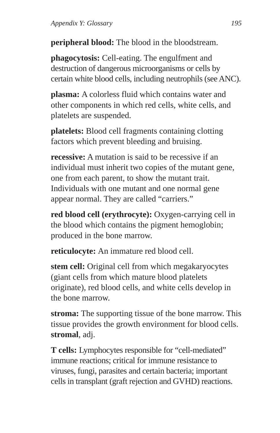**peripheral blood:** The blood in the bloodstream.

**phagocytosis:** Cell-eating. The engulfment and destruction of dangerous microorganisms or cells by certain white blood cells, including neutrophils (see ANC).

**plasma:** A colorless fluid which contains water and other components in which red cells, white cells, and platelets are suspended.

**platelets:** Blood cell fragments containing clotting factors which prevent bleeding and bruising.

**recessive:** A mutation is said to be recessive if an individual must inherit two copies of the mutant gene, one from each parent, to show the mutant trait. Individuals with one mutant and one normal gene appear normal. They are called "carriers."

**red blood cell (erythrocyte):** Oxygen-carrying cell in the blood which contains the pigment hemoglobin; produced in the bone marrow.

**reticulocyte:** An immature red blood cell.

**stem cell:** Original cell from which megakaryocytes (giant cells from which mature blood platelets originate), red blood cells, and white cells develop in the bone marrow.

**stroma:** The supporting tissue of the bone marrow. This tissue provides the growth environment for blood cells. **stromal**, adj.

**T cells:** Lymphocytes responsible for "cell-mediated" immune reactions; critical for immune resistance to viruses, fungi, parasites and certain bacteria; important cells in transplant (graft rejection and GVHD) reactions.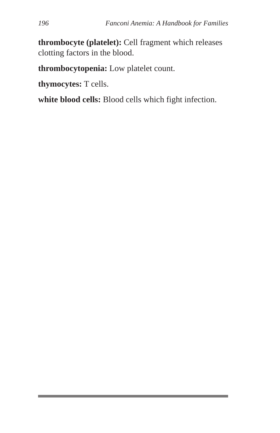**thrombocyte (platelet):** Cell fragment which releases clotting factors in the blood.

**thrombocytopenia:** Low platelet count.

**thymocytes:** T cells.

**white blood cells:** Blood cells which fight infection.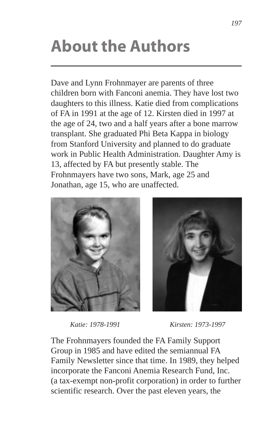## **About the Authors**

Dave and Lynn Frohnmayer are parents of three children born with Fanconi anemia. They have lost two daughters to this illness. Katie died from complications of FA in 1991 at the age of 12. Kirsten died in 1997 at the age of 24, two and a half years after a bone marrow transplant. She graduated Phi Beta Kappa in biology from Stanford University and planned to do graduate work in Public Health Administration. Daughter Amy is 13, affected by FA but presently stable. The Frohnmayers have two sons, Mark, age 25 and Jonathan, age 15, who are unaffected.





*Katie: 1978-1991 Kirsten: 1973-1997*

The Frohnmayers founded the FA Family Support Group in 1985 and have edited the semiannual FA Family Newsletter since that time. In 1989, they helped incorporate the Fanconi Anemia Research Fund, Inc. (a tax-exempt non-profit corporation) in order to further scientific research. Over the past eleven years, the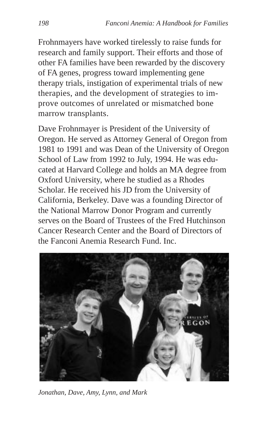Frohnmayers have worked tirelessly to raise funds for research and family support. Their efforts and those of other FA families have been rewarded by the discovery of FA genes, progress toward implementing gene therapy trials, instigation of experimental trials of new therapies, and the development of strategies to improve outcomes of unrelated or mismatched bone marrow transplants.

Dave Frohnmayer is President of the University of Oregon. He served as Attorney General of Oregon from 1981 to 1991 and was Dean of the University of Oregon School of Law from 1992 to July, 1994. He was educated at Harvard College and holds an MA degree from Oxford University, where he studied as a Rhodes Scholar. He received his JD from the University of California, Berkeley. Dave was a founding Director of the National Marrow Donor Program and currently serves on the Board of Trustees of the Fred Hutchinson Cancer Research Center and the Board of Directors of the Fanconi Anemia Research Fund. Inc.



*Jonathan, Dave, Amy, Lynn, and Mark*